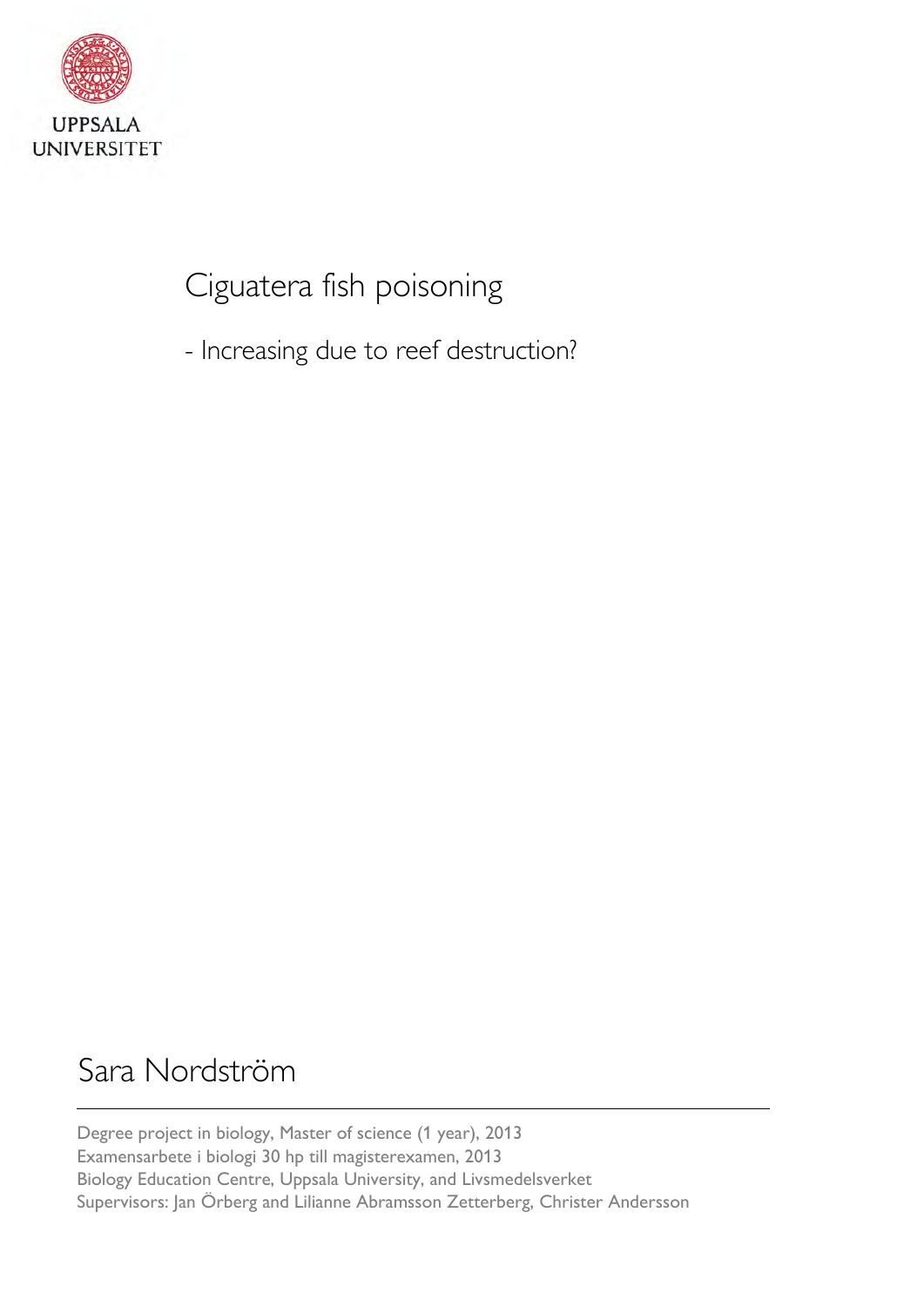

# Ciguatera fish poisoning

- Increasing due to reef destruction?

# Sara Nordström

Degree project in biology, Master of science (1 year), 2013 Examensarbete i biologi 30 hp till magisterexamen, 2013 Biology Education Centre, Uppsala University, and Livsmedelsverket Supervisors: Jan Örberg and Lilianne Abramsson Zetterberg, Christer Andersson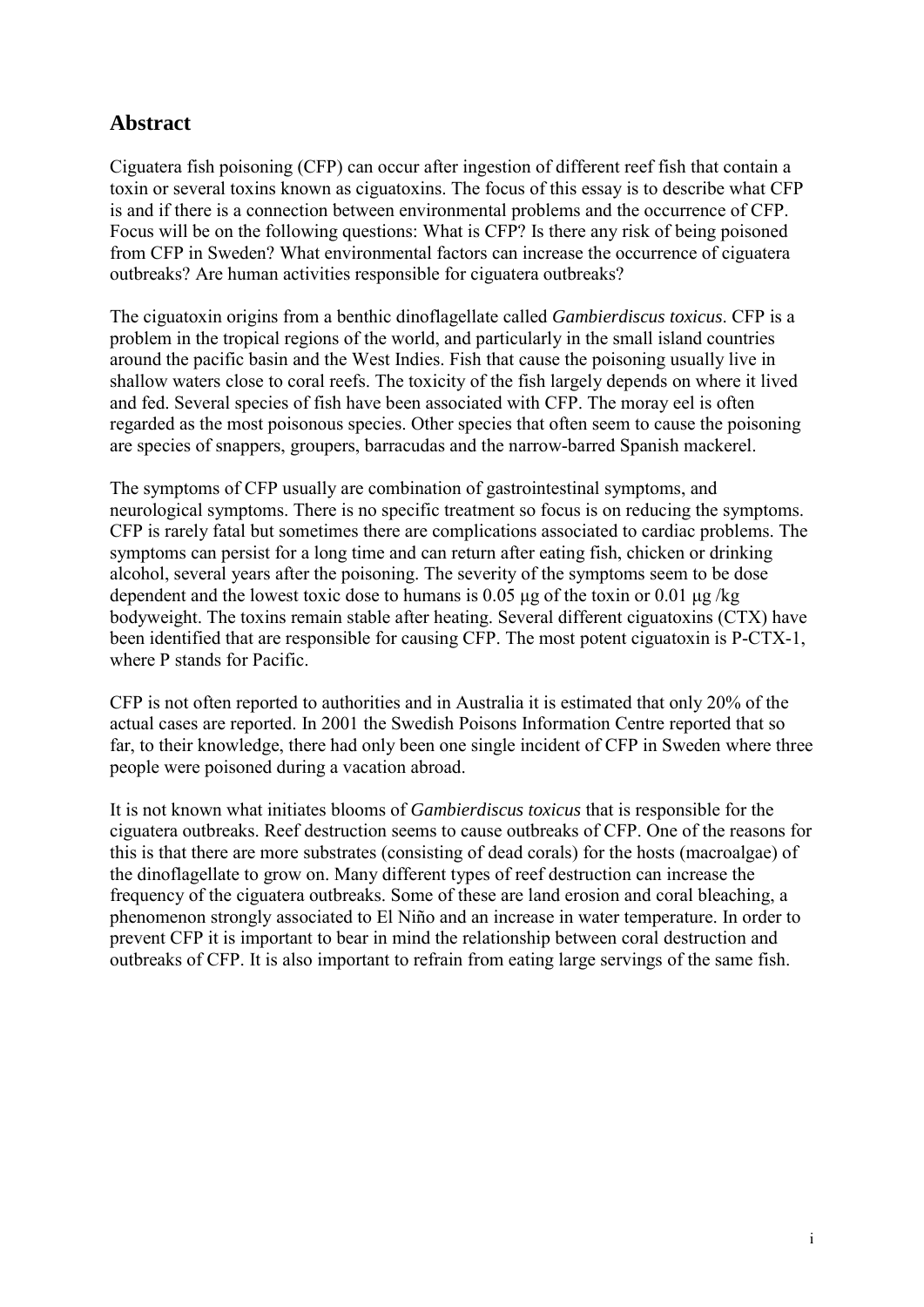# **Abstract**

Ciguatera fish poisoning (CFP) can occur after ingestion of different reef fish that contain a toxin or several toxins known as ciguatoxins. The focus of this essay is to describe what CFP is and if there is a connection between environmental problems and the occurrence of CFP. Focus will be on the following questions: What is CFP? Is there any risk of being poisoned from CFP in Sweden? What environmental factors can increase the occurrence of ciguatera outbreaks? Are human activities responsible for ciguatera outbreaks?

The ciguatoxin origins from a benthic dinoflagellate called *Gambierdiscus toxicus*. CFP is a problem in the tropical regions of the world, and particularly in the small island countries around the pacific basin and the West Indies. Fish that cause the poisoning usually live in shallow waters close to coral reefs. The toxicity of the fish largely depends on where it lived and fed. Several species of fish have been associated with CFP. The moray eel is often regarded as the most poisonous species. Other species that often seem to cause the poisoning are species of snappers, groupers, barracudas and the narrow-barred Spanish mackerel.

The symptoms of CFP usually are combination of gastrointestinal symptoms, and neurological symptoms. There is no specific treatment so focus is on reducing the symptoms. CFP is rarely fatal but sometimes there are complications associated to cardiac problems. The symptoms can persist for a long time and can return after eating fish, chicken or drinking alcohol, several years after the poisoning. The severity of the symptoms seem to be dose dependent and the lowest toxic dose to humans is 0.05 μg of the toxin or 0.01 μg /kg bodyweight. The toxins remain stable after heating. Several different ciguatoxins (CTX) have been identified that are responsible for causing CFP. The most potent ciguatoxin is P-CTX-1, where P stands for Pacific.

CFP is not often reported to authorities and in Australia it is estimated that only 20% of the actual cases are reported. In 2001 the Swedish Poisons Information Centre reported that so far, to their knowledge, there had only been one single incident of CFP in Sweden where three people were poisoned during a vacation abroad.

It is not known what initiates blooms of *Gambierdiscus toxicus* that is responsible for the ciguatera outbreaks. Reef destruction seems to cause outbreaks of CFP. One of the reasons for this is that there are more substrates (consisting of dead corals) for the hosts (macroalgae) of the dinoflagellate to grow on. Many different types of reef destruction can increase the frequency of the ciguatera outbreaks. Some of these are land erosion and coral bleaching, a phenomenon strongly associated to El Niño and an increase in water temperature. In order to prevent CFP it is important to bear in mind the relationship between coral destruction and outbreaks of CFP. It is also important to refrain from eating large servings of the same fish.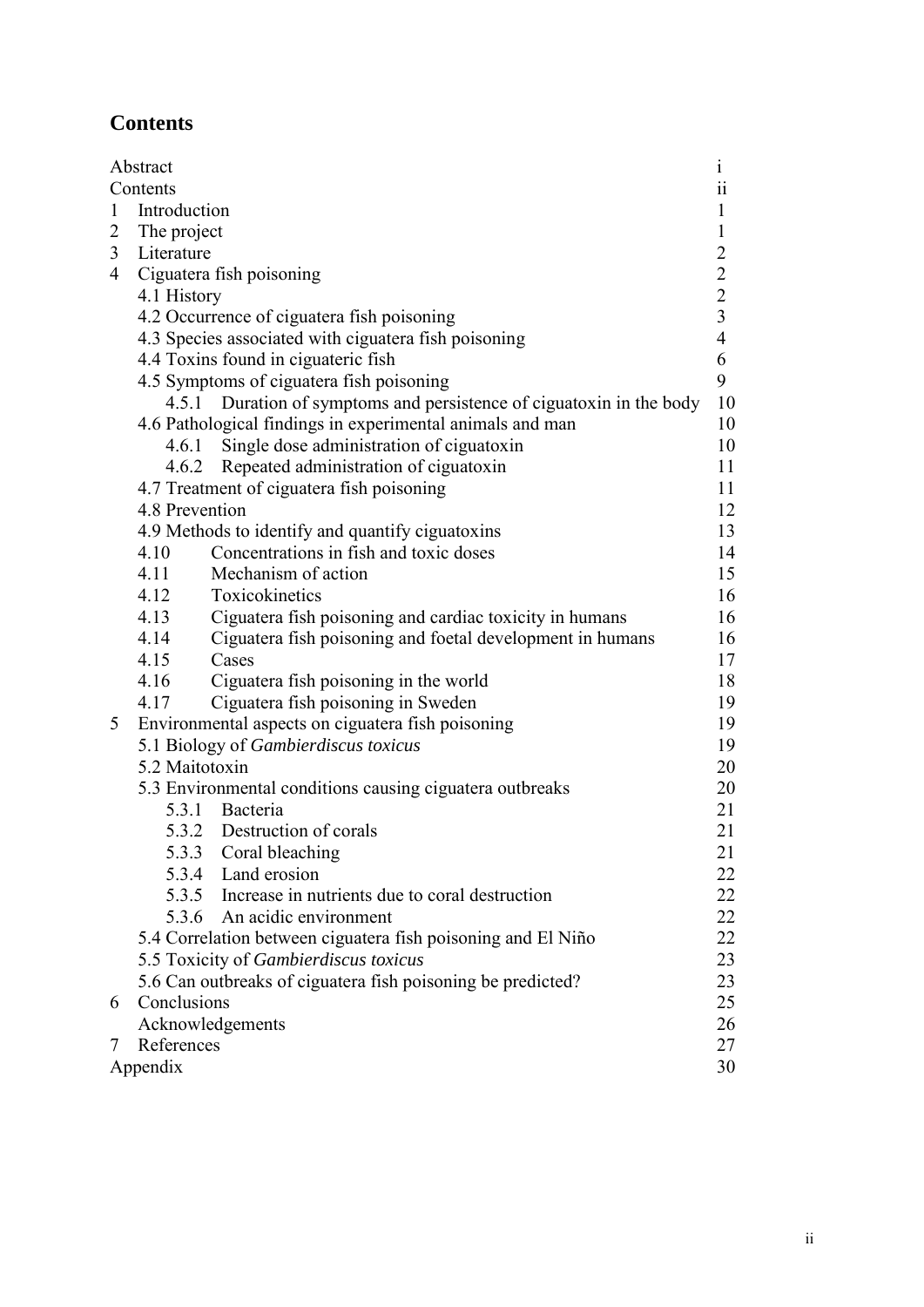# **Contents**

|              | Abstract                                                     |                                                                | $\mathbf 1$                                |  |  |
|--------------|--------------------------------------------------------------|----------------------------------------------------------------|--------------------------------------------|--|--|
|              | Contents                                                     |                                                                |                                            |  |  |
| $\mathbf{1}$ | Introduction                                                 |                                                                |                                            |  |  |
|              | 2 The project                                                |                                                                |                                            |  |  |
| 3            | Literature                                                   |                                                                |                                            |  |  |
| 4            |                                                              | Ciguatera fish poisoning                                       | $\begin{array}{c} 2 \\ 2 \\ 3 \end{array}$ |  |  |
|              | 4.1 History                                                  |                                                                |                                            |  |  |
|              |                                                              | 4.2 Occurrence of ciguatera fish poisoning                     |                                            |  |  |
|              | 4.3 Species associated with ciguatera fish poisoning         |                                                                | $\overline{4}$                             |  |  |
|              | 4.4 Toxins found in ciguateric fish                          |                                                                |                                            |  |  |
|              | 4.5 Symptoms of ciguatera fish poisoning                     |                                                                | 9                                          |  |  |
|              | 4.5.1                                                        | Duration of symptoms and persistence of ciguatoxin in the body | 10                                         |  |  |
|              | 4.6 Pathological findings in experimental animals and man    |                                                                |                                            |  |  |
|              |                                                              | 4.6.1 Single dose administration of ciguatoxin                 | 10                                         |  |  |
|              |                                                              | 4.6.2 Repeated administration of ciguatoxin                    | 11                                         |  |  |
|              | 4.7 Treatment of ciguatera fish poisoning                    |                                                                | 11                                         |  |  |
|              | 4.8 Prevention                                               |                                                                | 12                                         |  |  |
|              | 4.9 Methods to identify and quantify ciguatoxins             |                                                                | 13                                         |  |  |
|              | 4.10                                                         | Concentrations in fish and toxic doses                         | 14                                         |  |  |
|              | 4.11                                                         | Mechanism of action                                            | 15                                         |  |  |
|              | 4.12                                                         | Toxicokinetics                                                 | 16                                         |  |  |
|              | 4.13                                                         | Ciguatera fish poisoning and cardiac toxicity in humans        | 16                                         |  |  |
|              | 4.14                                                         | Ciguatera fish poisoning and foetal development in humans      | 16                                         |  |  |
|              | 4.15                                                         | Cases                                                          | 17                                         |  |  |
|              | 4.16                                                         | Ciguatera fish poisoning in the world                          | 18                                         |  |  |
|              | 4.17                                                         | Ciguatera fish poisoning in Sweden                             | 19                                         |  |  |
| 5            |                                                              | Environmental aspects on ciguatera fish poisoning              | 19                                         |  |  |
|              | 5.1 Biology of Gambierdiscus toxicus                         |                                                                | 19                                         |  |  |
|              | 5.2 Maitotoxin                                               |                                                                | 20                                         |  |  |
|              |                                                              | 5.3 Environmental conditions causing ciguatera outbreaks       | 20                                         |  |  |
|              |                                                              | 5.3.1 Bacteria                                                 | 21                                         |  |  |
|              |                                                              | 5.3.2 Destruction of corals                                    | 21                                         |  |  |
|              |                                                              | 5.3.3 Coral bleaching                                          | 21                                         |  |  |
|              |                                                              | 5.3.4 Land erosion                                             | 22                                         |  |  |
|              |                                                              | 5.3.5 Increase in nutrients due to coral destruction           | 22                                         |  |  |
|              |                                                              | 5.3.6 An acidic environment                                    | 22                                         |  |  |
|              | 5.4 Correlation between ciguatera fish poisoning and El Niño |                                                                | 22                                         |  |  |
|              | 5.5 Toxicity of Gambierdiscus toxicus                        |                                                                | 23                                         |  |  |
|              | 5.6 Can outbreaks of ciguatera fish poisoning be predicted?  |                                                                | 23                                         |  |  |
| 6            | Conclusions                                                  |                                                                | 25                                         |  |  |
|              |                                                              | Acknowledgements                                               | 26                                         |  |  |
| 7            | References                                                   |                                                                | 27<br>30                                   |  |  |
|              | Appendix                                                     |                                                                |                                            |  |  |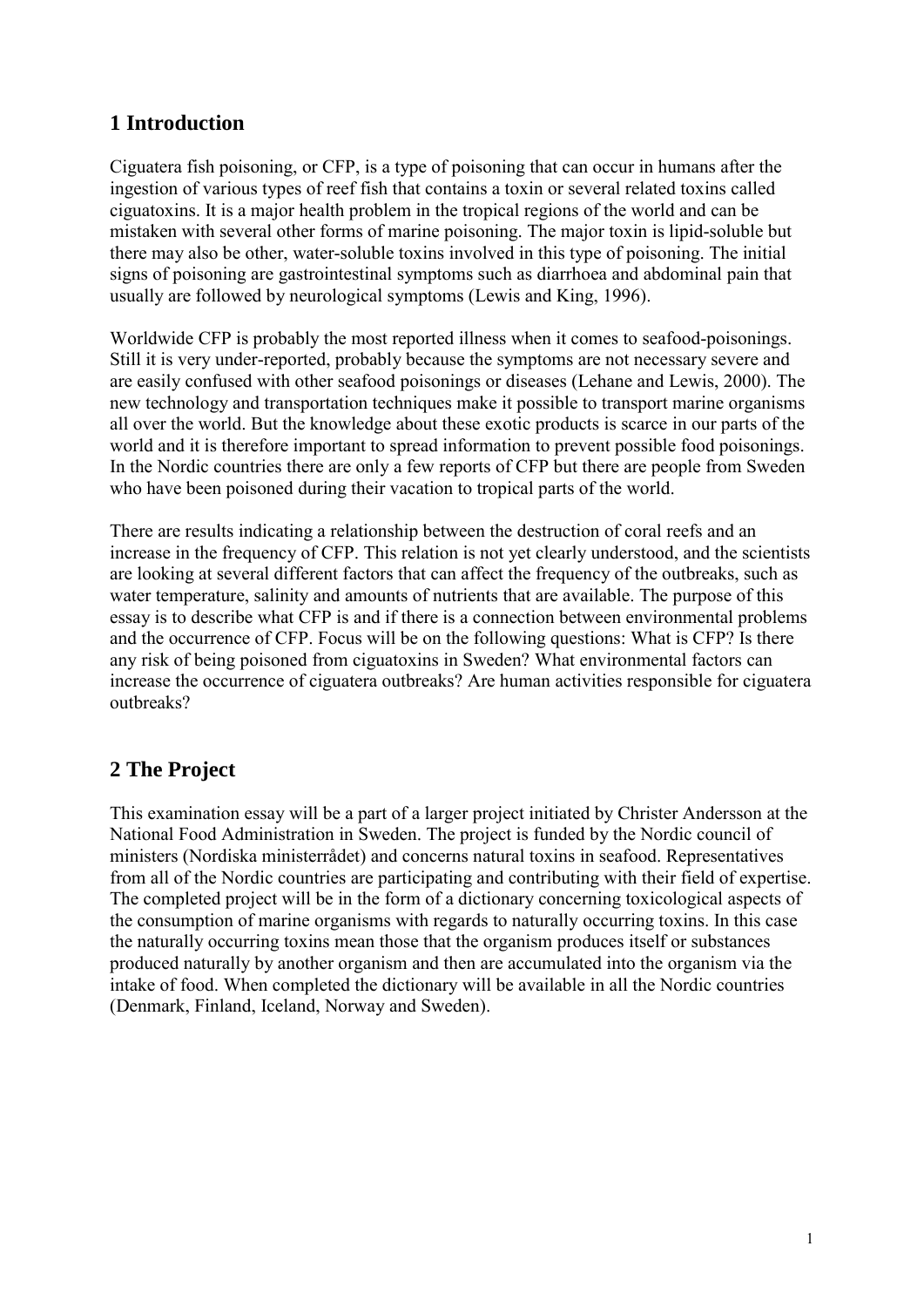# **1 Introduction**

Ciguatera fish poisoning, or CFP, is a type of poisoning that can occur in humans after the ingestion of various types of reef fish that contains a toxin or several related toxins called ciguatoxins. It is a major health problem in the tropical regions of the world and can be mistaken with several other forms of marine poisoning. The major toxin is lipid-soluble but there may also be other, water-soluble toxins involved in this type of poisoning. The initial signs of poisoning are gastrointestinal symptoms such as diarrhoea and abdominal pain that usually are followed by neurological symptoms (Lewis and King, 1996).

Worldwide CFP is probably the most reported illness when it comes to seafood-poisonings. Still it is very under-reported, probably because the symptoms are not necessary severe and are easily confused with other seafood poisonings or diseases (Lehane and Lewis, 2000). The new technology and transportation techniques make it possible to transport marine organisms all over the world. But the knowledge about these exotic products is scarce in our parts of the world and it is therefore important to spread information to prevent possible food poisonings. In the Nordic countries there are only a few reports of CFP but there are people from Sweden who have been poisoned during their vacation to tropical parts of the world.

There are results indicating a relationship between the destruction of coral reefs and an increase in the frequency of CFP. This relation is not yet clearly understood, and the scientists are looking at several different factors that can affect the frequency of the outbreaks, such as water temperature, salinity and amounts of nutrients that are available. The purpose of this essay is to describe what CFP is and if there is a connection between environmental problems and the occurrence of CFP. Focus will be on the following questions: What is CFP? Is there any risk of being poisoned from ciguatoxins in Sweden? What environmental factors can increase the occurrence of ciguatera outbreaks? Are human activities responsible for ciguatera outbreaks?

# **2 The Project**

This examination essay will be a part of a larger project initiated by Christer Andersson at the National Food Administration in Sweden. The project is funded by the Nordic council of ministers (Nordiska ministerrådet) and concerns natural toxins in seafood. Representatives from all of the Nordic countries are participating and contributing with their field of expertise. The completed project will be in the form of a dictionary concerning toxicological aspects of the consumption of marine organisms with regards to naturally occurring toxins. In this case the naturally occurring toxins mean those that the organism produces itself or substances produced naturally by another organism and then are accumulated into the organism via the intake of food. When completed the dictionary will be available in all the Nordic countries (Denmark, Finland, Iceland, Norway and Sweden).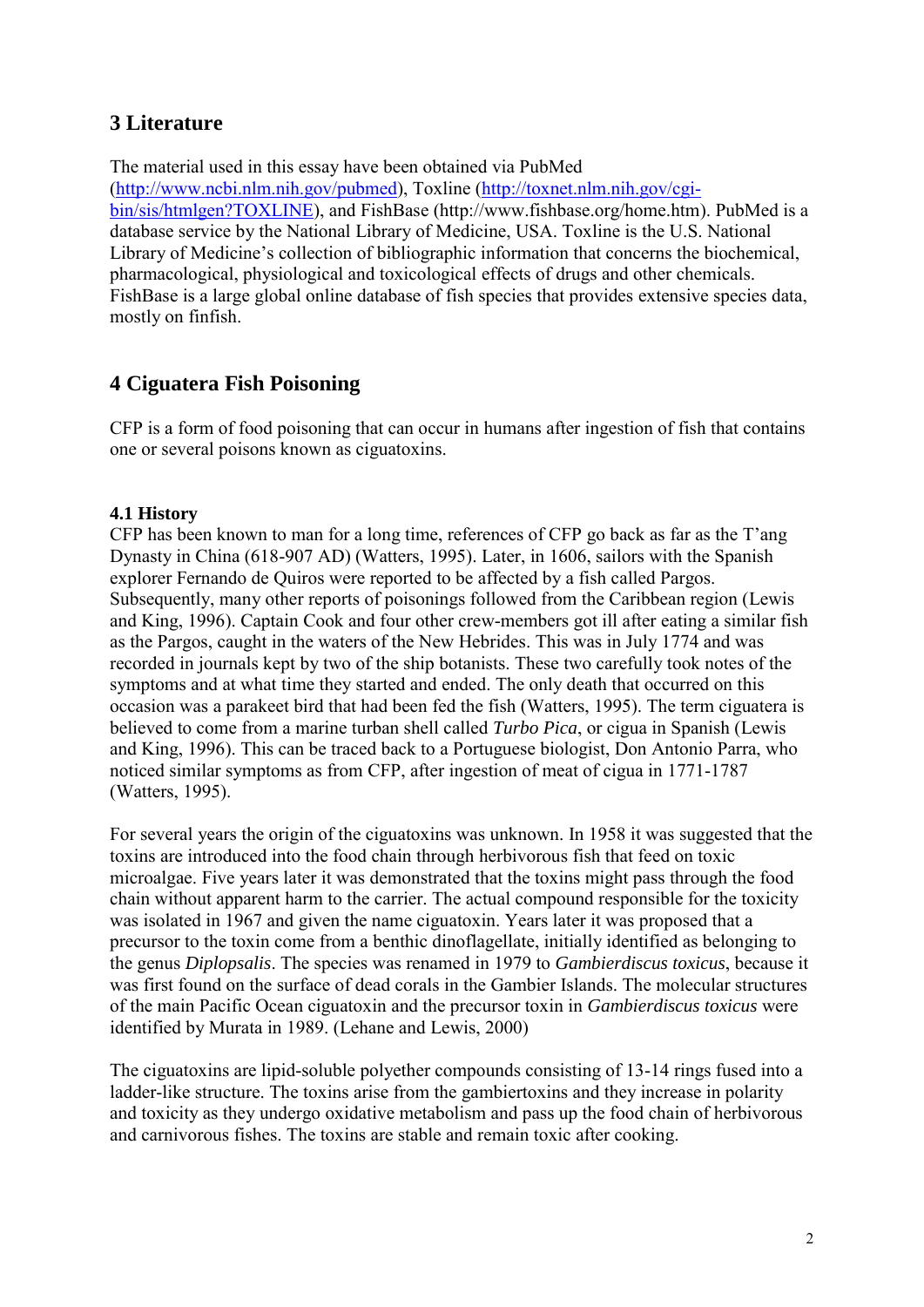# **3 Literature**

The material used in this essay have been obtained via PubMed [\(http://www.ncbi.nlm.nih.gov/pubmed\)](http://www.ncbi.nlm.nih.gov/pubmed), Toxline [\(http://toxnet.nlm.nih.gov/cgi](http://toxnet.nlm.nih.gov/cgi-bin/sis/htmlgen?TOXLINE)[bin/sis/htmlgen?TOXLINE\)](http://toxnet.nlm.nih.gov/cgi-bin/sis/htmlgen?TOXLINE), and FishBase (http://www.fishbase.org/home.htm). PubMed is a database service by the National Library of Medicine, USA. Toxline is the U.S. National Library of Medicine's collection of bibliographic information that concerns the biochemical, pharmacological, physiological and toxicological effects of drugs and other chemicals. FishBase is a large global online database of fish species that provides extensive species data, mostly on finfish.

# **4 Ciguatera Fish Poisoning**

CFP is a form of food poisoning that can occur in humans after ingestion of fish that contains one or several poisons known as ciguatoxins.

# **4.1 History**

CFP has been known to man for a long time, references of CFP go back as far as the T'ang Dynasty in China (618-907 AD) (Watters, 1995). Later, in 1606, sailors with the Spanish explorer Fernando de Quiros were reported to be affected by a fish called Pargos. Subsequently, many other reports of poisonings followed from the Caribbean region (Lewis and King, 1996). Captain Cook and four other crew-members got ill after eating a similar fish as the Pargos, caught in the waters of the New Hebrides. This was in July 1774 and was recorded in journals kept by two of the ship botanists. These two carefully took notes of the symptoms and at what time they started and ended. The only death that occurred on this occasion was a parakeet bird that had been fed the fish (Watters, 1995). The term ciguatera is believed to come from a marine turban shell called *Turbo Pica*, or cigua in Spanish (Lewis and King, 1996). This can be traced back to a Portuguese biologist, Don Antonio Parra, who noticed similar symptoms as from CFP, after ingestion of meat of cigua in 1771-1787 (Watters, 1995).

For several years the origin of the ciguatoxins was unknown. In 1958 it was suggested that the toxins are introduced into the food chain through herbivorous fish that feed on toxic microalgae. Five years later it was demonstrated that the toxins might pass through the food chain without apparent harm to the carrier. The actual compound responsible for the toxicity was isolated in 1967 and given the name ciguatoxin. Years later it was proposed that a precursor to the toxin come from a benthic dinoflagellate, initially identified as belonging to the genus *Diplopsalis*. The species was renamed in 1979 to *Gambierdiscus toxicus*, because it was first found on the surface of dead corals in the Gambier Islands. The molecular structures of the main Pacific Ocean ciguatoxin and the precursor toxin in *Gambierdiscus toxicus* were identified by Murata in 1989. (Lehane and Lewis, 2000)

The ciguatoxins are lipid-soluble polyether compounds consisting of 13-14 rings fused into a ladder-like structure. The toxins arise from the gambiertoxins and they increase in polarity and toxicity as they undergo oxidative metabolism and pass up the food chain of herbivorous and carnivorous fishes. The toxins are stable and remain toxic after cooking.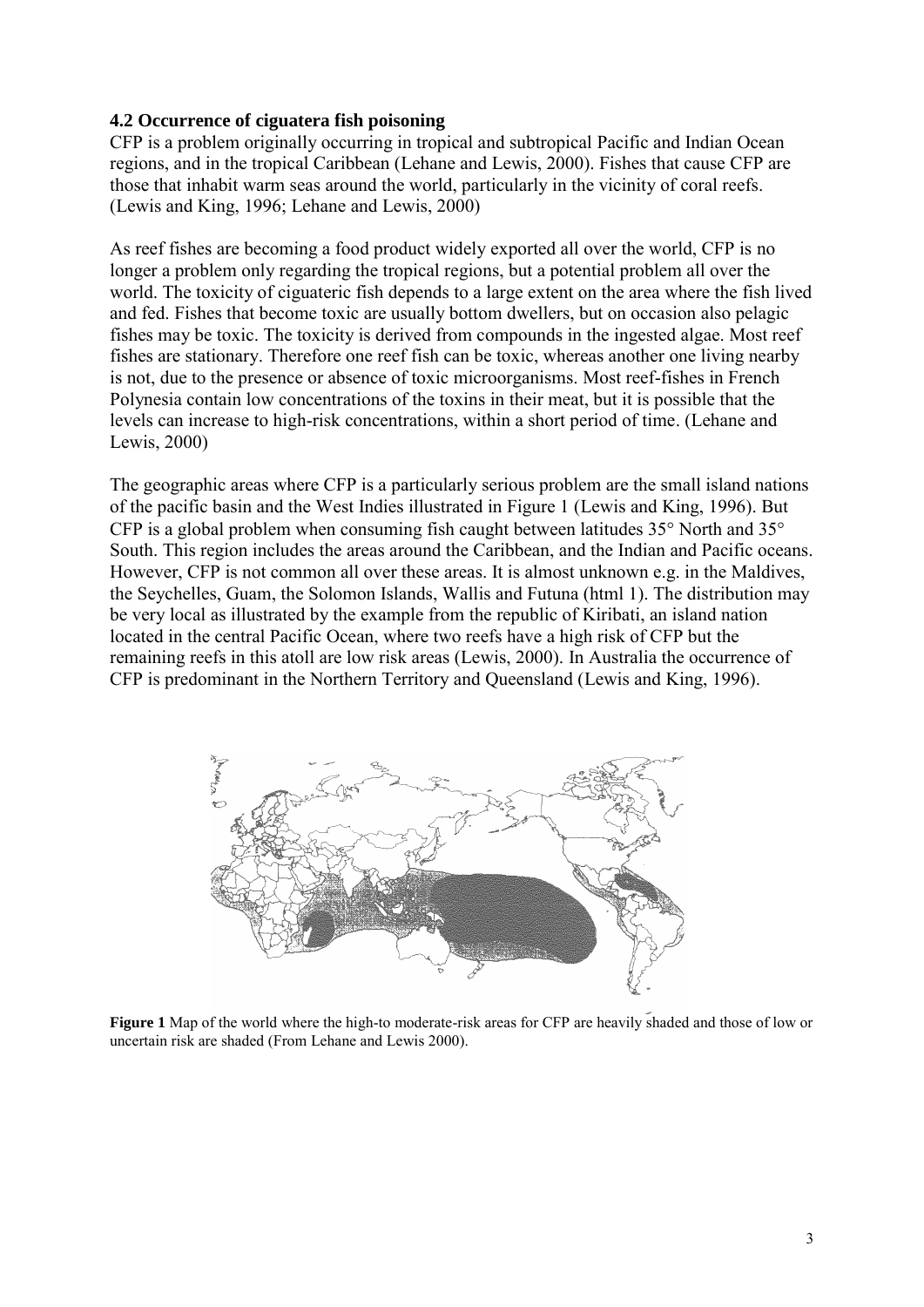#### **4.2 Occurrence of ciguatera fish poisoning**

CFP is a problem originally occurring in tropical and subtropical Pacific and Indian Ocean regions, and in the tropical Caribbean (Lehane and Lewis, 2000). Fishes that cause CFP are those that inhabit warm seas around the world, particularly in the vicinity of coral reefs. (Lewis and King, 1996; Lehane and Lewis, 2000)

As reef fishes are becoming a food product widely exported all over the world, CFP is no longer a problem only regarding the tropical regions, but a potential problem all over the world. The toxicity of ciguateric fish depends to a large extent on the area where the fish lived and fed. Fishes that become toxic are usually bottom dwellers, but on occasion also pelagic fishes may be toxic. The toxicity is derived from compounds in the ingested algae. Most reef fishes are stationary. Therefore one reef fish can be toxic, whereas another one living nearby is not, due to the presence or absence of toxic microorganisms. Most reef-fishes in French Polynesia contain low concentrations of the toxins in their meat, but it is possible that the levels can increase to high-risk concentrations, within a short period of time. (Lehane and Lewis, 2000)

The geographic areas where CFP is a particularly serious problem are the small island nations of the pacific basin and the West Indies illustrated in Figure 1 (Lewis and King, 1996). But CFP is a global problem when consuming fish caught between latitudes  $35^{\circ}$  North and  $35^{\circ}$ South. This region includes the areas around the Caribbean, and the Indian and Pacific oceans. However, CFP is not common all over these areas. It is almost unknown e.g. in the Maldives, the Seychelles, Guam, the Solomon Islands, Wallis and Futuna (html 1). The distribution may be very local as illustrated by the example from the republic of Kiribati, an island nation located in the central Pacific Ocean, where two reefs have a high risk of CFP but the remaining reefs in this atoll are low risk areas (Lewis, 2000). In Australia the occurrence of CFP is predominant in the Northern Territory and Queensland (Lewis and King, 1996).



**Figure 1** Map of the world where the high-to moderate-risk areas for CFP are heavily shaded and those of low or uncertain risk are shaded (From Lehane and Lewis 2000).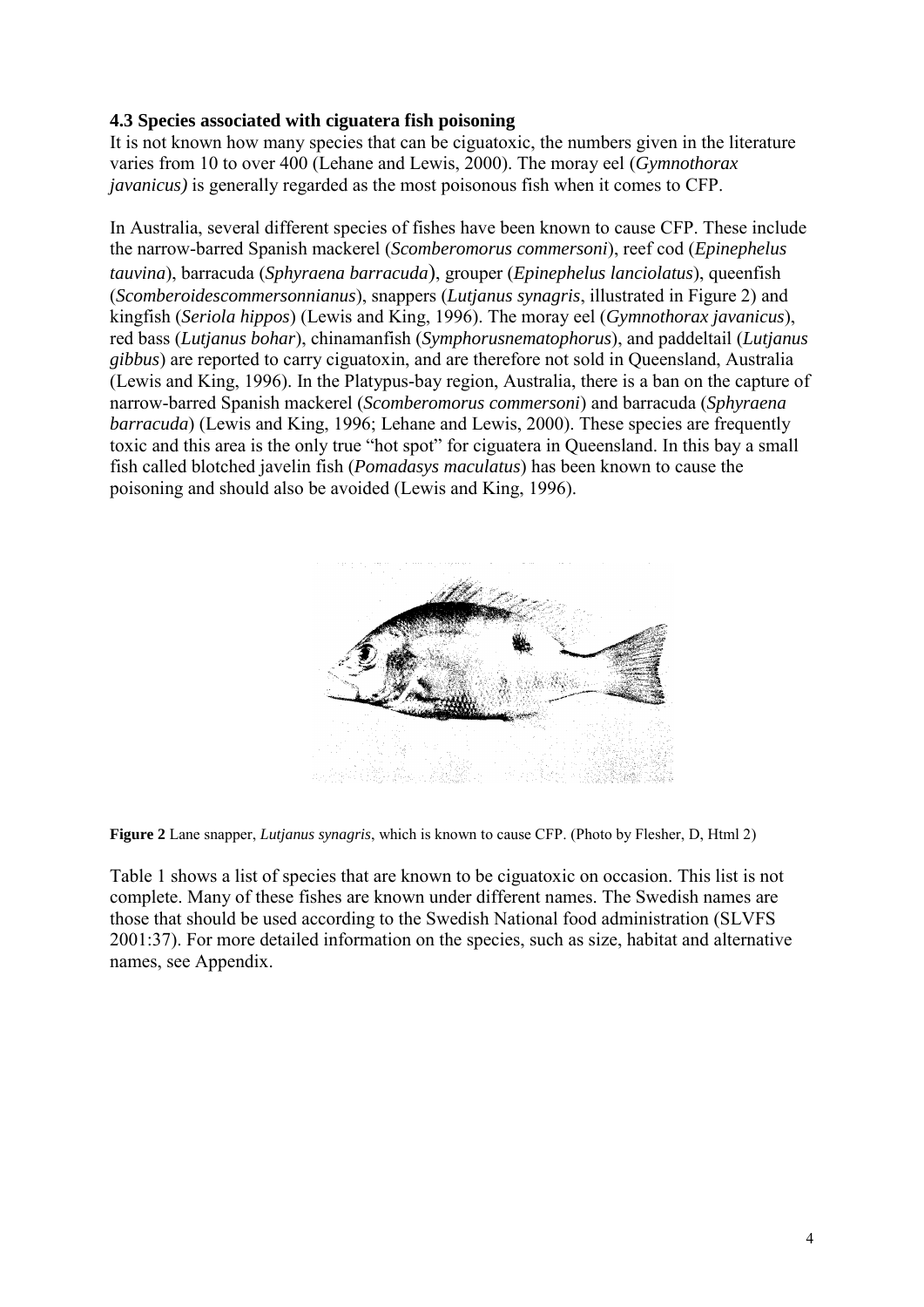# **4.3 Species associated with ciguatera fish poisoning**

It is not known how many species that can be ciguatoxic, the numbers given in the literature varies from 10 to over 400 (Lehane and Lewis, 2000). The moray eel (*Gymnothorax javanicus)* is generally regarded as the most poisonous fish when it comes to CFP.

In Australia, several different species of fishes have been known to cause CFP. These include the narrow-barred Spanish mackerel (*Scomberomorus commersoni*), reef cod (*Epinephelus tauvina*), barracuda (*Sphyraena barracuda*), grouper (*Epinephelus lanciolatus*), queenfish (*Scomberoidescommersonnianus*), snappers (*Lutjanus synagris*, illustrated in Figure 2) and kingfish (*Seriola hippos*) (Lewis and King, 1996). The moray eel (*Gymnothorax javanicus*), red bass (*Lutjanus bohar*), chinamanfish (*Symphorusnematophorus*), and paddeltail (*Lutjanus gibbus*) are reported to carry ciguatoxin, and are therefore not sold in Queensland, Australia (Lewis and King, 1996). In the Platypus-bay region, Australia, there is a ban on the capture of narrow-barred Spanish mackerel (*Scomberomorus commersoni*) and barracuda (*Sphyraena barracuda*) (Lewis and King, 1996; Lehane and Lewis, 2000). These species are frequently toxic and this area is the only true "hot spot" for ciguatera in Queensland. In this bay a small fish called blotched javelin fish (*Pomadasys maculatus*) has been known to cause the poisoning and should also be avoided (Lewis and King, 1996).





Table 1 shows a list of species that are known to be ciguatoxic on occasion. This list is not complete. Many of these fishes are known under different names. The Swedish names are those that should be used according to the Swedish National food administration (SLVFS 2001:37). For more detailed information on the species, such as size, habitat and alternative names, see Appendix.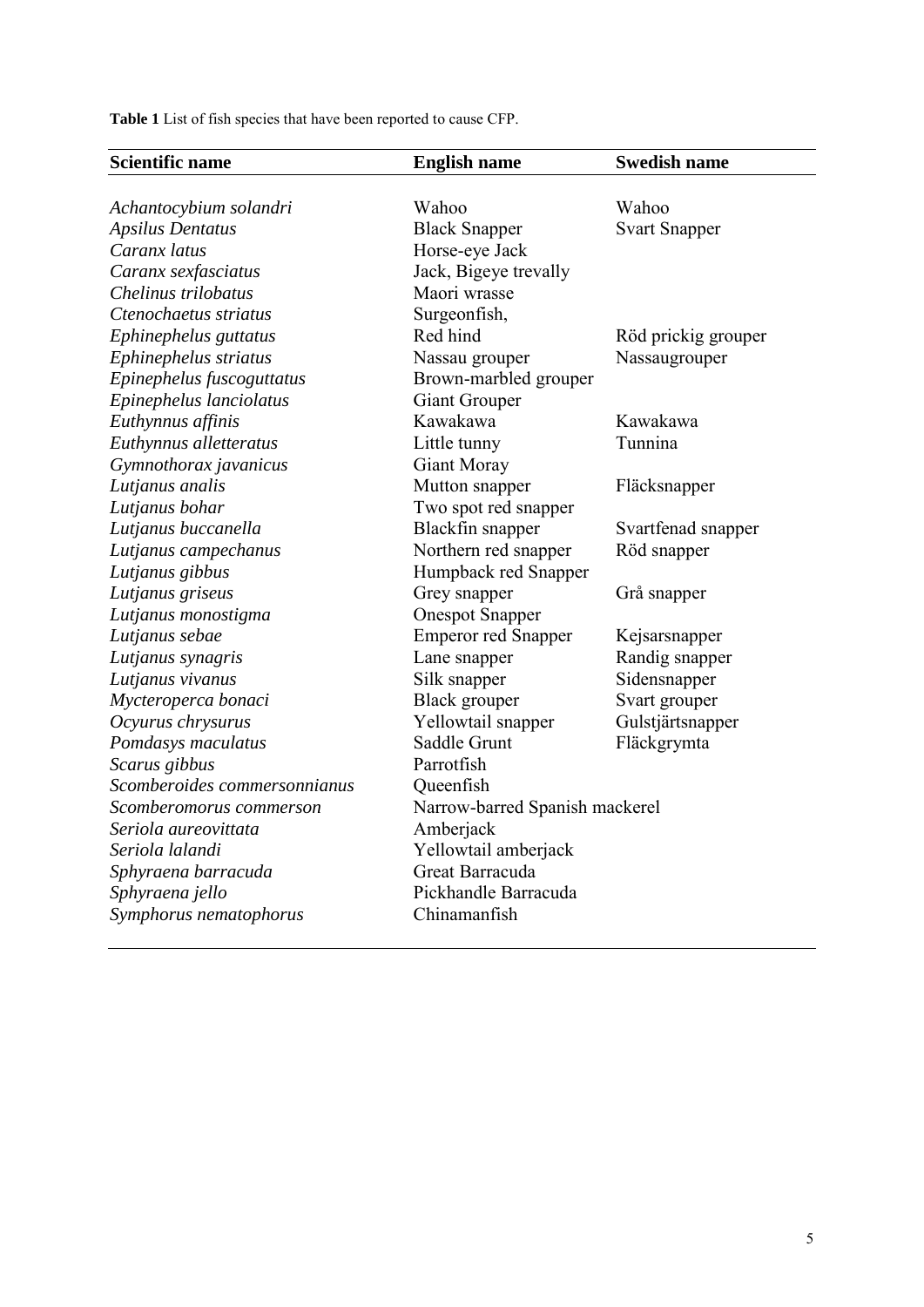**Table 1** List of fish species that have been reported to cause CFP.

| <b>Scientific name</b>       | <b>English name</b>            | <b>Swedish name</b>  |
|------------------------------|--------------------------------|----------------------|
|                              |                                |                      |
| Achantocybium solandri       | Wahoo                          | Wahoo                |
| <b>Apsilus Dentatus</b>      | <b>Black Snapper</b>           | <b>Svart Snapper</b> |
| Caranx latus                 | Horse-eye Jack                 |                      |
| Caranx sexfasciatus          | Jack, Bigeye trevally          |                      |
| Chelinus trilobatus          | Maori wrasse                   |                      |
| Ctenochaetus striatus        | Surgeonfish,                   |                      |
| Ephinephelus guttatus        | Red hind                       | Röd prickig grouper  |
| Ephinephelus striatus        | Nassau grouper                 | Nassaugrouper        |
| Epinephelus fuscoguttatus    | Brown-marbled grouper          |                      |
| Epinephelus lanciolatus      | <b>Giant Grouper</b>           |                      |
| Euthynnus affinis            | Kawakawa                       | Kawakawa             |
| Euthynnus alletteratus       | Little tunny                   | Tunnina              |
| Gymnothorax javanicus        | <b>Giant Moray</b>             |                      |
| Lutjanus analis              | Mutton snapper                 | Fläcksnapper         |
| Lutjanus bohar               | Two spot red snapper           |                      |
| Lutjanus buccanella          | Blackfin snapper               | Svartfenad snapper   |
| Lutjanus campechanus         | Northern red snapper           | Röd snapper          |
| Lutjanus gibbus              | Humpback red Snapper           |                      |
| Lutjanus griseus             | Grey snapper                   | Grå snapper          |
| Lutjanus monostigma          | <b>Onespot Snapper</b>         |                      |
| Lutjanus sebae               | <b>Emperor red Snapper</b>     | Kejsarsnapper        |
| Lutjanus synagris            | Lane snapper                   | Randig snapper       |
| Lutjanus vivanus             | Silk snapper                   | Sidensnapper         |
| Mycteroperca bonaci          | <b>Black</b> grouper           | Svart grouper        |
| Ocyurus chrysurus            | Yellowtail snapper             | Gulstjärtsnapper     |
| Pomdasys maculatus           | Saddle Grunt                   | Fläckgrymta          |
| Scarus gibbus                | Parrotfish                     |                      |
| Scomberoides commersonnianus | Queenfish                      |                      |
| Scomberomorus commerson      | Narrow-barred Spanish mackerel |                      |
| Seriola aureovittata         | Amberjack                      |                      |
| Seriola lalandi              | Yellowtail amberjack           |                      |
| Sphyraena barracuda          | Great Barracuda                |                      |
| Sphyraena jello              | Pickhandle Barracuda           |                      |
| Symphorus nematophorus       | Chinamanfish                   |                      |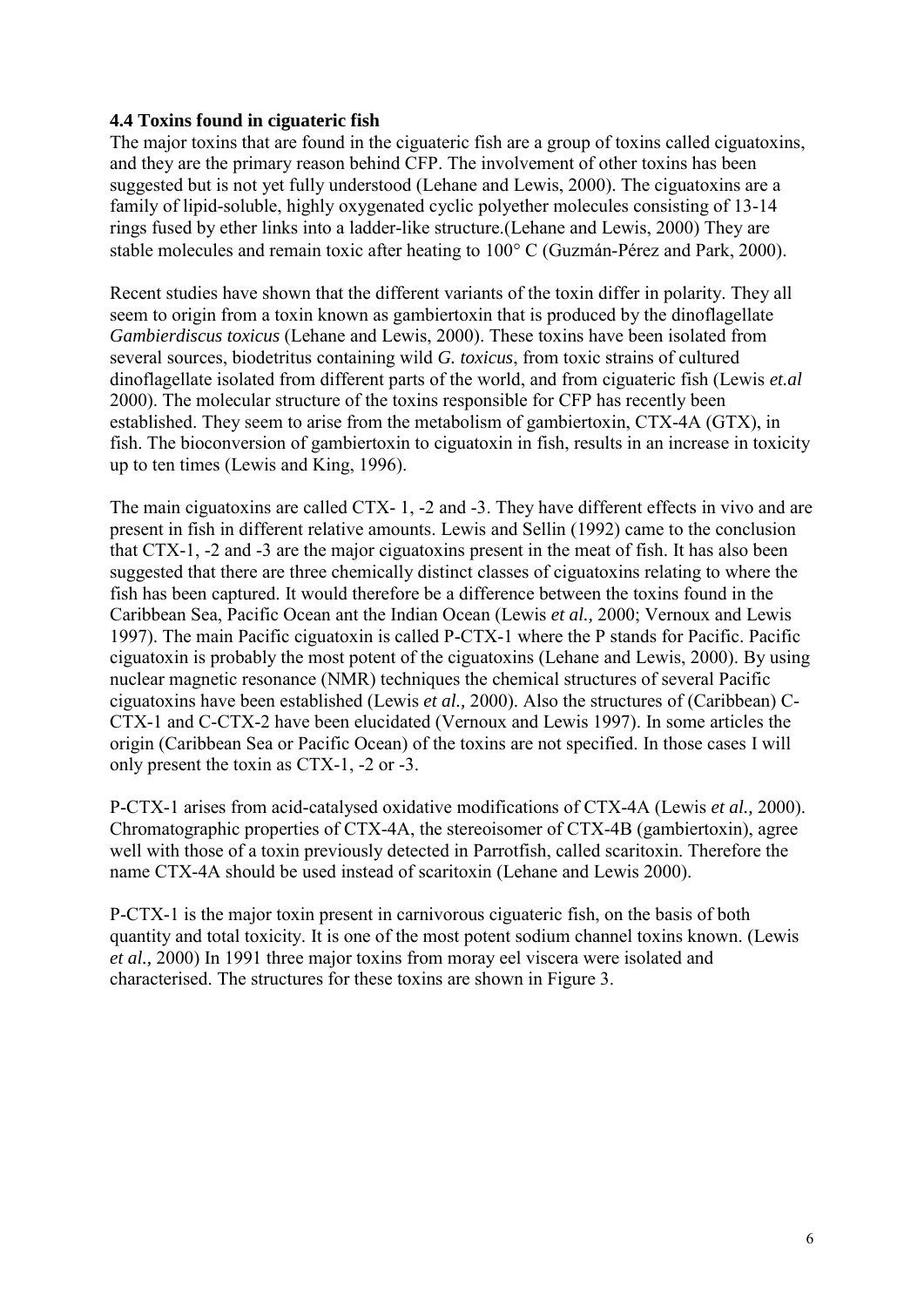# **4.4 Toxins found in ciguateric fish**

The major toxins that are found in the ciguateric fish are a group of toxins called ciguatoxins, and they are the primary reason behind CFP. The involvement of other toxins has been suggested but is not yet fully understood (Lehane and Lewis, 2000). The ciguatoxins are a family of lipid-soluble, highly oxygenated cyclic polyether molecules consisting of 13-14 rings fused by ether links into a ladder-like structure.(Lehane and Lewis, 2000) They are stable molecules and remain toxic after heating to 100° C (Guzmán-Pérez and Park, 2000).

Recent studies have shown that the different variants of the toxin differ in polarity. They all seem to origin from a toxin known as gambiertoxin that is produced by the dinoflagellate *Gambierdiscus toxicus* (Lehane and Lewis, 2000). These toxins have been isolated from several sources, biodetritus containing wild *G. toxicus*, from toxic strains of cultured dinoflagellate isolated from different parts of the world, and from ciguateric fish (Lewis *et.al* 2000). The molecular structure of the toxins responsible for CFP has recently been established. They seem to arise from the metabolism of gambiertoxin, CTX-4A (GTX), in fish. The bioconversion of gambiertoxin to ciguatoxin in fish, results in an increase in toxicity up to ten times (Lewis and King, 1996).

The main ciguatoxins are called CTX- 1, -2 and -3. They have different effects in vivo and are present in fish in different relative amounts. Lewis and Sellin (1992) came to the conclusion that CTX-1, -2 and -3 are the major ciguatoxins present in the meat of fish. It has also been suggested that there are three chemically distinct classes of ciguatoxins relating to where the fish has been captured. It would therefore be a difference between the toxins found in the Caribbean Sea, Pacific Ocean ant the Indian Ocean (Lewis *et al.,* 2000; Vernoux and Lewis 1997). The main Pacific ciguatoxin is called P-CTX-1 where the P stands for Pacific. Pacific ciguatoxin is probably the most potent of the ciguatoxins (Lehane and Lewis, 2000). By using nuclear magnetic resonance (NMR) techniques the chemical structures of several Pacific ciguatoxins have been established (Lewis *et al.,* 2000). Also the structures of (Caribbean) C-CTX-1 and C-CTX-2 have been elucidated (Vernoux and Lewis 1997). In some articles the origin (Caribbean Sea or Pacific Ocean) of the toxins are not specified. In those cases I will only present the toxin as CTX-1, -2 or -3.

P-CTX-1 arises from acid-catalysed oxidative modifications of CTX-4A (Lewis *et al.,* 2000). Chromatographic properties of CTX-4A, the stereoisomer of CTX-4B (gambiertoxin), agree well with those of a toxin previously detected in Parrotfish, called scaritoxin. Therefore the name CTX-4A should be used instead of scaritoxin (Lehane and Lewis 2000).

P-CTX-1 is the major toxin present in carnivorous ciguateric fish, on the basis of both quantity and total toxicity. It is one of the most potent sodium channel toxins known. (Lewis *et al.,* 2000) In 1991 three major toxins from moray eel viscera were isolated and characterised. The structures for these toxins are shown in Figure 3.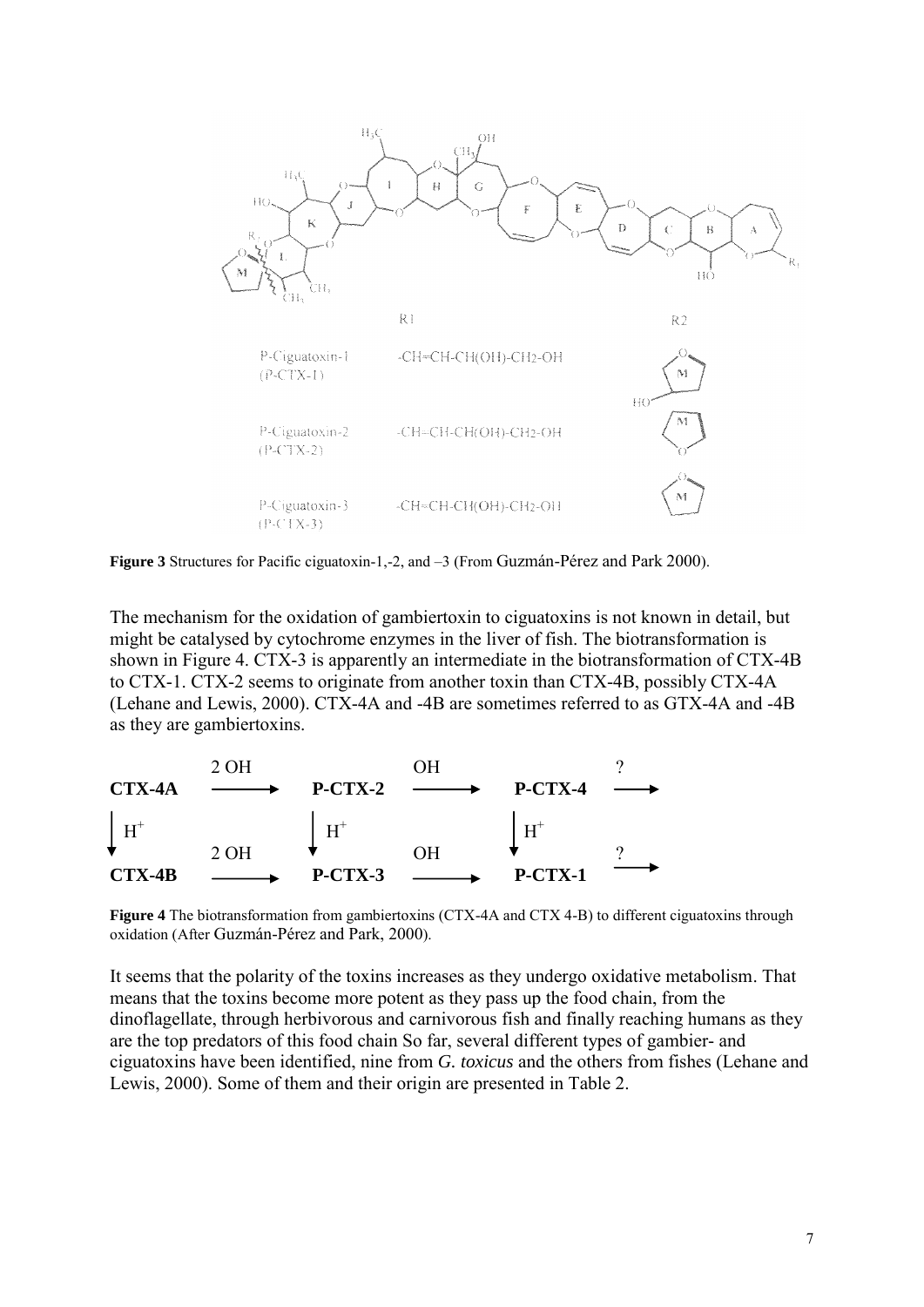

**Figure 3** Structures for Pacific ciguatoxin-1,-2, and –3 (From Guzmán-Pérez and Park 2000).

The mechanism for the oxidation of gambiertoxin to ciguatoxins is not known in detail, but might be catalysed by cytochrome enzymes in the liver of fish. The biotransformation is shown in Figure 4. CTX-3 is apparently an intermediate in the biotransformation of CTX-4B to CTX-1. CTX-2 seems to originate from another toxin than CTX-4B, possibly CTX-4A (Lehane and Lewis, 2000). CTX-4A and -4B are sometimes referred to as GTX-4A and -4B as they are gambiertoxins.



**Figure 4** The biotransformation from gambiertoxins (CTX-4A and CTX 4-B) to different ciguatoxins through oxidation (After Guzmán-Pérez and Park, 2000).

It seems that the polarity of the toxins increases as they undergo oxidative metabolism. That means that the toxins become more potent as they pass up the food chain, from the dinoflagellate, through herbivorous and carnivorous fish and finally reaching humans as they are the top predators of this food chain So far, several different types of gambier- and ciguatoxins have been identified, nine from *G. toxicus* and the others from fishes (Lehane and Lewis, 2000). Some of them and their origin are presented in Table 2.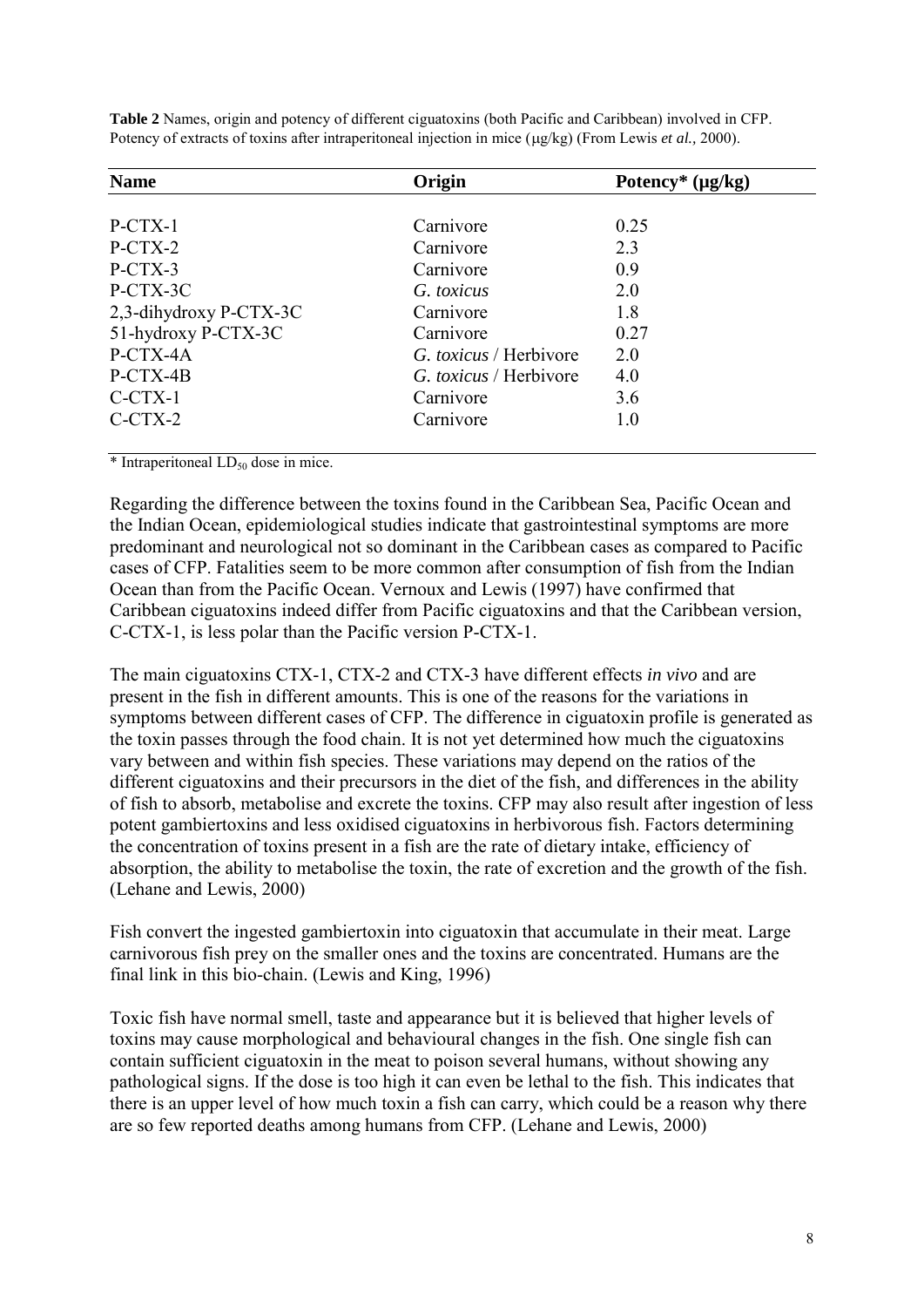| <b>Name</b>            | Origin                        | Potency* $(\mu g/kg)$ |  |
|------------------------|-------------------------------|-----------------------|--|
|                        |                               |                       |  |
| $P-CTX-1$              | Carnivore                     | 0.25                  |  |
| $P-CTX-2$              | Carnivore                     | 2.3                   |  |
| P-CTX-3                | Carnivore                     | 0.9                   |  |
| P-CTX-3C               | G. toxicus                    | 2.0                   |  |
| 2,3-dihydroxy P-CTX-3C | Carnivore                     | 1.8                   |  |
| 51-hydroxy P-CTX-3C    | Carnivore                     | 0.27                  |  |
| P-CTX-4A               | G. toxicus / Herbivore        | 2.0                   |  |
| P-CTX-4B               | <i>G. toxicus</i> / Herbivore | 4.0                   |  |
| $C-CTX-1$              | Carnivore                     | 3.6                   |  |
| $C-CTX-2$              | Carnivore                     | 1.0                   |  |

**Table 2** Names, origin and potency of different ciguatoxins (both Pacific and Caribbean) involved in CFP. Potency of extracts of toxins after intraperitoneal injection in mice ( $\mu$ g/kg) (From Lewis *et al.*, 2000).

 $*$  Intraperitoneal  $LD_{50}$  dose in mice.

Regarding the difference between the toxins found in the Caribbean Sea, Pacific Ocean and the Indian Ocean, epidemiological studies indicate that gastrointestinal symptoms are more predominant and neurological not so dominant in the Caribbean cases as compared to Pacific cases of CFP. Fatalities seem to be more common after consumption of fish from the Indian Ocean than from the Pacific Ocean. Vernoux and Lewis (1997) have confirmed that Caribbean ciguatoxins indeed differ from Pacific ciguatoxins and that the Caribbean version, C-CTX-1, is less polar than the Pacific version P-CTX-1.

The main ciguatoxins CTX-1, CTX-2 and CTX-3 have different effects *in vivo* and are present in the fish in different amounts. This is one of the reasons for the variations in symptoms between different cases of CFP. The difference in ciguatoxin profile is generated as the toxin passes through the food chain. It is not yet determined how much the ciguatoxins vary between and within fish species. These variations may depend on the ratios of the different ciguatoxins and their precursors in the diet of the fish, and differences in the ability of fish to absorb, metabolise and excrete the toxins. CFP may also result after ingestion of less potent gambiertoxins and less oxidised ciguatoxins in herbivorous fish. Factors determining the concentration of toxins present in a fish are the rate of dietary intake, efficiency of absorption, the ability to metabolise the toxin, the rate of excretion and the growth of the fish. (Lehane and Lewis, 2000)

Fish convert the ingested gambiertoxin into ciguatoxin that accumulate in their meat. Large carnivorous fish prey on the smaller ones and the toxins are concentrated. Humans are the final link in this bio-chain. (Lewis and King, 1996)

Toxic fish have normal smell, taste and appearance but it is believed that higher levels of toxins may cause morphological and behavioural changes in the fish. One single fish can contain sufficient ciguatoxin in the meat to poison several humans, without showing any pathological signs. If the dose is too high it can even be lethal to the fish. This indicates that there is an upper level of how much toxin a fish can carry, which could be a reason why there are so few reported deaths among humans from CFP. (Lehane and Lewis, 2000)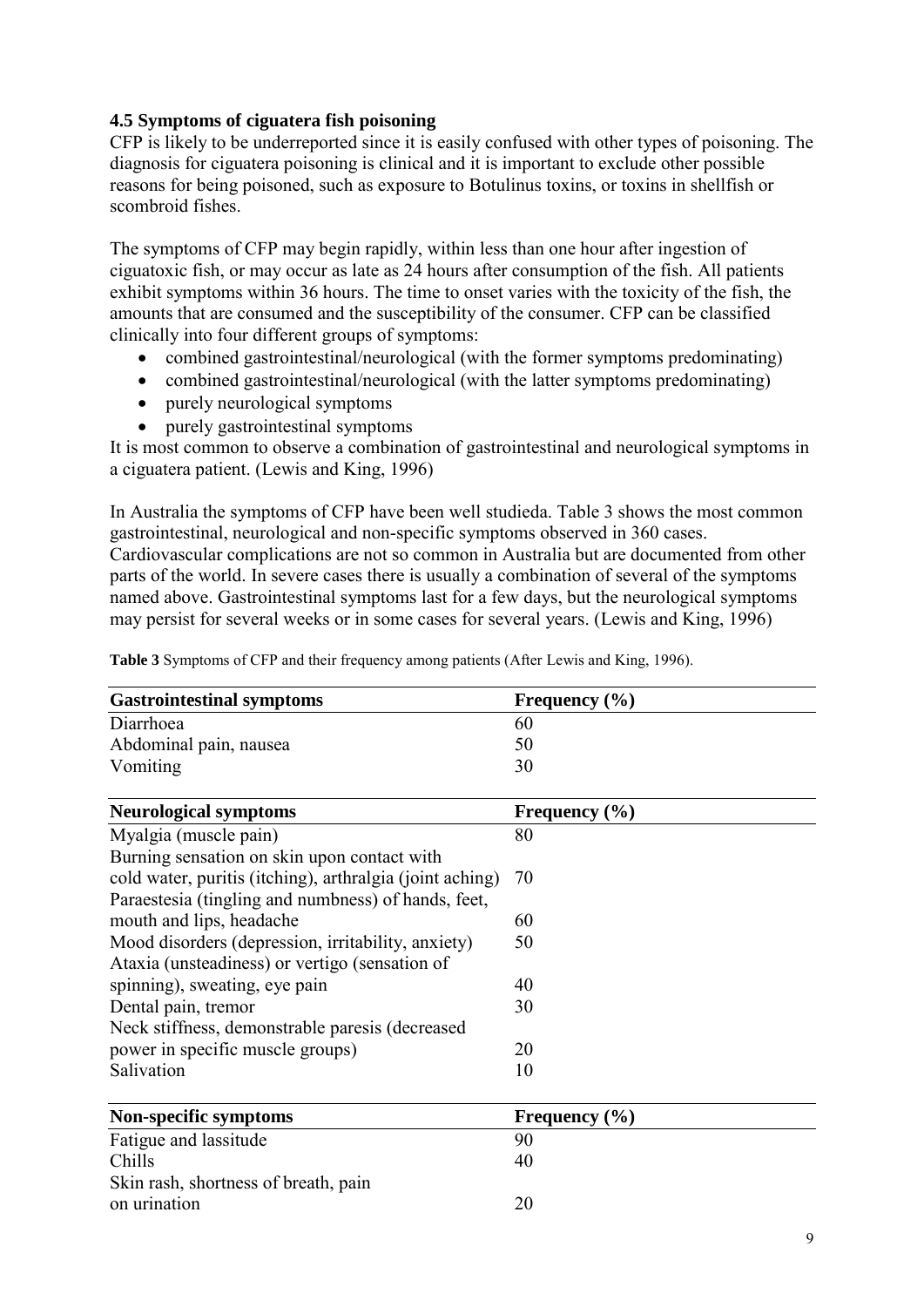# **4.5 Symptoms of ciguatera fish poisoning**

CFP is likely to be underreported since it is easily confused with other types of poisoning. The diagnosis for ciguatera poisoning is clinical and it is important to exclude other possible reasons for being poisoned, such as exposure to Botulinus toxins, or toxins in shellfish or scombroid fishes.

The symptoms of CFP may begin rapidly, within less than one hour after ingestion of ciguatoxic fish, or may occur as late as 24 hours after consumption of the fish. All patients exhibit symptoms within 36 hours. The time to onset varies with the toxicity of the fish, the amounts that are consumed and the susceptibility of the consumer. CFP can be classified clinically into four different groups of symptoms:

- combined gastrointestinal/neurological (with the former symptoms predominating)
- combined gastrointestinal/neurological (with the latter symptoms predominating)
- purely neurological symptoms
- purely gastrointestinal symptoms

It is most common to observe a combination of gastrointestinal and neurological symptoms in a ciguatera patient. (Lewis and King, 1996)

In Australia the symptoms of CFP have been well studieda. Table 3 shows the most common gastrointestinal, neurological and non-specific symptoms observed in 360 cases. Cardiovascular complications are not so common in Australia but are documented from other parts of the world. In severe cases there is usually a combination of several of the symptoms named above. Gastrointestinal symptoms last for a few days, but the neurological symptoms may persist for several weeks or in some cases for several years. (Lewis and King, 1996)

| <b>Gastrointestinal symptoms</b>                         | Frequency $(\% )$ |  |
|----------------------------------------------------------|-------------------|--|
| Diarrhoea                                                | 60                |  |
| Abdominal pain, nausea                                   | 50                |  |
| Vomiting                                                 | 30                |  |
| <b>Neurological symptoms</b>                             | Frequency $(\% )$ |  |
| Myalgia (muscle pain)                                    | 80                |  |
| Burning sensation on skin upon contact with              |                   |  |
| cold water, puritis (itching), arthralgia (joint aching) | 70                |  |
| Paraestesia (tingling and numbness) of hands, feet,      |                   |  |
| mouth and lips, headache                                 | 60                |  |
| Mood disorders (depression, irritability, anxiety)       | 50                |  |
| Ataxia (unsteadiness) or vertigo (sensation of           |                   |  |
| spinning), sweating, eye pain                            | 40                |  |
| Dental pain, tremor                                      | 30                |  |
| Neck stiffness, demonstrable paresis (decreased          |                   |  |
| power in specific muscle groups)                         | 20                |  |
| Salivation                                               | 10                |  |
| Non-specific symptoms                                    | Frequency $(\% )$ |  |
| Fatigue and lassitude                                    | 90                |  |
| Chills                                                   | 40                |  |
| Skin rash, shortness of breath, pain                     |                   |  |

**Table 3** Symptoms of CFP and their frequency among patients (After Lewis and King, 1996).

on urination 20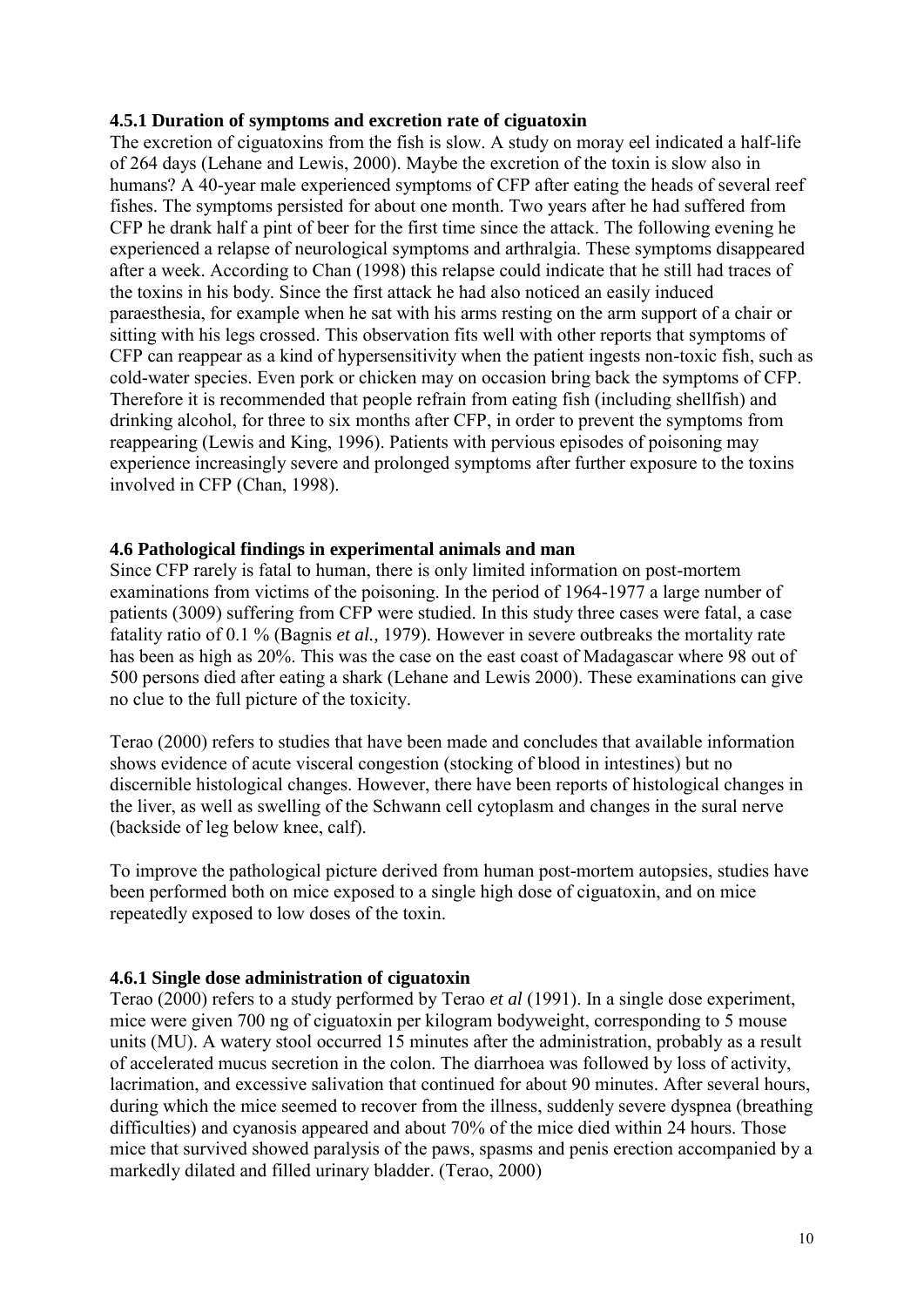#### **4.5.1 Duration of symptoms and excretion rate of ciguatoxin**

The excretion of ciguatoxins from the fish is slow. A study on moray eel indicated a half-life of 264 days (Lehane and Lewis, 2000). Maybe the excretion of the toxin is slow also in humans? A 40-year male experienced symptoms of CFP after eating the heads of several reef fishes. The symptoms persisted for about one month. Two years after he had suffered from CFP he drank half a pint of beer for the first time since the attack. The following evening he experienced a relapse of neurological symptoms and arthralgia. These symptoms disappeared after a week. According to Chan (1998) this relapse could indicate that he still had traces of the toxins in his body. Since the first attack he had also noticed an easily induced paraesthesia, for example when he sat with his arms resting on the arm support of a chair or sitting with his legs crossed. This observation fits well with other reports that symptoms of CFP can reappear as a kind of hypersensitivity when the patient ingests non-toxic fish, such as cold-water species. Even pork or chicken may on occasion bring back the symptoms of CFP. Therefore it is recommended that people refrain from eating fish (including shellfish) and drinking alcohol, for three to six months after CFP, in order to prevent the symptoms from reappearing (Lewis and King, 1996). Patients with pervious episodes of poisoning may experience increasingly severe and prolonged symptoms after further exposure to the toxins involved in CFP (Chan, 1998).

## **4.6 Pathological findings in experimental animals and man**

Since CFP rarely is fatal to human, there is only limited information on post-mortem examinations from victims of the poisoning. In the period of 1964-1977 a large number of patients (3009) suffering from CFP were studied. In this study three cases were fatal, a case fatality ratio of 0.1 % (Bagnis *et al.,* 1979). However in severe outbreaks the mortality rate has been as high as 20%. This was the case on the east coast of Madagascar where 98 out of 500 persons died after eating a shark (Lehane and Lewis 2000). These examinations can give no clue to the full picture of the toxicity.

Terao (2000) refers to studies that have been made and concludes that available information shows evidence of acute visceral congestion (stocking of blood in intestines) but no discernible histological changes. However, there have been reports of histological changes in the liver, as well as swelling of the Schwann cell cytoplasm and changes in the sural nerve (backside of leg below knee, calf).

To improve the pathological picture derived from human post-mortem autopsies, studies have been performed both on mice exposed to a single high dose of ciguatoxin, and on mice repeatedly exposed to low doses of the toxin.

# **4.6.1 Single dose administration of ciguatoxin**

Terao (2000) refers to a study performed by Terao *et al* (1991). In a single dose experiment, mice were given 700 ng of ciguatoxin per kilogram bodyweight, corresponding to 5 mouse units (MU). A watery stool occurred 15 minutes after the administration, probably as a result of accelerated mucus secretion in the colon. The diarrhoea was followed by loss of activity, lacrimation, and excessive salivation that continued for about 90 minutes. After several hours, during which the mice seemed to recover from the illness, suddenly severe dyspnea (breathing difficulties) and cyanosis appeared and about 70% of the mice died within 24 hours. Those mice that survived showed paralysis of the paws, spasms and penis erection accompanied by a markedly dilated and filled urinary bladder. (Terao, 2000)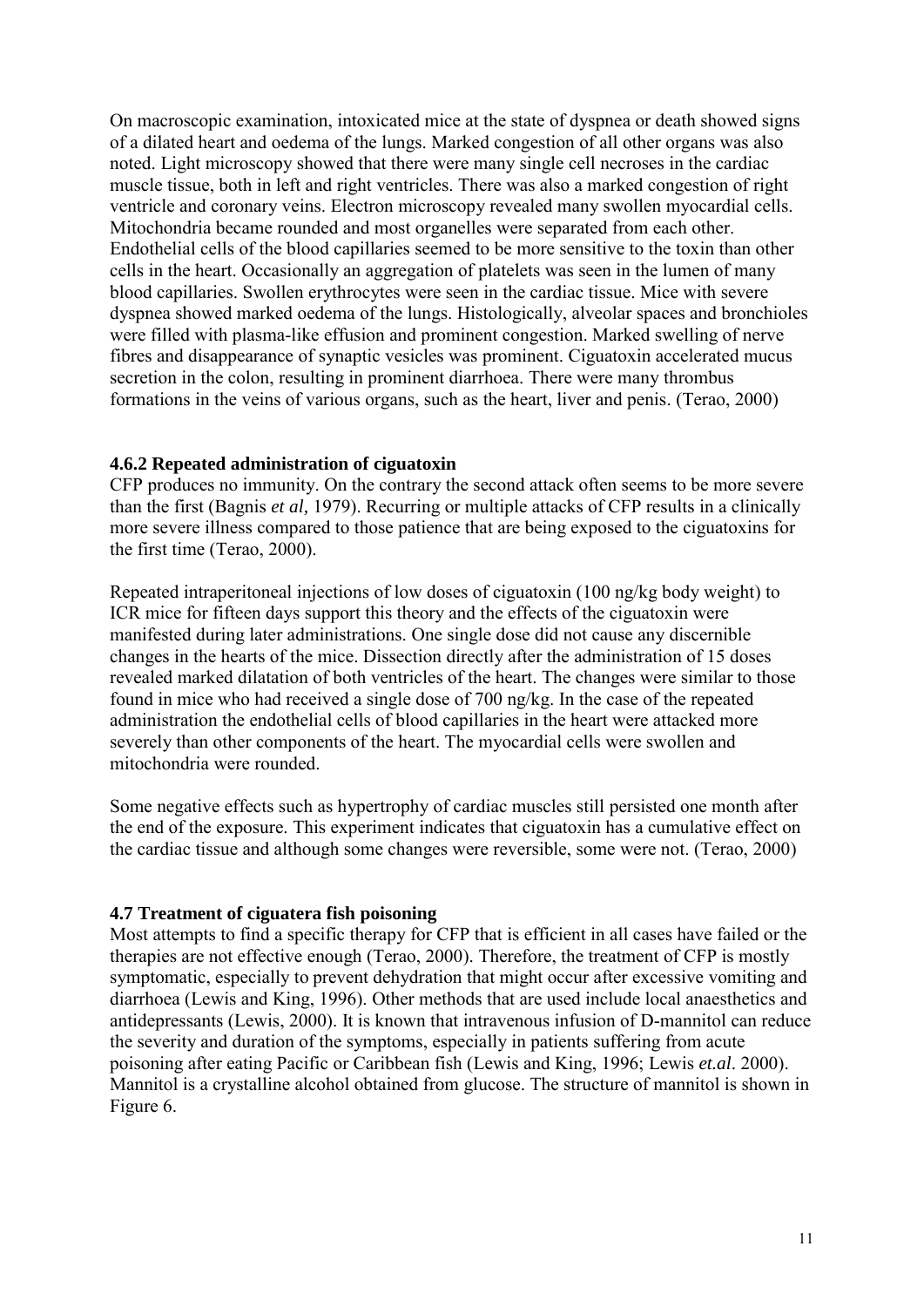On macroscopic examination, intoxicated mice at the state of dyspnea or death showed signs of a dilated heart and oedema of the lungs. Marked congestion of all other organs was also noted. Light microscopy showed that there were many single cell necroses in the cardiac muscle tissue, both in left and right ventricles. There was also a marked congestion of right ventricle and coronary veins. Electron microscopy revealed many swollen myocardial cells. Mitochondria became rounded and most organelles were separated from each other. Endothelial cells of the blood capillaries seemed to be more sensitive to the toxin than other cells in the heart. Occasionally an aggregation of platelets was seen in the lumen of many blood capillaries. Swollen erythrocytes were seen in the cardiac tissue. Mice with severe dyspnea showed marked oedema of the lungs. Histologically, alveolar spaces and bronchioles were filled with plasma-like effusion and prominent congestion. Marked swelling of nerve fibres and disappearance of synaptic vesicles was prominent. Ciguatoxin accelerated mucus secretion in the colon, resulting in prominent diarrhoea. There were many thrombus formations in the veins of various organs, such as the heart, liver and penis. (Terao, 2000)

#### **4.6.2 Repeated administration of ciguatoxin**

CFP produces no immunity. On the contrary the second attack often seems to be more severe than the first (Bagnis *et al,* 1979). Recurring or multiple attacks of CFP results in a clinically more severe illness compared to those patience that are being exposed to the ciguatoxins for the first time (Terao, 2000).

Repeated intraperitoneal injections of low doses of ciguatoxin (100 ng/kg body weight) to ICR mice for fifteen days support this theory and the effects of the ciguatoxin were manifested during later administrations. One single dose did not cause any discernible changes in the hearts of the mice. Dissection directly after the administration of 15 doses revealed marked dilatation of both ventricles of the heart. The changes were similar to those found in mice who had received a single dose of 700 ng/kg. In the case of the repeated administration the endothelial cells of blood capillaries in the heart were attacked more severely than other components of the heart. The myocardial cells were swollen and mitochondria were rounded.

Some negative effects such as hypertrophy of cardiac muscles still persisted one month after the end of the exposure. This experiment indicates that ciguatoxin has a cumulative effect on the cardiac tissue and although some changes were reversible, some were not. (Terao, 2000)

#### **4.7 Treatment of ciguatera fish poisoning**

Most attempts to find a specific therapy for CFP that is efficient in all cases have failed or the therapies are not effective enough (Terao, 2000). Therefore, the treatment of CFP is mostly symptomatic, especially to prevent dehydration that might occur after excessive vomiting and diarrhoea (Lewis and King, 1996). Other methods that are used include local anaesthetics and antidepressants (Lewis, 2000). It is known that intravenous infusion of D-mannitol can reduce the severity and duration of the symptoms, especially in patients suffering from acute poisoning after eating Pacific or Caribbean fish (Lewis and King, 1996; Lewis *et.al*. 2000). Mannitol is a crystalline alcohol obtained from glucose. The structure of mannitol is shown in Figure 6.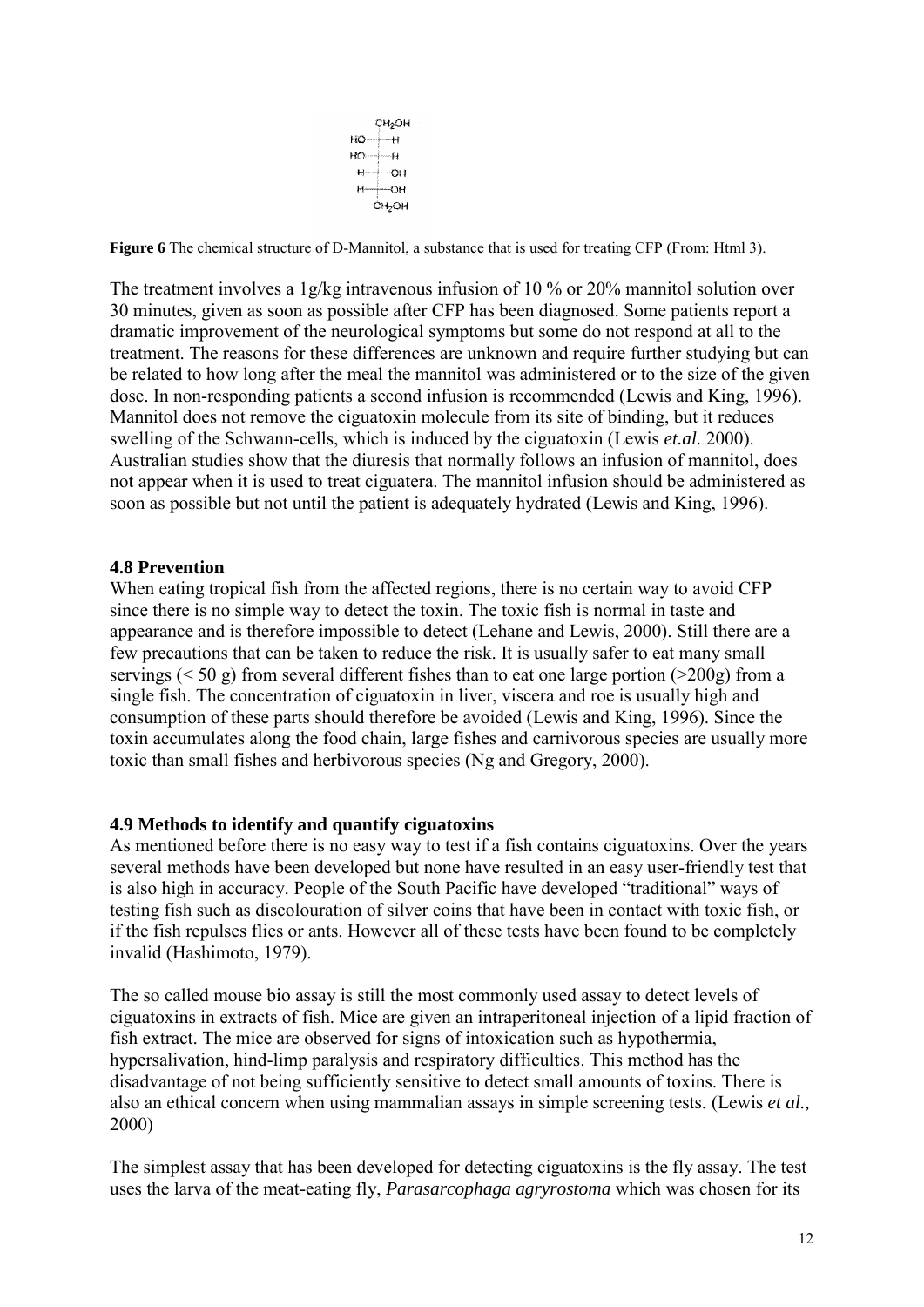CH<sub>2</sub>OH  $HO \rightarrow H$  $H_0 \rightarrow H_1$  $H \rightarrow OH$  $H \rightarrow \overline{O}H$ **CH<sub>2</sub>OH** 

**Figure 6** The chemical structure of D-Mannitol, a substance that is used for treating CFP (From: Html 3).

The treatment involves a 1g/kg intravenous infusion of 10 % or 20% mannitol solution over 30 minutes, given as soon as possible after CFP has been diagnosed. Some patients report a dramatic improvement of the neurological symptoms but some do not respond at all to the treatment. The reasons for these differences are unknown and require further studying but can be related to how long after the meal the mannitol was administered or to the size of the given dose. In non-responding patients a second infusion is recommended (Lewis and King, 1996). Mannitol does not remove the ciguatoxin molecule from its site of binding, but it reduces swelling of the Schwann-cells, which is induced by the ciguatoxin (Lewis *et.al.* 2000). Australian studies show that the diuresis that normally follows an infusion of mannitol, does not appear when it is used to treat ciguatera. The mannitol infusion should be administered as soon as possible but not until the patient is adequately hydrated (Lewis and King, 1996).

## **4.8 Prevention**

When eating tropical fish from the affected regions, there is no certain way to avoid CFP since there is no simple way to detect the toxin. The toxic fish is normal in taste and appearance and is therefore impossible to detect (Lehane and Lewis, 2000). Still there are a few precautions that can be taken to reduce the risk. It is usually safer to eat many small servings ( $\leq 50$  g) from several different fishes than to eat one large portion ( $\geq 200$ g) from a single fish. The concentration of ciguatoxin in liver, viscera and roe is usually high and consumption of these parts should therefore be avoided (Lewis and King, 1996). Since the toxin accumulates along the food chain, large fishes and carnivorous species are usually more toxic than small fishes and herbivorous species (Ng and Gregory, 2000).

#### **4.9 Methods to identify and quantify ciguatoxins**

As mentioned before there is no easy way to test if a fish contains ciguatoxins. Over the years several methods have been developed but none have resulted in an easy user-friendly test that is also high in accuracy. People of the South Pacific have developed "traditional" ways of testing fish such as discolouration of silver coins that have been in contact with toxic fish, or if the fish repulses flies or ants. However all of these tests have been found to be completely invalid (Hashimoto, 1979).

The so called mouse bio assay is still the most commonly used assay to detect levels of ciguatoxins in extracts of fish. Mice are given an intraperitoneal injection of a lipid fraction of fish extract. The mice are observed for signs of intoxication such as hypothermia, hypersalivation, hind-limp paralysis and respiratory difficulties. This method has the disadvantage of not being sufficiently sensitive to detect small amounts of toxins. There is also an ethical concern when using mammalian assays in simple screening tests. (Lewis *et al.,* 2000)

The simplest assay that has been developed for detecting ciguatoxins is the fly assay. The test uses the larva of the meat-eating fly, *Parasarcophaga agryrostoma* which was chosen for its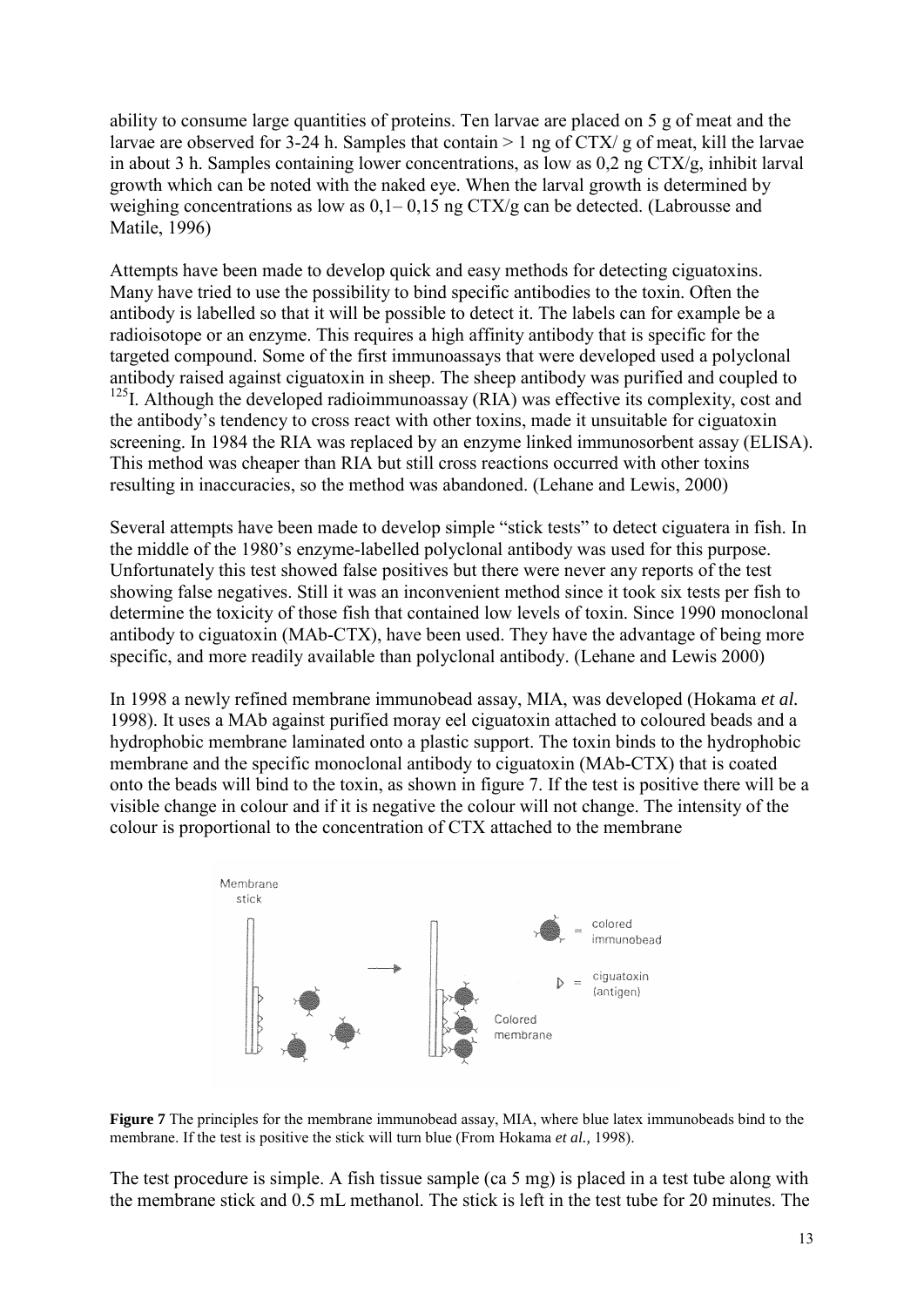ability to consume large quantities of proteins. Ten larvae are placed on 5 g of meat and the larvae are observed for 3-24 h. Samples that contain  $> 1$  ng of CTX/ g of meat, kill the larvae in about 3 h. Samples containing lower concentrations, as low as 0,2 ng CTX/g, inhibit larval growth which can be noted with the naked eye. When the larval growth is determined by weighing concentrations as low as  $0.1-0.15$  ng CTX/g can be detected. (Labrousse and Matile, 1996)

Attempts have been made to develop quick and easy methods for detecting ciguatoxins. Many have tried to use the possibility to bind specific antibodies to the toxin. Often the antibody is labelled so that it will be possible to detect it. The labels can for example be a radioisotope or an enzyme. This requires a high affinity antibody that is specific for the targeted compound. Some of the first immunoassays that were developed used a polyclonal antibody raised against ciguatoxin in sheep. The sheep antibody was purified and coupled to <sup>125</sup>I. Although the developed radioimmunoassay (RIA) was effective its complexity, cost and the antibody's tendency to cross react with other toxins, made it unsuitable for ciguatoxin screening. In 1984 the RIA was replaced by an enzyme linked immunosorbent assay (ELISA). This method was cheaper than RIA but still cross reactions occurred with other toxins resulting in inaccuracies, so the method was abandoned. (Lehane and Lewis, 2000)

Several attempts have been made to develop simple "stick tests" to detect ciguatera in fish. In the middle of the 1980's enzyme-labelled polyclonal antibody was used for this purpose. Unfortunately this test showed false positives but there were never any reports of the test showing false negatives. Still it was an inconvenient method since it took six tests per fish to determine the toxicity of those fish that contained low levels of toxin. Since 1990 monoclonal antibody to ciguatoxin (MAb-CTX), have been used. They have the advantage of being more specific, and more readily available than polyclonal antibody. (Lehane and Lewis 2000)

In 1998 a newly refined membrane immunobead assay, MIA, was developed (Hokama *et al.* 1998). It uses a MAb against purified moray eel ciguatoxin attached to coloured beads and a hydrophobic membrane laminated onto a plastic support. The toxin binds to the hydrophobic membrane and the specific monoclonal antibody to ciguatoxin (MAb-CTX) that is coated onto the beads will bind to the toxin, as shown in figure 7. If the test is positive there will be a visible change in colour and if it is negative the colour will not change. The intensity of the colour is proportional to the concentration of CTX attached to the membrane



**Figure 7** The principles for the membrane immunobead assay, MIA, where blue latex immunobeads bind to the membrane. If the test is positive the stick will turn blue (From Hokama *et al.*, 1998).

The test procedure is simple. A fish tissue sample (ca 5 mg) is placed in a test tube along with the membrane stick and 0.5 mL methanol. The stick is left in the test tube for 20 minutes. The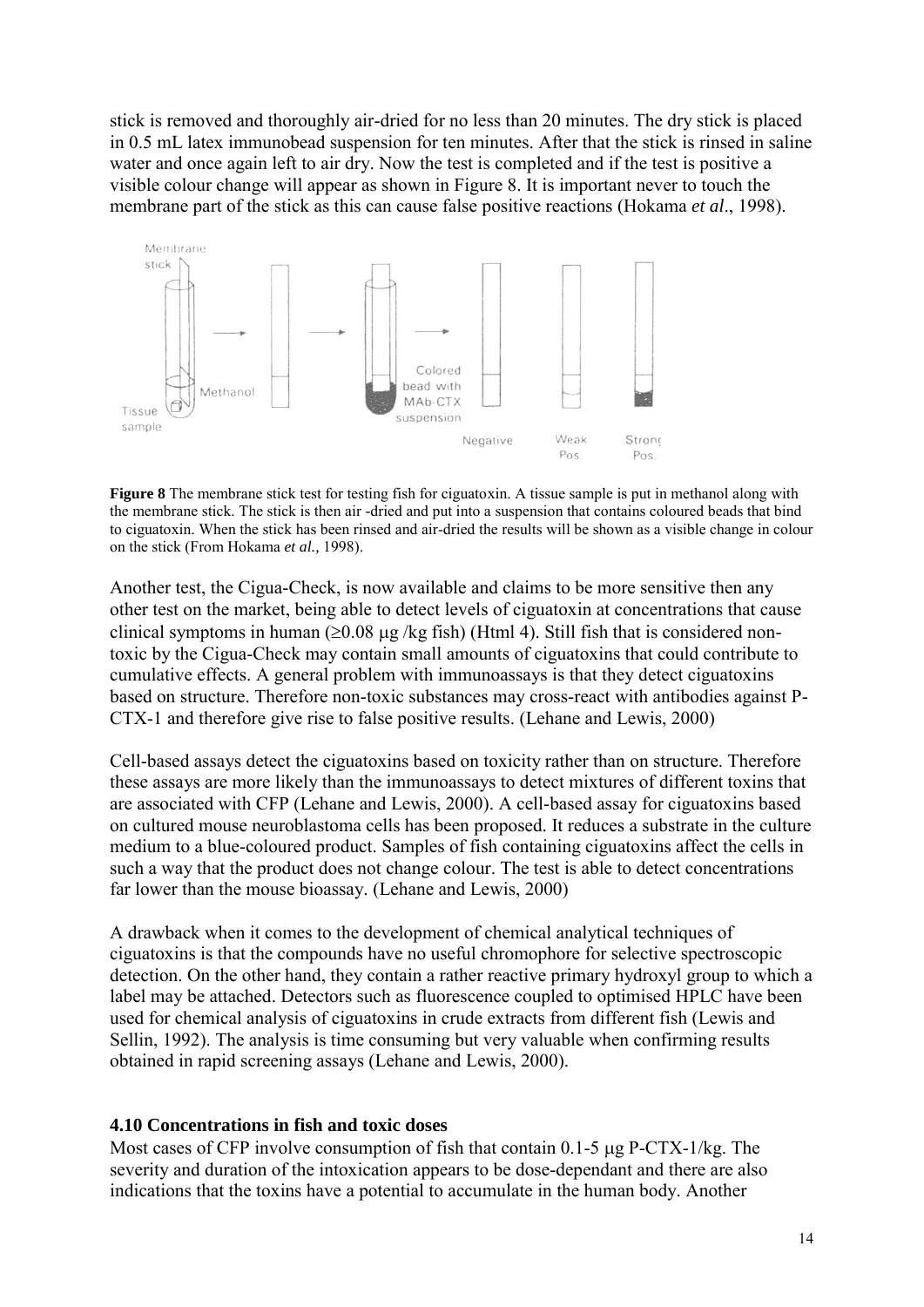stick is removed and thoroughly air-dried for no less than 20 minutes. The dry stick is placed in 0.5 mL latex immunobead suspension for ten minutes. After that the stick is rinsed in saline water and once again left to air dry. Now the test is completed and if the test is positive a visible colour change will appear as shown in Figure 8. It is important never to touch the membrane part of the stick as this can cause false positive reactions (Hokama *et al*., 1998).



**Figure 8** The membrane stick test for testing fish for ciguatoxin. A tissue sample is put in methanol along with the membrane stick. The stick is then air -dried and put into a suspension that contains coloured beads that bind to ciguatoxin. When the stick has been rinsed and air-dried the results will be shown as a visible change in colour on the stick (From Hokama *et al.,* 1998).

Another test, the Cigua-Check, is now available and claims to be more sensitive then any other test on the market, being able to detect levels of ciguatoxin at concentrations that cause clinical symptoms in human ( $\geq$ 0.08 µg /kg fish) (Html 4). Still fish that is considered nontoxic by the Cigua-Check may contain small amounts of ciguatoxins that could contribute to cumulative effects. A general problem with immunoassays is that they detect ciguatoxins based on structure. Therefore non-toxic substances may cross-react with antibodies against P-CTX-1 and therefore give rise to false positive results. (Lehane and Lewis, 2000)

Cell-based assays detect the ciguatoxins based on toxicity rather than on structure. Therefore these assays are more likely than the immunoassays to detect mixtures of different toxins that are associated with CFP (Lehane and Lewis, 2000). A cell-based assay for ciguatoxins based on cultured mouse neuroblastoma cells has been proposed. It reduces a substrate in the culture medium to a blue-coloured product. Samples of fish containing ciguatoxins affect the cells in such a way that the product does not change colour. The test is able to detect concentrations far lower than the mouse bioassay. (Lehane and Lewis, 2000)

A drawback when it comes to the development of chemical analytical techniques of ciguatoxins is that the compounds have no useful chromophore for selective spectroscopic detection. On the other hand, they contain a rather reactive primary hydroxyl group to which a label may be attached. Detectors such as fluorescence coupled to optimised HPLC have been used for chemical analysis of ciguatoxins in crude extracts from different fish (Lewis and Sellin, 1992). The analysis is time consuming but very valuable when confirming results obtained in rapid screening assays (Lehane and Lewis, 2000).

#### **4.10 Concentrations in fish and toxic doses**

Most cases of CFP involve consumption of fish that contain  $0.1$ -5  $\mu$ g P-CTX-1/kg. The severity and duration of the intoxication appears to be dose-dependant and there are also indications that the toxins have a potential to accumulate in the human body. Another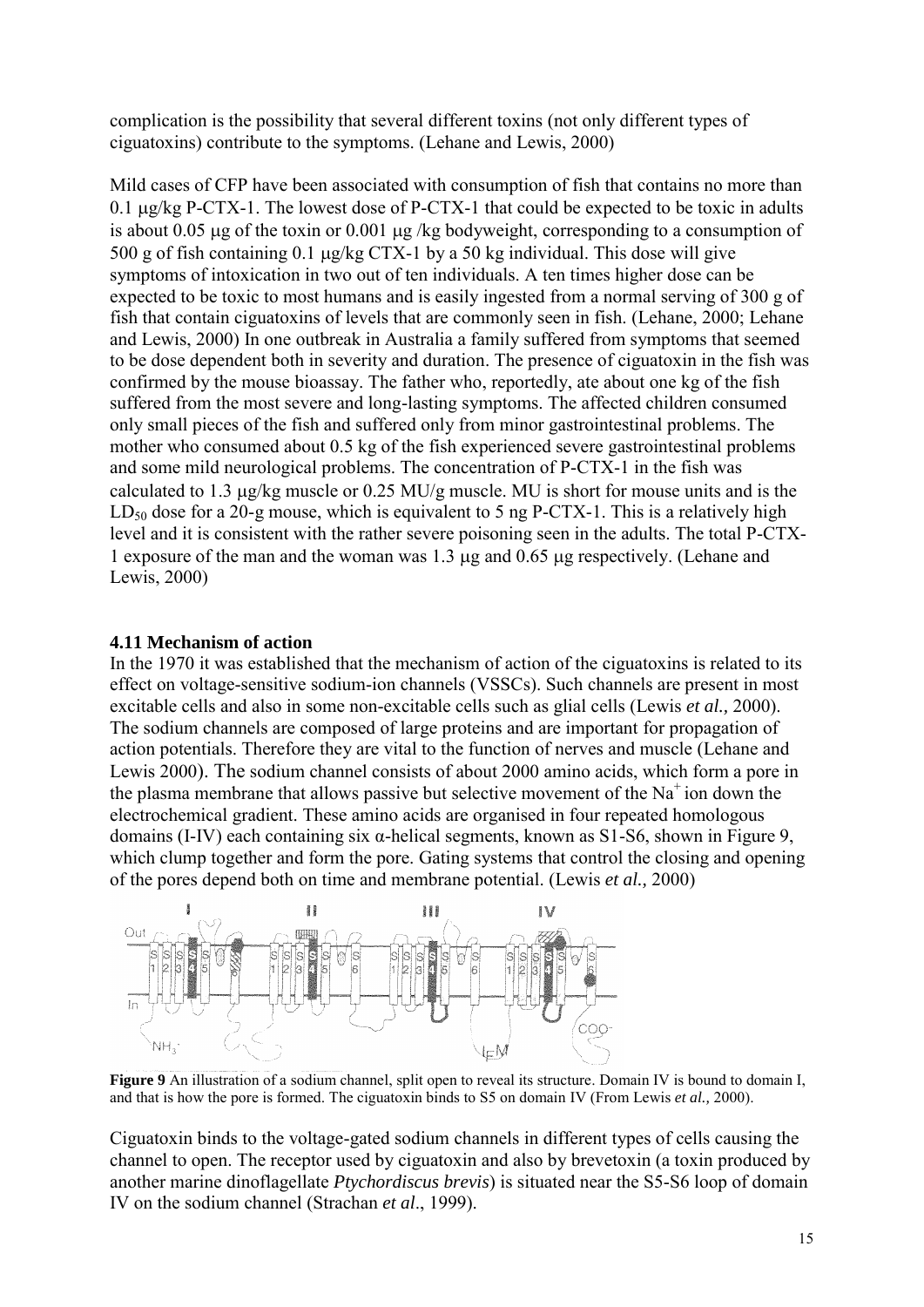complication is the possibility that several different toxins (not only different types of ciguatoxins) contribute to the symptoms. (Lehane and Lewis, 2000)

Mild cases of CFP have been associated with consumption of fish that contains no more than 0.1  $\mu$ g/kg P-CTX-1. The lowest dose of P-CTX-1 that could be expected to be toxic in adults is about 0.05 ug of the toxin or 0.001 ug/kg bodyweight, corresponding to a consumption of 500 g of fish containing 0.1  $\mu$ g/kg CTX-1 by a 50 kg individual. This dose will give symptoms of intoxication in two out of ten individuals. A ten times higher dose can be expected to be toxic to most humans and is easily ingested from a normal serving of 300 g of fish that contain ciguatoxins of levels that are commonly seen in fish. (Lehane, 2000; Lehane and Lewis, 2000) In one outbreak in Australia a family suffered from symptoms that seemed to be dose dependent both in severity and duration. The presence of ciguatoxin in the fish was confirmed by the mouse bioassay. The father who, reportedly, ate about one kg of the fish suffered from the most severe and long-lasting symptoms. The affected children consumed only small pieces of the fish and suffered only from minor gastrointestinal problems. The mother who consumed about 0.5 kg of the fish experienced severe gastrointestinal problems and some mild neurological problems. The concentration of P-CTX-1 in the fish was calculated to 1.3  $\mu$ g/kg muscle or 0.25 MU/g muscle. MU is short for mouse units and is the  $LD_{50}$  dose for a 20-g mouse, which is equivalent to 5 ng P-CTX-1. This is a relatively high level and it is consistent with the rather severe poisoning seen in the adults. The total P-CTX-1 exposure of the man and the woman was 1.3 µg and 0.65 µg respectively. (Lehane and Lewis, 2000)

#### **4.11 Mechanism of action**

In the 1970 it was established that the mechanism of action of the ciguatoxins is related to its effect on voltage-sensitive sodium-ion channels (VSSCs). Such channels are present in most excitable cells and also in some non-excitable cells such as glial cells (Lewis *et al.,* 2000). The sodium channels are composed of large proteins and are important for propagation of action potentials. Therefore they are vital to the function of nerves and muscle (Lehane and Lewis 2000). The sodium channel consists of about 2000 amino acids, which form a pore in the plasma membrane that allows passive but selective movement of the  $Na<sup>+</sup>$  ion down the electrochemical gradient. These amino acids are organised in four repeated homologous domains (I-IV) each containing six α-helical segments, known as S1-S6, shown in Figure 9, which clump together and form the pore. Gating systems that control the closing and opening of the pores depend both on time and membrane potential. (Lewis *et al.,* 2000)



**Figure 9** An illustration of a sodium channel, split open to reveal its structure. Domain IV is bound to domain I, and that is how the pore is formed. The ciguatoxin binds to S5 on domain IV (From Lewis *et al.,* 2000).

Ciguatoxin binds to the voltage-gated sodium channels in different types of cells causing the channel to open. The receptor used by ciguatoxin and also by brevetoxin (a toxin produced by another marine dinoflagellate *Ptychordiscus brevis*) is situated near the S5-S6 loop of domain IV on the sodium channel (Strachan *et al*., 1999).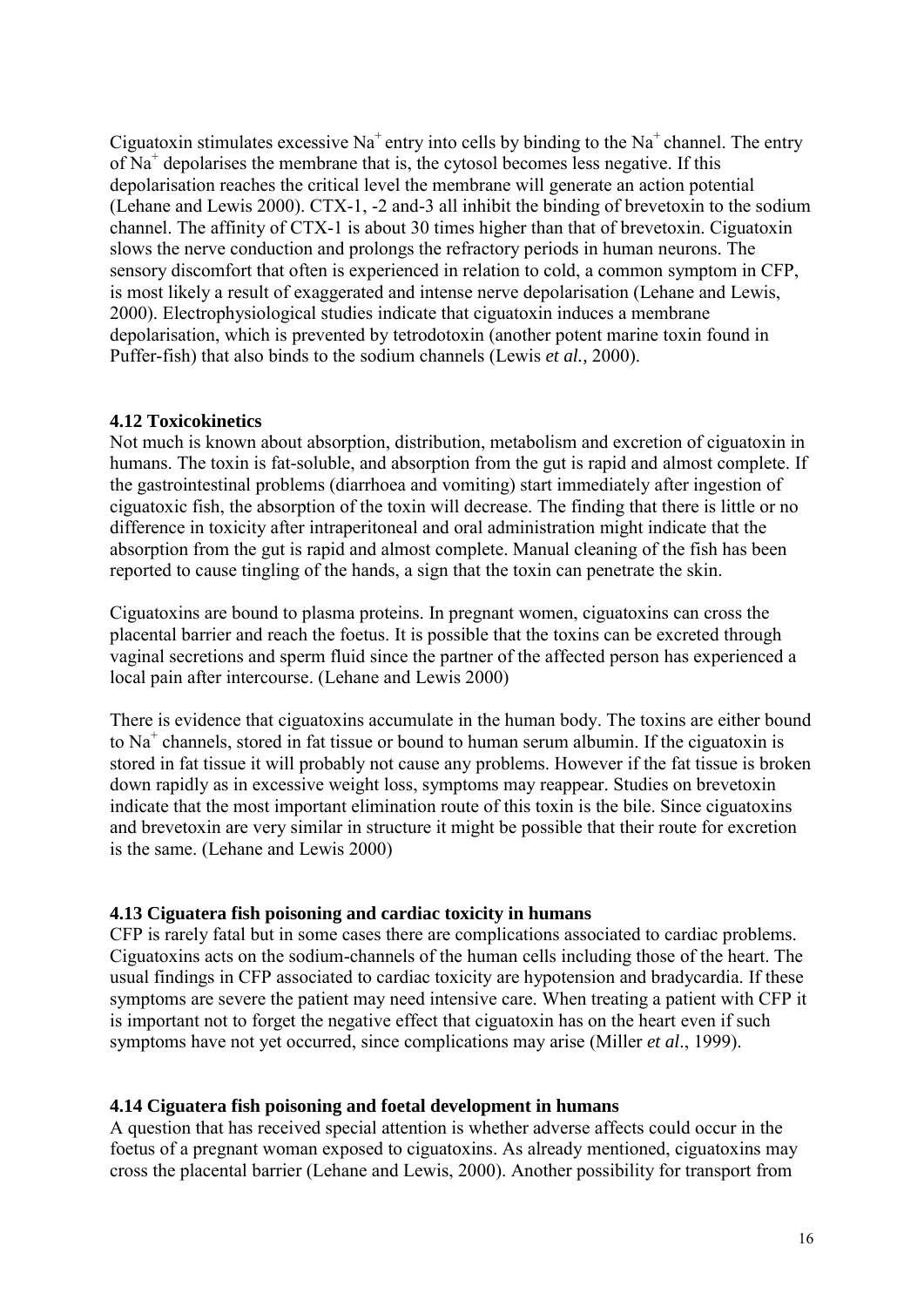Ciguatoxin stimulates excessive  $Na^+$  entry into cells by binding to the  $Na^+$  channel. The entry of Na<sup>+</sup> depolarises the membrane that is, the cytosol becomes less negative. If this depolarisation reaches the critical level the membrane will generate an action potential (Lehane and Lewis 2000). CTX-1, -2 and-3 all inhibit the binding of brevetoxin to the sodium channel. The affinity of CTX-1 is about 30 times higher than that of brevetoxin. Ciguatoxin slows the nerve conduction and prolongs the refractory periods in human neurons. The sensory discomfort that often is experienced in relation to cold, a common symptom in CFP, is most likely a result of exaggerated and intense nerve depolarisation (Lehane and Lewis, 2000). Electrophysiological studies indicate that ciguatoxin induces a membrane depolarisation, which is prevented by tetrodotoxin (another potent marine toxin found in Puffer-fish) that also binds to the sodium channels (Lewis *et al.,* 2000).

#### **4.12 Toxicokinetics**

Not much is known about absorption, distribution, metabolism and excretion of ciguatoxin in humans. The toxin is fat-soluble, and absorption from the gut is rapid and almost complete. If the gastrointestinal problems (diarrhoea and vomiting) start immediately after ingestion of ciguatoxic fish, the absorption of the toxin will decrease. The finding that there is little or no difference in toxicity after intraperitoneal and oral administration might indicate that the absorption from the gut is rapid and almost complete. Manual cleaning of the fish has been reported to cause tingling of the hands, a sign that the toxin can penetrate the skin.

Ciguatoxins are bound to plasma proteins. In pregnant women, ciguatoxins can cross the placental barrier and reach the foetus. It is possible that the toxins can be excreted through vaginal secretions and sperm fluid since the partner of the affected person has experienced a local pain after intercourse. (Lehane and Lewis 2000)

There is evidence that ciguatoxins accumulate in the human body. The toxins are either bound to Na<sup>+</sup> channels, stored in fat tissue or bound to human serum albumin. If the ciguatoxin is stored in fat tissue it will probably not cause any problems. However if the fat tissue is broken down rapidly as in excessive weight loss, symptoms may reappear. Studies on brevetoxin indicate that the most important elimination route of this toxin is the bile. Since ciguatoxins and brevetoxin are very similar in structure it might be possible that their route for excretion is the same. (Lehane and Lewis 2000)

#### **4.13 Ciguatera fish poisoning and cardiac toxicity in humans**

CFP is rarely fatal but in some cases there are complications associated to cardiac problems. Ciguatoxins acts on the sodium-channels of the human cells including those of the heart. The usual findings in CFP associated to cardiac toxicity are hypotension and bradycardia. If these symptoms are severe the patient may need intensive care. When treating a patient with CFP it is important not to forget the negative effect that ciguatoxin has on the heart even if such symptoms have not yet occurred, since complications may arise (Miller *et al*., 1999).

#### **4.14 Ciguatera fish poisoning and foetal development in humans**

A question that has received special attention is whether adverse affects could occur in the foetus of a pregnant woman exposed to ciguatoxins. As already mentioned, ciguatoxins may cross the placental barrier (Lehane and Lewis, 2000). Another possibility for transport from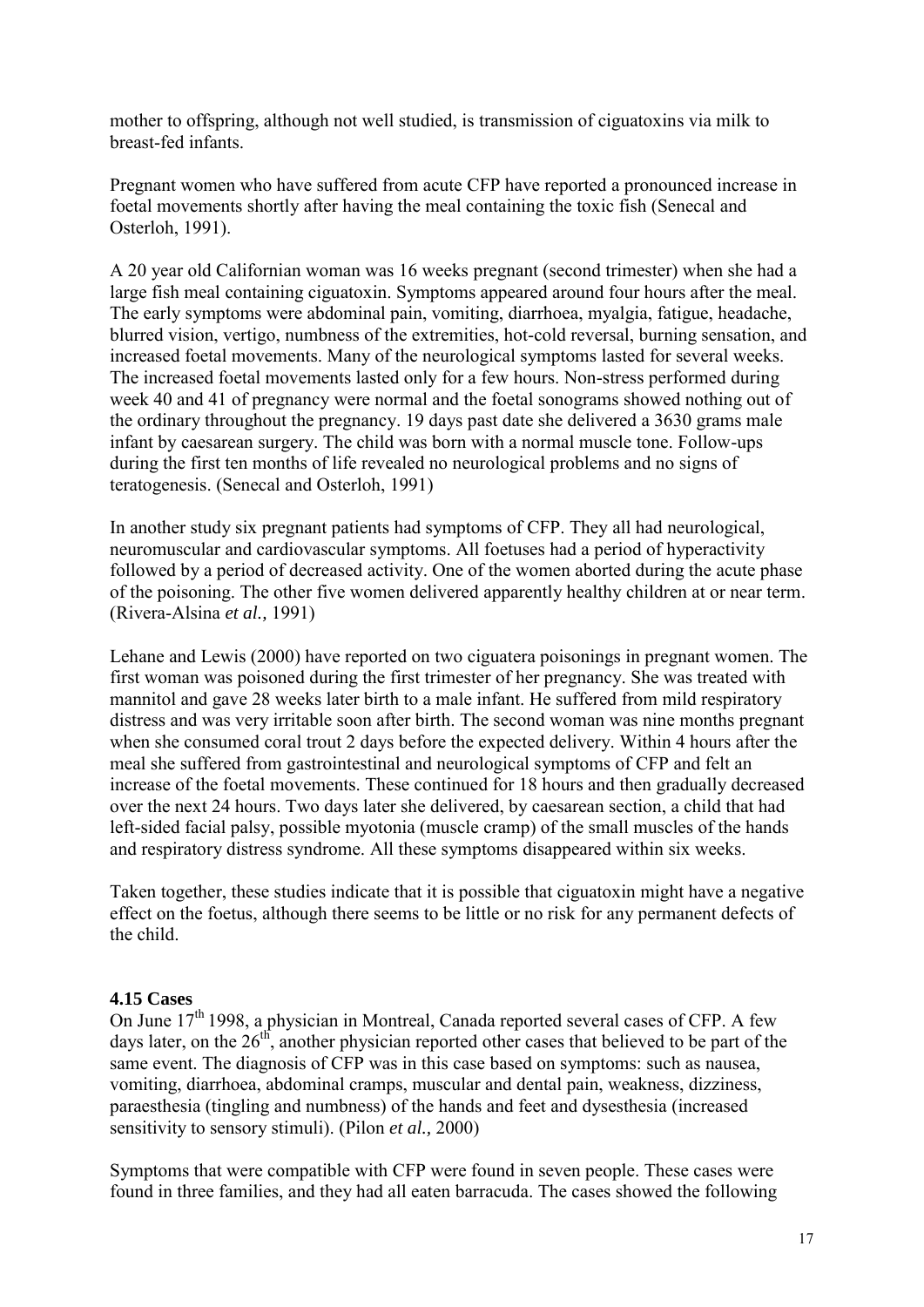mother to offspring, although not well studied, is transmission of ciguatoxins via milk to breast-fed infants.

Pregnant women who have suffered from acute CFP have reported a pronounced increase in foetal movements shortly after having the meal containing the toxic fish (Senecal and Osterloh, 1991).

A 20 year old Californian woman was 16 weeks pregnant (second trimester) when she had a large fish meal containing ciguatoxin. Symptoms appeared around four hours after the meal. The early symptoms were abdominal pain, vomiting, diarrhoea, myalgia, fatigue, headache, blurred vision, vertigo, numbness of the extremities, hot-cold reversal, burning sensation, and increased foetal movements. Many of the neurological symptoms lasted for several weeks. The increased foetal movements lasted only for a few hours. Non-stress performed during week 40 and 41 of pregnancy were normal and the foetal sonograms showed nothing out of the ordinary throughout the pregnancy. 19 days past date she delivered a 3630 grams male infant by caesarean surgery. The child was born with a normal muscle tone. Follow-ups during the first ten months of life revealed no neurological problems and no signs of teratogenesis. (Senecal and Osterloh, 1991)

In another study six pregnant patients had symptoms of CFP. They all had neurological, neuromuscular and cardiovascular symptoms. All foetuses had a period of hyperactivity followed by a period of decreased activity. One of the women aborted during the acute phase of the poisoning. The other five women delivered apparently healthy children at or near term. (Rivera-Alsina *et al.,* 1991)

Lehane and Lewis (2000) have reported on two ciguatera poisonings in pregnant women. The first woman was poisoned during the first trimester of her pregnancy. She was treated with mannitol and gave 28 weeks later birth to a male infant. He suffered from mild respiratory distress and was very irritable soon after birth. The second woman was nine months pregnant when she consumed coral trout 2 days before the expected delivery. Within 4 hours after the meal she suffered from gastrointestinal and neurological symptoms of CFP and felt an increase of the foetal movements. These continued for 18 hours and then gradually decreased over the next 24 hours. Two days later she delivered, by caesarean section, a child that had left-sided facial palsy, possible myotonia (muscle cramp) of the small muscles of the hands and respiratory distress syndrome. All these symptoms disappeared within six weeks.

Taken together, these studies indicate that it is possible that ciguatoxin might have a negative effect on the foetus, although there seems to be little or no risk for any permanent defects of the child.

#### **4.15 Cases**

On June  $17<sup>th</sup>$  1998, a physician in Montreal, Canada reported several cases of CFP. A few days later, on the  $26<sup>th</sup>$ , another physician reported other cases that believed to be part of the same event. The diagnosis of CFP was in this case based on symptoms: such as nausea, vomiting, diarrhoea, abdominal cramps, muscular and dental pain, weakness, dizziness, paraesthesia (tingling and numbness) of the hands and feet and dysesthesia (increased sensitivity to sensory stimuli). (Pilon *et al.,* 2000)

Symptoms that were compatible with CFP were found in seven people. These cases were found in three families, and they had all eaten barracuda. The cases showed the following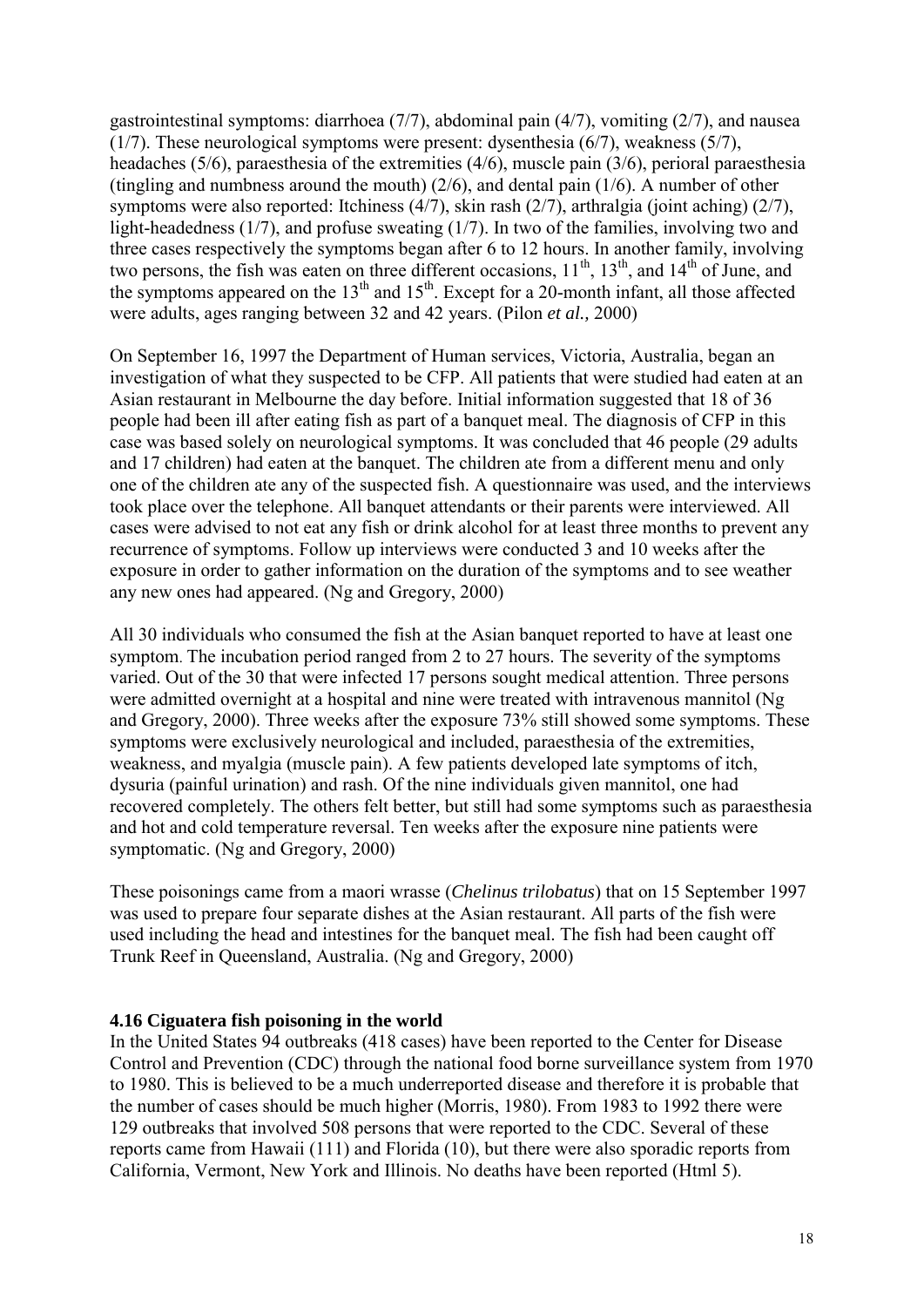gastrointestinal symptoms: diarrhoea (7/7), abdominal pain (4/7), vomiting (2/7), and nausea (1/7). These neurological symptoms were present: dysenthesia (6/7), weakness (5/7), headaches (5/6), paraesthesia of the extremities (4/6), muscle pain (3/6), perioral paraesthesia (tingling and numbness around the mouth) (2/6), and dental pain (1/6). A number of other symptoms were also reported: Itchiness (4/7), skin rash (2/7), arthralgia (joint aching) (2/7), light-headedness (1/7), and profuse sweating (1/7). In two of the families, involving two and three cases respectively the symptoms began after 6 to 12 hours. In another family, involving two persons, the fish was eaten on three different occasions,  $11^{th}$ ,  $13^{th}$ , and  $14^{th}$  of June, and the symptoms appeared on the  $13<sup>th</sup>$  and  $15<sup>th</sup>$ . Except for a 20-month infant, all those affected were adults, ages ranging between 32 and 42 years. (Pilon *et al.,* 2000)

On September 16, 1997 the Department of Human services, Victoria, Australia, began an investigation of what they suspected to be CFP. All patients that were studied had eaten at an Asian restaurant in Melbourne the day before. Initial information suggested that 18 of 36 people had been ill after eating fish as part of a banquet meal. The diagnosis of CFP in this case was based solely on neurological symptoms. It was concluded that 46 people (29 adults and 17 children) had eaten at the banquet. The children ate from a different menu and only one of the children ate any of the suspected fish. A questionnaire was used, and the interviews took place over the telephone. All banquet attendants or their parents were interviewed. All cases were advised to not eat any fish or drink alcohol for at least three months to prevent any recurrence of symptoms. Follow up interviews were conducted 3 and 10 weeks after the exposure in order to gather information on the duration of the symptoms and to see weather any new ones had appeared. (Ng and Gregory, 2000)

All 30 individuals who consumed the fish at the Asian banquet reported to have at least one symptom. The incubation period ranged from 2 to 27 hours. The severity of the symptoms varied. Out of the 30 that were infected 17 persons sought medical attention. Three persons were admitted overnight at a hospital and nine were treated with intravenous mannitol (Ng and Gregory, 2000). Three weeks after the exposure 73% still showed some symptoms. These symptoms were exclusively neurological and included, paraesthesia of the extremities, weakness, and myalgia (muscle pain). A few patients developed late symptoms of itch, dysuria (painful urination) and rash. Of the nine individuals given mannitol, one had recovered completely. The others felt better, but still had some symptoms such as paraesthesia and hot and cold temperature reversal. Ten weeks after the exposure nine patients were symptomatic. (Ng and Gregory, 2000)

These poisonings came from a maori wrasse (*Chelinus trilobatus*) that on 15 September 1997 was used to prepare four separate dishes at the Asian restaurant. All parts of the fish were used including the head and intestines for the banquet meal. The fish had been caught off Trunk Reef in Queensland, Australia. (Ng and Gregory, 2000)

#### **4.16 Ciguatera fish poisoning in the world**

In the United States 94 outbreaks (418 cases) have been reported to the Center for Disease Control and Prevention (CDC) through the national food borne surveillance system from 1970 to 1980. This is believed to be a much underreported disease and therefore it is probable that the number of cases should be much higher (Morris, 1980). From 1983 to 1992 there were 129 outbreaks that involved 508 persons that were reported to the CDC. Several of these reports came from Hawaii (111) and Florida (10), but there were also sporadic reports from California, Vermont, New York and Illinois. No deaths have been reported (Html 5).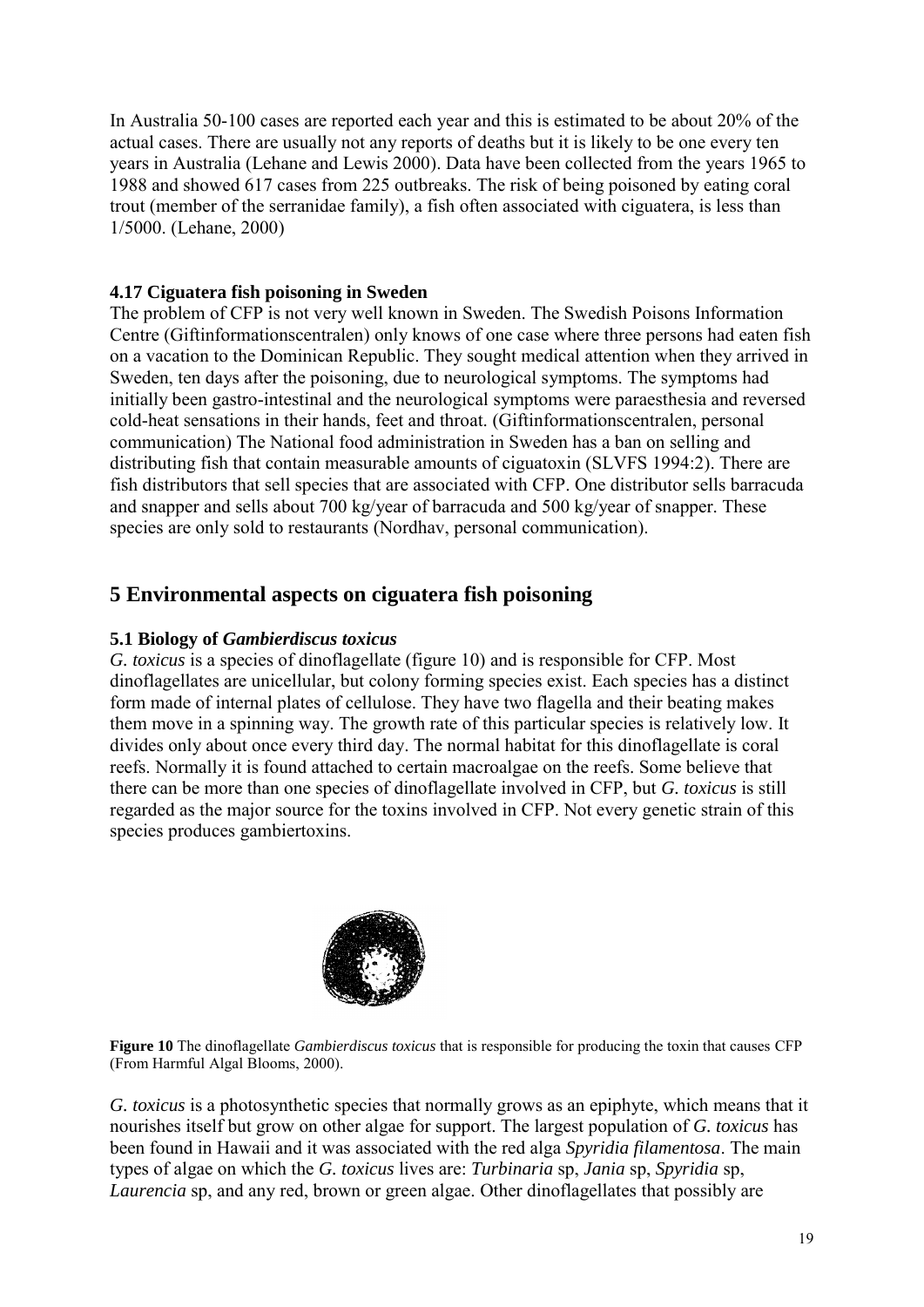In Australia 50-100 cases are reported each year and this is estimated to be about 20% of the actual cases. There are usually not any reports of deaths but it is likely to be one every ten years in Australia (Lehane and Lewis 2000). Data have been collected from the years 1965 to 1988 and showed 617 cases from 225 outbreaks. The risk of being poisoned by eating coral trout (member of the serranidae family), a fish often associated with ciguatera, is less than 1/5000. (Lehane, 2000)

# **4.17 Ciguatera fish poisoning in Sweden**

The problem of CFP is not very well known in Sweden. The Swedish Poisons Information Centre (Giftinformationscentralen) only knows of one case where three persons had eaten fish on a vacation to the Dominican Republic. They sought medical attention when they arrived in Sweden, ten days after the poisoning, due to neurological symptoms. The symptoms had initially been gastro-intestinal and the neurological symptoms were paraesthesia and reversed cold-heat sensations in their hands, feet and throat. (Giftinformationscentralen, personal communication) The National food administration in Sweden has a ban on selling and distributing fish that contain measurable amounts of ciguatoxin (SLVFS 1994:2). There are fish distributors that sell species that are associated with CFP. One distributor sells barracuda and snapper and sells about 700 kg/year of barracuda and 500 kg/year of snapper. These species are only sold to restaurants (Nordhav, personal communication).

# **5 Environmental aspects on ciguatera fish poisoning**

# **5.1 Biology of** *Gambierdiscus toxicus*

*G. toxicus* is a species of dinoflagellate (figure 10) and is responsible for CFP. Most dinoflagellates are unicellular, but colony forming species exist. Each species has a distinct form made of internal plates of cellulose. They have two flagella and their beating makes them move in a spinning way. The growth rate of this particular species is relatively low. It divides only about once every third day. The normal habitat for this dinoflagellate is coral reefs. Normally it is found attached to certain macroalgae on the reefs. Some believe that there can be more than one species of dinoflagellate involved in CFP, but *G. toxicus* is still regarded as the major source for the toxins involved in CFP. Not every genetic strain of this species produces gambiertoxins.



**Figure 10** The dinoflagellate *Gambierdiscus toxicus* that is responsible for producing the toxin that causes CFP (From Harmful Algal Blooms, 2000).

*G. toxicus* is a photosynthetic species that normally grows as an epiphyte, which means that it nourishes itself but grow on other algae for support. The largest population of *G. toxicus* has been found in Hawaii and it was associated with the red alga *Spyridia filamentosa*. The main types of algae on which the *G. toxicus* lives are: *Turbinaria* sp, *Jania* sp, *Spyridia* sp, *Laurencia* sp, and any red, brown or green algae. Other dinoflagellates that possibly are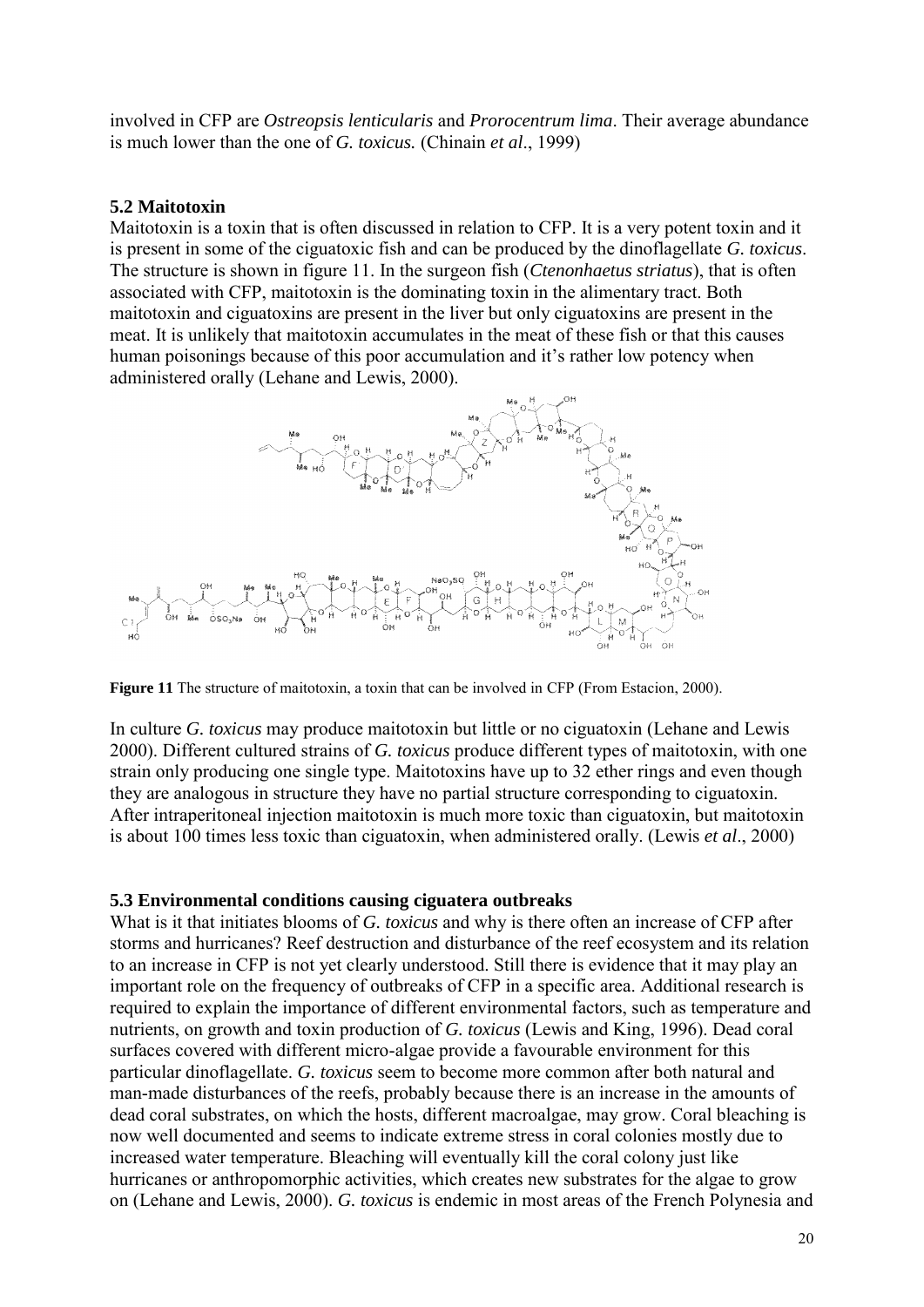involved in CFP are *Ostreopsis lenticularis* and *Prorocentrum lima*. Their average abundance is much lower than the one of *G. toxicus.* (Chinain *et al*., 1999)

#### **5.2 Maitotoxin**

Maitotoxin is a toxin that is often discussed in relation to CFP. It is a very potent toxin and it is present in some of the ciguatoxic fish and can be produced by the dinoflagellate *G. toxicus*. The structure is shown in figure 11. In the surgeon fish (*Ctenonhaetus striatus*), that is often associated with CFP, maitotoxin is the dominating toxin in the alimentary tract. Both maitotoxin and ciguatoxins are present in the liver but only ciguatoxins are present in the meat. It is unlikely that maitotoxin accumulates in the meat of these fish or that this causes human poisonings because of this poor accumulation and it's rather low potency when administered orally (Lehane and Lewis, 2000).



Figure 11 The structure of maitotoxin, a toxin that can be involved in CFP (From Estacion, 2000).

In culture *G. toxicus* may produce maitotoxin but little or no ciguatoxin (Lehane and Lewis 2000). Different cultured strains of *G. toxicus* produce different types of maitotoxin, with one strain only producing one single type. Maitotoxins have up to 32 ether rings and even though they are analogous in structure they have no partial structure corresponding to ciguatoxin. After intraperitoneal injection maitotoxin is much more toxic than ciguatoxin, but maitotoxin is about 100 times less toxic than ciguatoxin, when administered orally. (Lewis *et al*., 2000)

#### **5.3 Environmental conditions causing ciguatera outbreaks**

What is it that initiates blooms of *G. toxicus* and why is there often an increase of CFP after storms and hurricanes? Reef destruction and disturbance of the reef ecosystem and its relation to an increase in CFP is not yet clearly understood. Still there is evidence that it may play an important role on the frequency of outbreaks of CFP in a specific area. Additional research is required to explain the importance of different environmental factors, such as temperature and nutrients, on growth and toxin production of *G. toxicus* (Lewis and King, 1996). Dead coral surfaces covered with different micro-algae provide a favourable environment for this particular dinoflagellate. *G. toxicus* seem to become more common after both natural and man-made disturbances of the reefs, probably because there is an increase in the amounts of dead coral substrates, on which the hosts, different macroalgae, may grow. Coral bleaching is now well documented and seems to indicate extreme stress in coral colonies mostly due to increased water temperature. Bleaching will eventually kill the coral colony just like hurricanes or anthropomorphic activities, which creates new substrates for the algae to grow on (Lehane and Lewis, 2000). *G. toxicus* is endemic in most areas of the French Polynesia and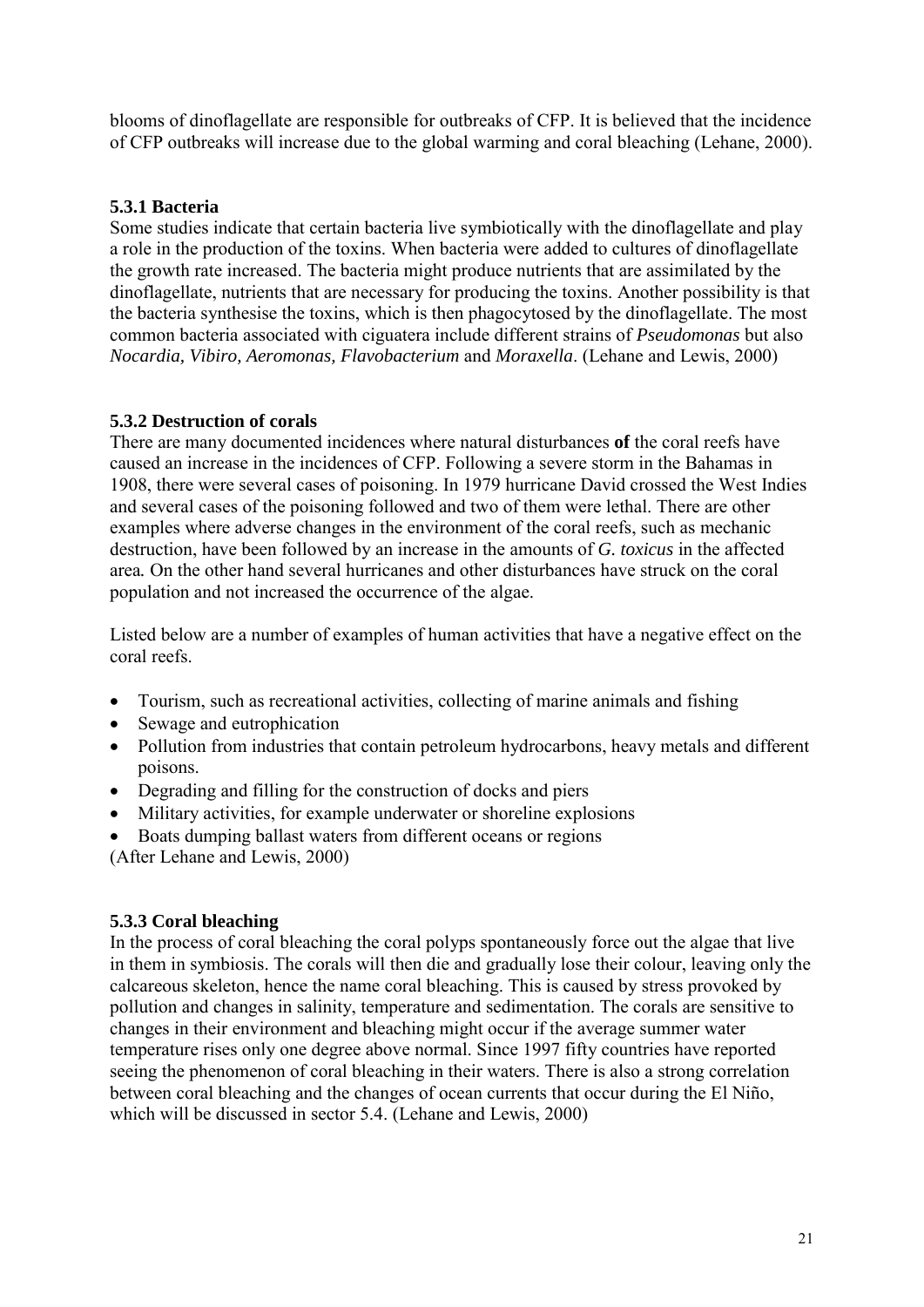blooms of dinoflagellate are responsible for outbreaks of CFP. It is believed that the incidence of CFP outbreaks will increase due to the global warming and coral bleaching (Lehane, 2000).

# **5.3.1 Bacteria**

Some studies indicate that certain bacteria live symbiotically with the dinoflagellate and play a role in the production of the toxins. When bacteria were added to cultures of dinoflagellate the growth rate increased. The bacteria might produce nutrients that are assimilated by the dinoflagellate, nutrients that are necessary for producing the toxins. Another possibility is that the bacteria synthesise the toxins, which is then phagocytosed by the dinoflagellate. The most common bacteria associated with ciguatera include different strains of *Pseudomonas* but also *Nocardia, Vibiro, Aeromonas, Flavobacterium* and *Moraxella*. (Lehane and Lewis, 2000)

# **5.3.2 Destruction of corals**

There are many documented incidences where natural disturbances **of** the coral reefs have caused an increase in the incidences of CFP. Following a severe storm in the Bahamas in 1908, there were several cases of poisoning. In 1979 hurricane David crossed the West Indies and several cases of the poisoning followed and two of them were lethal. There are other examples where adverse changes in the environment of the coral reefs, such as mechanic destruction, have been followed by an increase in the amounts of *G. toxicus* in the affected area*.* On the other hand several hurricanes and other disturbances have struck on the coral population and not increased the occurrence of the algae.

Listed below are a number of examples of human activities that have a negative effect on the coral reefs.

- Tourism, such as recreational activities, collecting of marine animals and fishing
- Sewage and eutrophication
- Pollution from industries that contain petroleum hydrocarbons, heavy metals and different poisons.
- Degrading and filling for the construction of docks and piers
- Military activities, for example underwater or shoreline explosions
- Boats dumping ballast waters from different oceans or regions

(After Lehane and Lewis, 2000)

# **5.3.3 Coral bleaching**

In the process of coral bleaching the coral polyps spontaneously force out the algae that live in them in symbiosis. The corals will then die and gradually lose their colour, leaving only the calcareous skeleton, hence the name coral bleaching. This is caused by stress provoked by pollution and changes in salinity, temperature and sedimentation. The corals are sensitive to changes in their environment and bleaching might occur if the average summer water temperature rises only one degree above normal. Since 1997 fifty countries have reported seeing the phenomenon of coral bleaching in their waters. There is also a strong correlation between coral bleaching and the changes of ocean currents that occur during the El Niño, which will be discussed in sector 5.4. (Lehane and Lewis, 2000)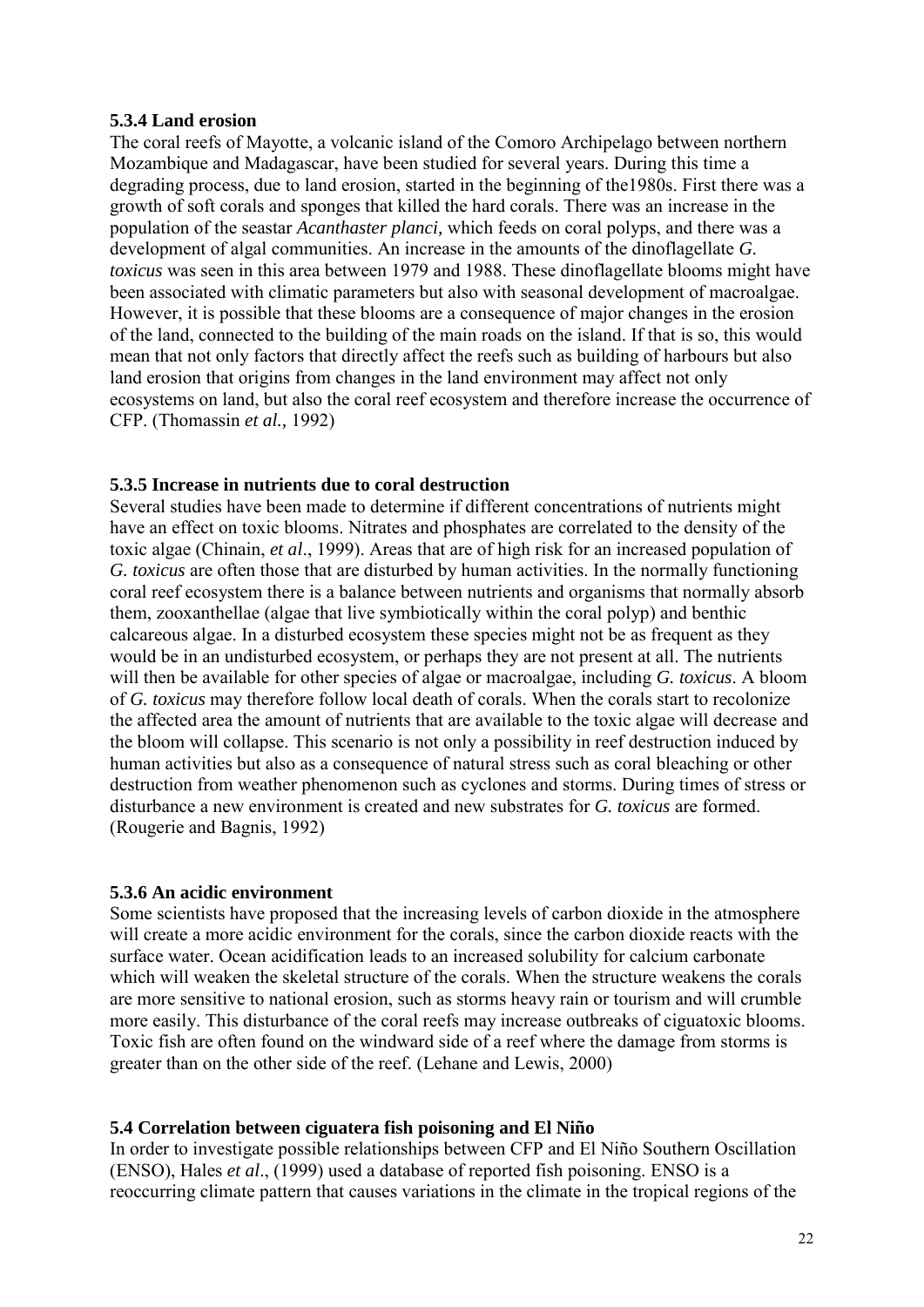## **5.3.4 Land erosion**

The coral reefs of Mayotte, a volcanic island of the Comoro Archipelago between northern Mozambique and Madagascar, have been studied for several years. During this time a degrading process, due to land erosion, started in the beginning of the1980s. First there was a growth of soft corals and sponges that killed the hard corals. There was an increase in the population of the seastar *Acanthaster planci,* which feeds on coral polyps, and there was a development of algal communities. An increase in the amounts of the dinoflagellate *G. toxicus* was seen in this area between 1979 and 1988. These dinoflagellate blooms might have been associated with climatic parameters but also with seasonal development of macroalgae. However, it is possible that these blooms are a consequence of major changes in the erosion of the land, connected to the building of the main roads on the island. If that is so, this would mean that not only factors that directly affect the reefs such as building of harbours but also land erosion that origins from changes in the land environment may affect not only ecosystems on land, but also the coral reef ecosystem and therefore increase the occurrence of CFP. (Thomassin *et al.,* 1992)

# **5.3.5 Increase in nutrients due to coral destruction**

Several studies have been made to determine if different concentrations of nutrients might have an effect on toxic blooms. Nitrates and phosphates are correlated to the density of the toxic algae (Chinain, *et al*., 1999). Areas that are of high risk for an increased population of *G. toxicus* are often those that are disturbed by human activities. In the normally functioning coral reef ecosystem there is a balance between nutrients and organisms that normally absorb them, zooxanthellae (algae that live symbiotically within the coral polyp) and benthic calcareous algae. In a disturbed ecosystem these species might not be as frequent as they would be in an undisturbed ecosystem, or perhaps they are not present at all. The nutrients will then be available for other species of algae or macroalgae, including *G. toxicus*. A bloom of *G. toxicus* may therefore follow local death of corals. When the corals start to recolonize the affected area the amount of nutrients that are available to the toxic algae will decrease and the bloom will collapse. This scenario is not only a possibility in reef destruction induced by human activities but also as a consequence of natural stress such as coral bleaching or other destruction from weather phenomenon such as cyclones and storms. During times of stress or disturbance a new environment is created and new substrates for *G. toxicus* are formed. (Rougerie and Bagnis, 1992)

#### **5.3.6 An acidic environment**

Some scientists have proposed that the increasing levels of carbon dioxide in the atmosphere will create a more acidic environment for the corals, since the carbon dioxide reacts with the surface water. Ocean acidification leads to an increased solubility for calcium carbonate which will weaken the skeletal structure of the corals. When the structure weakens the corals are more sensitive to national erosion, such as storms heavy rain or tourism and will crumble more easily. This disturbance of the coral reefs may increase outbreaks of ciguatoxic blooms. Toxic fish are often found on the windward side of a reef where the damage from storms is greater than on the other side of the reef. (Lehane and Lewis, 2000)

# **5.4 Correlation between ciguatera fish poisoning and El Niño**

In order to investigate possible relationships between CFP and El Niño Southern Oscillation (ENSO), Hales *et al*., (1999) used a database of reported fish poisoning. ENSO is a reoccurring climate pattern that causes variations in the climate in the tropical regions of the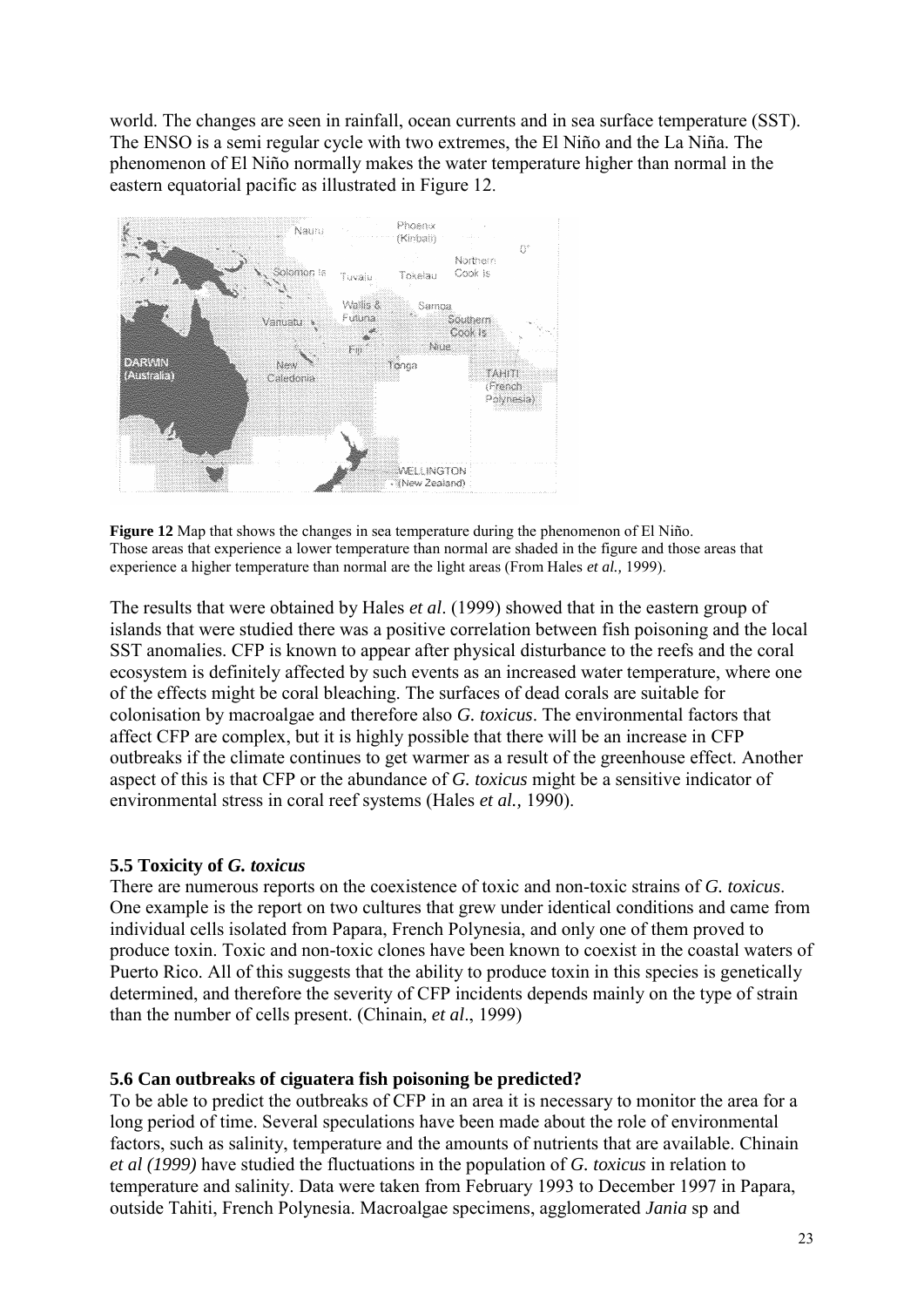world. The changes are seen in rainfall, ocean currents and in sea surface temperature (SST). The ENSO is a semi regular cycle with two extremes, the El Niño and the La Niña. The phenomenon of El Niño normally makes the water temperature higher than normal in the eastern equatorial pacific as illustrated in Figure 12.



**Figure 12** Map that shows the changes in sea temperature during the phenomenon of El Niño. Those areas that experience a lower temperature than normal are shaded in the figure and those areas that experience a higher temperature than normal are the light areas (From Hales *et al.,* 1999).

The results that were obtained by Hales *et al*. (1999) showed that in the eastern group of islands that were studied there was a positive correlation between fish poisoning and the local SST anomalies. CFP is known to appear after physical disturbance to the reefs and the coral ecosystem is definitely affected by such events as an increased water temperature, where one of the effects might be coral bleaching. The surfaces of dead corals are suitable for colonisation by macroalgae and therefore also *G. toxicus*. The environmental factors that affect CFP are complex, but it is highly possible that there will be an increase in CFP outbreaks if the climate continues to get warmer as a result of the greenhouse effect. Another aspect of this is that CFP or the abundance of *G. toxicus* might be a sensitive indicator of environmental stress in coral reef systems (Hales *et al.,* 1990).

#### **5.5 Toxicity of** *G. toxicus*

There are numerous reports on the coexistence of toxic and non-toxic strains of *G. toxicus*. One example is the report on two cultures that grew under identical conditions and came from individual cells isolated from Papara, French Polynesia, and only one of them proved to produce toxin. Toxic and non-toxic clones have been known to coexist in the coastal waters of Puerto Rico. All of this suggests that the ability to produce toxin in this species is genetically determined, and therefore the severity of CFP incidents depends mainly on the type of strain than the number of cells present. (Chinain, *et al*., 1999)

### **5.6 Can outbreaks of ciguatera fish poisoning be predicted?**

To be able to predict the outbreaks of CFP in an area it is necessary to monitor the area for a long period of time. Several speculations have been made about the role of environmental factors, such as salinity, temperature and the amounts of nutrients that are available. Chinain *et al (1999)* have studied the fluctuations in the population of *G. toxicus* in relation to temperature and salinity. Data were taken from February 1993 to December 1997 in Papara, outside Tahiti, French Polynesia. Macroalgae specimens, agglomerated *Jania* sp and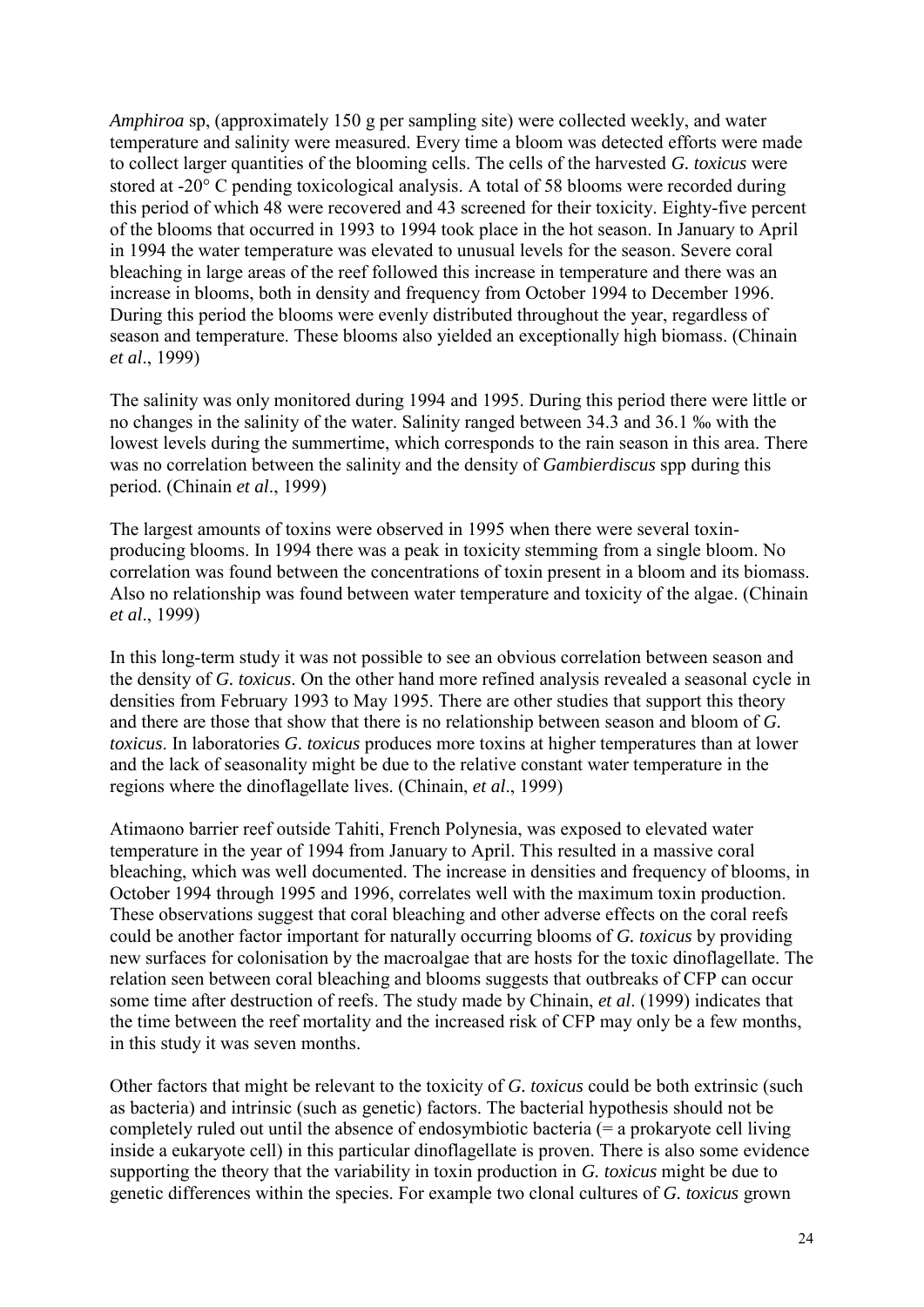*Amphiroa* sp, (approximately 150 g per sampling site) were collected weekly, and water temperature and salinity were measured. Every time a bloom was detected efforts were made to collect larger quantities of the blooming cells. The cells of the harvested *G. toxicus* were stored at -20 $^{\circ}$  C pending toxicological analysis. A total of 58 blooms were recorded during this period of which 48 were recovered and 43 screened for their toxicity. Eighty-five percent of the blooms that occurred in 1993 to 1994 took place in the hot season. In January to April in 1994 the water temperature was elevated to unusual levels for the season. Severe coral bleaching in large areas of the reef followed this increase in temperature and there was an increase in blooms, both in density and frequency from October 1994 to December 1996. During this period the blooms were evenly distributed throughout the year, regardless of season and temperature. These blooms also yielded an exceptionally high biomass. (Chinain *et al*., 1999)

The salinity was only monitored during 1994 and 1995. During this period there were little or no changes in the salinity of the water. Salinity ranged between 34.3 and 36.1 ‰ with the lowest levels during the summertime, which corresponds to the rain season in this area. There was no correlation between the salinity and the density of *Gambierdiscus* spp during this period. (Chinain *et al*., 1999)

The largest amounts of toxins were observed in 1995 when there were several toxinproducing blooms. In 1994 there was a peak in toxicity stemming from a single bloom. No correlation was found between the concentrations of toxin present in a bloom and its biomass. Also no relationship was found between water temperature and toxicity of the algae. (Chinain *et al*., 1999)

In this long-term study it was not possible to see an obvious correlation between season and the density of *G. toxicus*. On the other hand more refined analysis revealed a seasonal cycle in densities from February 1993 to May 1995. There are other studies that support this theory and there are those that show that there is no relationship between season and bloom of *G. toxicus*. In laboratories *G. toxicus* produces more toxins at higher temperatures than at lower and the lack of seasonality might be due to the relative constant water temperature in the regions where the dinoflagellate lives. (Chinain, *et al*., 1999)

Atimaono barrier reef outside Tahiti, French Polynesia, was exposed to elevated water temperature in the year of 1994 from January to April. This resulted in a massive coral bleaching, which was well documented. The increase in densities and frequency of blooms, in October 1994 through 1995 and 1996, correlates well with the maximum toxin production. These observations suggest that coral bleaching and other adverse effects on the coral reefs could be another factor important for naturally occurring blooms of *G. toxicus* by providing new surfaces for colonisation by the macroalgae that are hosts for the toxic dinoflagellate. The relation seen between coral bleaching and blooms suggests that outbreaks of CFP can occur some time after destruction of reefs. The study made by Chinain, *et al*. (1999) indicates that the time between the reef mortality and the increased risk of CFP may only be a few months, in this study it was seven months.

Other factors that might be relevant to the toxicity of *G. toxicus* could be both extrinsic (such as bacteria) and intrinsic (such as genetic) factors. The bacterial hypothesis should not be completely ruled out until the absence of endosymbiotic bacteria (= a prokaryote cell living inside a eukaryote cell) in this particular dinoflagellate is proven. There is also some evidence supporting the theory that the variability in toxin production in *G. toxicus* might be due to genetic differences within the species. For example two clonal cultures of *G. toxicus* grown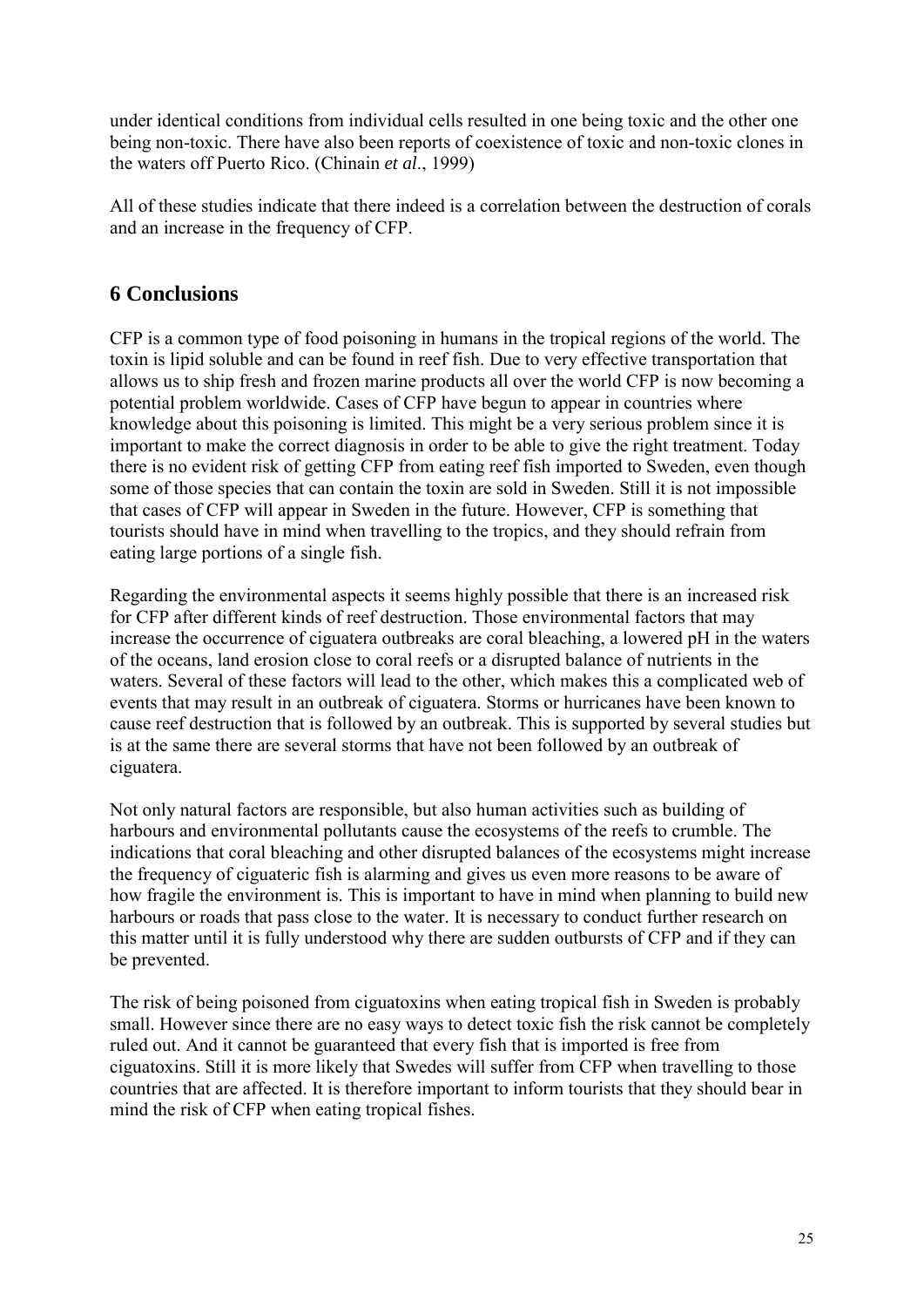under identical conditions from individual cells resulted in one being toxic and the other one being non-toxic. There have also been reports of coexistence of toxic and non-toxic clones in the waters off Puerto Rico. (Chinain *et al*., 1999)

All of these studies indicate that there indeed is a correlation between the destruction of corals and an increase in the frequency of CFP.

# **6 Conclusions**

CFP is a common type of food poisoning in humans in the tropical regions of the world. The toxin is lipid soluble and can be found in reef fish. Due to very effective transportation that allows us to ship fresh and frozen marine products all over the world CFP is now becoming a potential problem worldwide. Cases of CFP have begun to appear in countries where knowledge about this poisoning is limited. This might be a very serious problem since it is important to make the correct diagnosis in order to be able to give the right treatment. Today there is no evident risk of getting CFP from eating reef fish imported to Sweden, even though some of those species that can contain the toxin are sold in Sweden. Still it is not impossible that cases of CFP will appear in Sweden in the future. However, CFP is something that tourists should have in mind when travelling to the tropics, and they should refrain from eating large portions of a single fish.

Regarding the environmental aspects it seems highly possible that there is an increased risk for CFP after different kinds of reef destruction. Those environmental factors that may increase the occurrence of ciguatera outbreaks are coral bleaching, a lowered pH in the waters of the oceans, land erosion close to coral reefs or a disrupted balance of nutrients in the waters. Several of these factors will lead to the other, which makes this a complicated web of events that may result in an outbreak of ciguatera. Storms or hurricanes have been known to cause reef destruction that is followed by an outbreak. This is supported by several studies but is at the same there are several storms that have not been followed by an outbreak of ciguatera.

Not only natural factors are responsible, but also human activities such as building of harbours and environmental pollutants cause the ecosystems of the reefs to crumble. The indications that coral bleaching and other disrupted balances of the ecosystems might increase the frequency of ciguateric fish is alarming and gives us even more reasons to be aware of how fragile the environment is. This is important to have in mind when planning to build new harbours or roads that pass close to the water. It is necessary to conduct further research on this matter until it is fully understood why there are sudden outbursts of CFP and if they can be prevented.

The risk of being poisoned from ciguatoxins when eating tropical fish in Sweden is probably small. However since there are no easy ways to detect toxic fish the risk cannot be completely ruled out. And it cannot be guaranteed that every fish that is imported is free from ciguatoxins. Still it is more likely that Swedes will suffer from CFP when travelling to those countries that are affected. It is therefore important to inform tourists that they should bear in mind the risk of CFP when eating tropical fishes.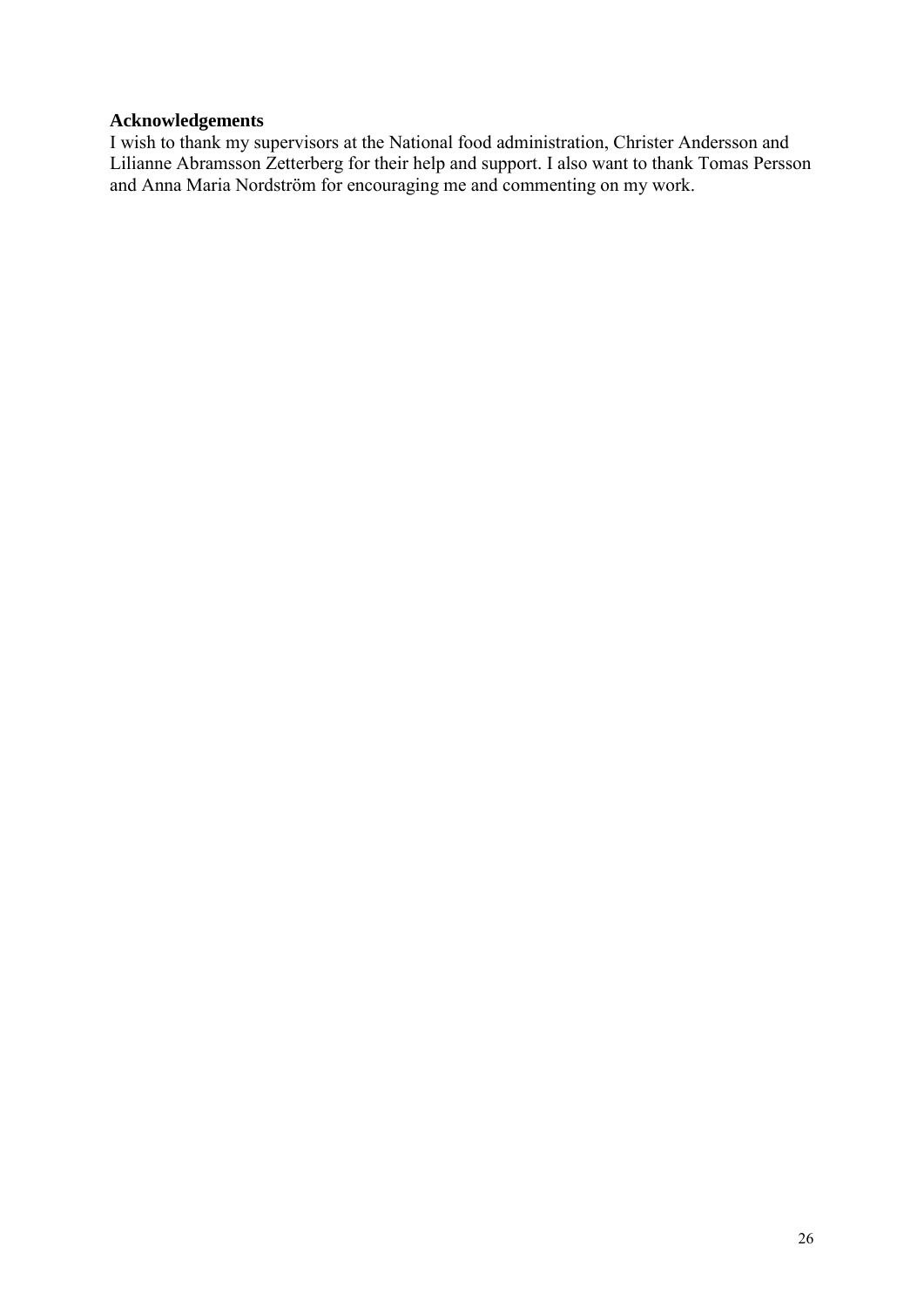# **Acknowledgements**

I wish to thank my supervisors at the National food administration, Christer Andersson and Lilianne Abramsson Zetterberg for their help and support. I also want to thank Tomas Persson and Anna Maria Nordström for encouraging me and commenting on my work.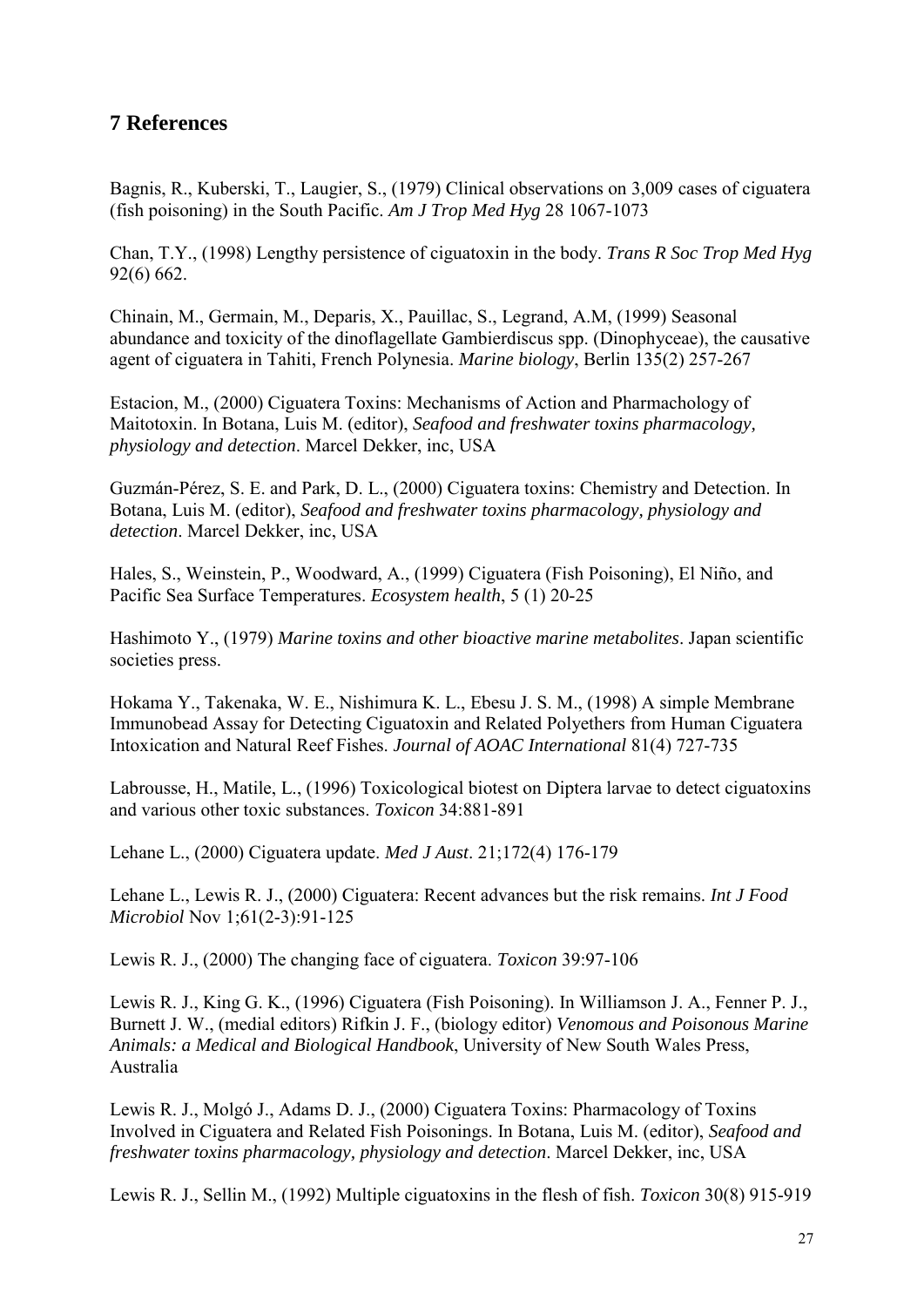# **7 References**

Bagnis, R., Kuberski, T., Laugier, S., (1979) Clinical observations on 3,009 cases of ciguatera (fish poisoning) in the South Pacific. *Am J Trop Med Hyg* 28 1067-1073

Chan, T.Y., (1998) Lengthy persistence of ciguatoxin in the body. *Trans R Soc Trop Med Hyg*  92(6) 662.

Chinain, M., Germain, M., Deparis, X., Pauillac, S., Legrand, A.M, (1999) Seasonal abundance and toxicity of the dinoflagellate Gambierdiscus spp. (Dinophyceae), the causative agent of ciguatera in Tahiti, French Polynesia. *Marine biology*, Berlin 135(2) 257-267

Estacion, M., (2000) Ciguatera Toxins: Mechanisms of Action and Pharmachology of Maitotoxin. In Botana, Luis M. (editor), *Seafood and freshwater toxins pharmacology, physiology and detection*. Marcel Dekker, inc, USA

Guzmán-Pérez, S. E. and Park, D. L., (2000) Ciguatera toxins: Chemistry and Detection. In Botana, Luis M. (editor), *Seafood and freshwater toxins pharmacology, physiology and detection*. Marcel Dekker, inc, USA

Hales, S., Weinstein, P., Woodward, A., (1999) Ciguatera (Fish Poisoning), El Niño, and Pacific Sea Surface Temperatures. *Ecosystem health*, 5 (1) 20-25

Hashimoto Y., (1979) *Marine toxins and other bioactive marine metabolites*. Japan scientific societies press.

Hokama Y., Takenaka, W. E., Nishimura K. L., Ebesu J. S. M., (1998) A simple Membrane Immunobead Assay for Detecting Ciguatoxin and Related Polyethers from Human Ciguatera Intoxication and Natural Reef Fishes. *Journal of AOAC International* 81(4) 727-735

Labrousse, H., Matile, L., (1996) Toxicological biotest on Diptera larvae to detect ciguatoxins and various other toxic substances. *Toxicon* 34:881-891

Lehane L., (2000) Ciguatera update. *Med J Aust*. 21;172(4) 176-179

Lehane L., Lewis R. J., (2000) Ciguatera: Recent advances but the risk remains. *Int J Food Microbiol* Nov 1;61(2-3):91-125

Lewis R. J., (2000) The changing face of ciguatera. *Toxicon* 39:97-106

Lewis R. J., King G. K., (1996) Ciguatera (Fish Poisoning). In Williamson J. A., Fenner P. J., Burnett J. W., (medial editors) Rifkin J. F., (biology editor) *Venomous and Poisonous Marine Animals: a Medical and Biological Handbook*, University of New South Wales Press, Australia

Lewis R. J., Molgó J., Adams D. J., (2000) Ciguatera Toxins: Pharmacology of Toxins Involved in Ciguatera and Related Fish Poisonings. In Botana, Luis M. (editor), *Seafood and freshwater toxins pharmacology, physiology and detection*. Marcel Dekker, inc, USA

Lewis R. J., Sellin M., (1992) Multiple ciguatoxins in the flesh of fish. *Toxicon* 30(8) 915-919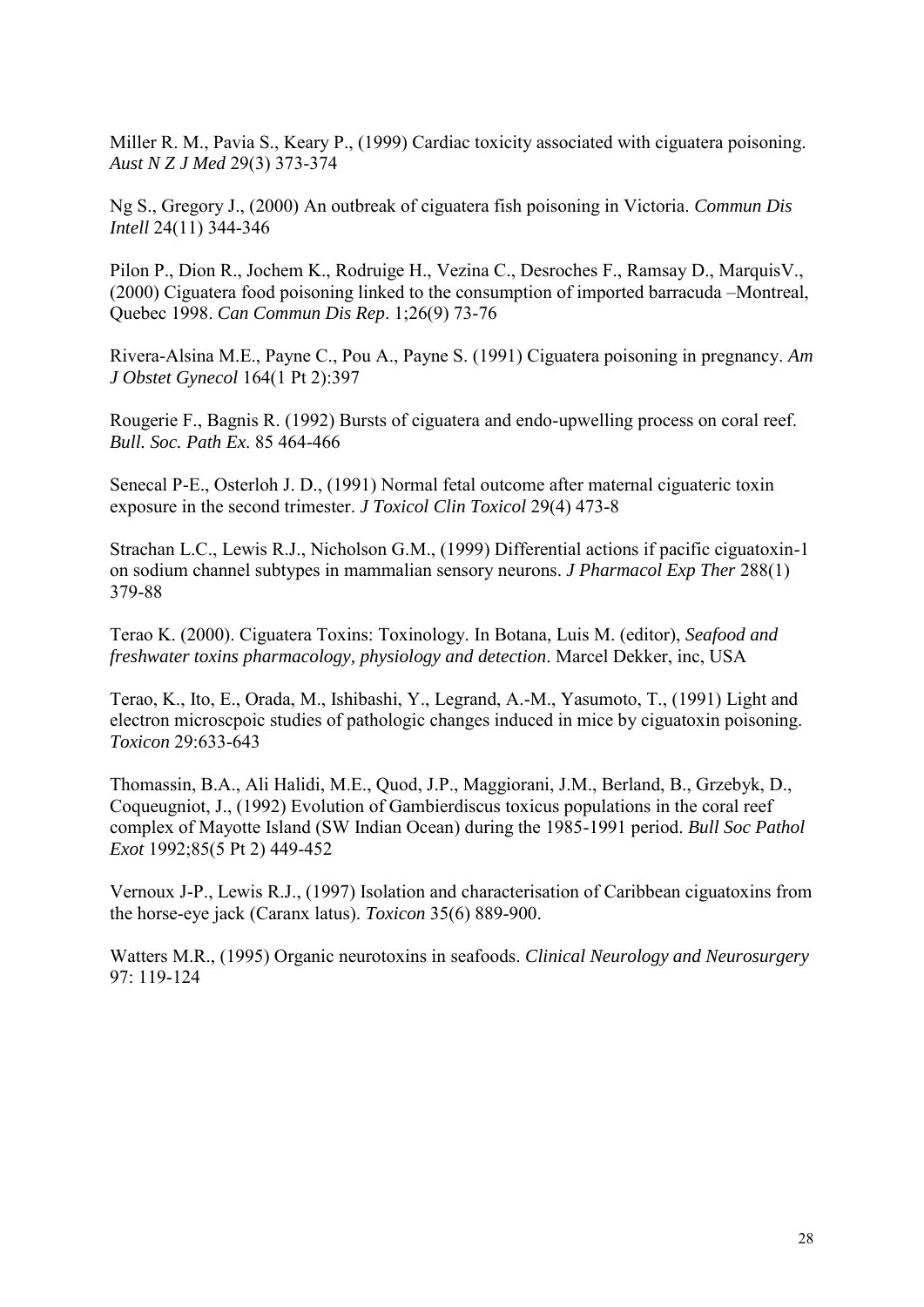Miller R. M., Pavia S., Keary P., (1999) Cardiac toxicity associated with ciguatera poisoning. *Aust N Z J Med* 29(3) 373-374

Ng S., Gregory J., (2000) An outbreak of ciguatera fish poisoning in Victoria. *Commun Dis Intell* 24(11) 344-346

Pilon P., Dion R., Jochem K., Rodruige H., Vezina C., Desroches F., Ramsay D., MarquisV., (2000) Ciguatera food poisoning linked to the consumption of imported barracuda –Montreal, Quebec 1998. *Can Commun Dis Rep*. 1;26(9) 73-76

Rivera-Alsina M.E., Payne C., Pou A., Payne S. (1991) Ciguatera poisoning in pregnancy. *Am J Obstet Gynecol* 164(1 Pt 2):397

Rougerie F., Bagnis R. (1992) Bursts of ciguatera and endo-upwelling process on coral reef. *Bull. Soc. Path Ex*. 85 464-466

Senecal P-E., Osterloh J. D., (1991) Normal fetal outcome after maternal ciguateric toxin exposure in the second trimester. *J Toxicol Clin Toxicol* 29(4) 473-8

Strachan L.C., Lewis R.J., Nicholson G.M., (1999) Differential actions if pacific ciguatoxin-1 on sodium channel subtypes in mammalian sensory neurons. *J Pharmacol Exp Ther* 288(1) 379-88

Terao K. (2000). Ciguatera Toxins: Toxinology. In Botana, Luis M. (editor), *Seafood and freshwater toxins pharmacology, physiology and detection*. Marcel Dekker, inc, USA

Terao, K., Ito, E., Orada, M., Ishibashi, Y., Legrand, A.-M., Yasumoto, T., (1991) Light and electron microscpoic studies of pathologic changes induced in mice by ciguatoxin poisoning. *Toxicon* 29:633-643

Thomassin, B.A., Ali Halidi, M.E., Quod, J.P., Maggiorani, J.M., Berland, B., Grzebyk, D., Coqueugniot, J., (1992) Evolution of Gambierdiscus toxicus populations in the coral reef complex of Mayotte Island (SW Indian Ocean) during the 1985-1991 period. *Bull Soc Pathol Exot* 1992;85(5 Pt 2) 449-452

Vernoux J-P., Lewis R.J., (1997) Isolation and characterisation of Caribbean ciguatoxins from the horse-eye jack (Caranx latus). *Toxicon* 35(6) 889-900.

Watters M.R., (1995) Organic neurotoxins in seafoods. *Clinical Neurology and Neurosurgery* 97: 119-124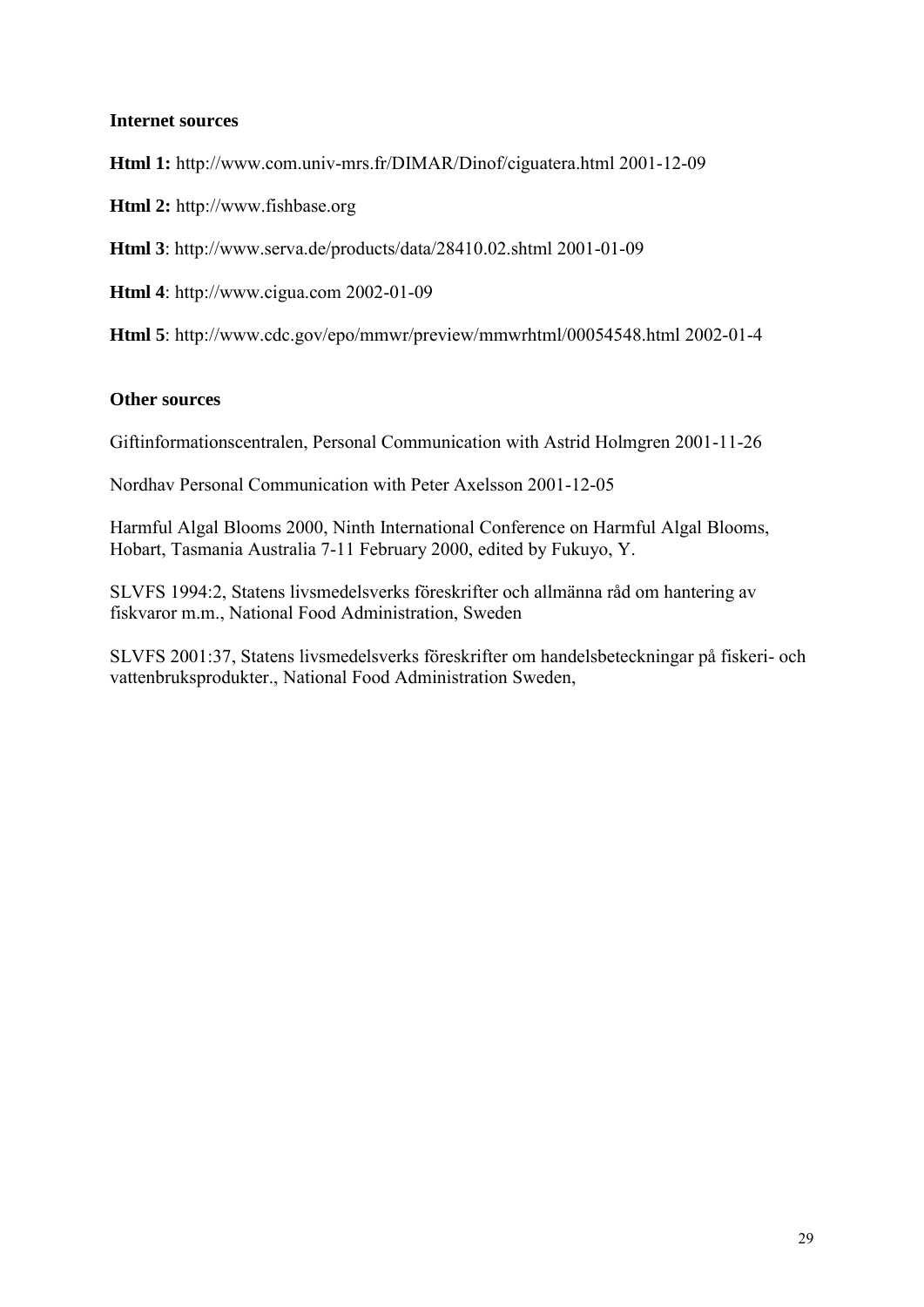#### **Internet sources**

**Html 1:** http://www.com.univ-mrs.fr/DIMAR/Dinof/ciguatera.html 2001-12-09

**Html 2:** http://www.fishbase.org

**Html 3**: http://www.serva.de/products/data/28410.02.shtml 2001-01-09

**Html 4**: http://www.cigua.com 2002-01-09

**Html 5**: http://www.cdc.gov/epo/mmwr/preview/mmwrhtml/00054548.html 2002-01-4

## **Other sources**

Giftinformationscentralen, Personal Communication with Astrid Holmgren 2001-11-26

Nordhav Personal Communication with Peter Axelsson 2001-12-05

Harmful Algal Blooms 2000, Ninth International Conference on Harmful Algal Blooms, Hobart, Tasmania Australia 7-11 February 2000, edited by Fukuyo, Y.

SLVFS 1994:2, Statens livsmedelsverks föreskrifter och allmänna råd om hantering av fiskvaror m.m., National Food Administration, Sweden

SLVFS 2001:37, Statens livsmedelsverks föreskrifter om handelsbeteckningar på fiskeri- och vattenbruksprodukter., National Food Administration Sweden,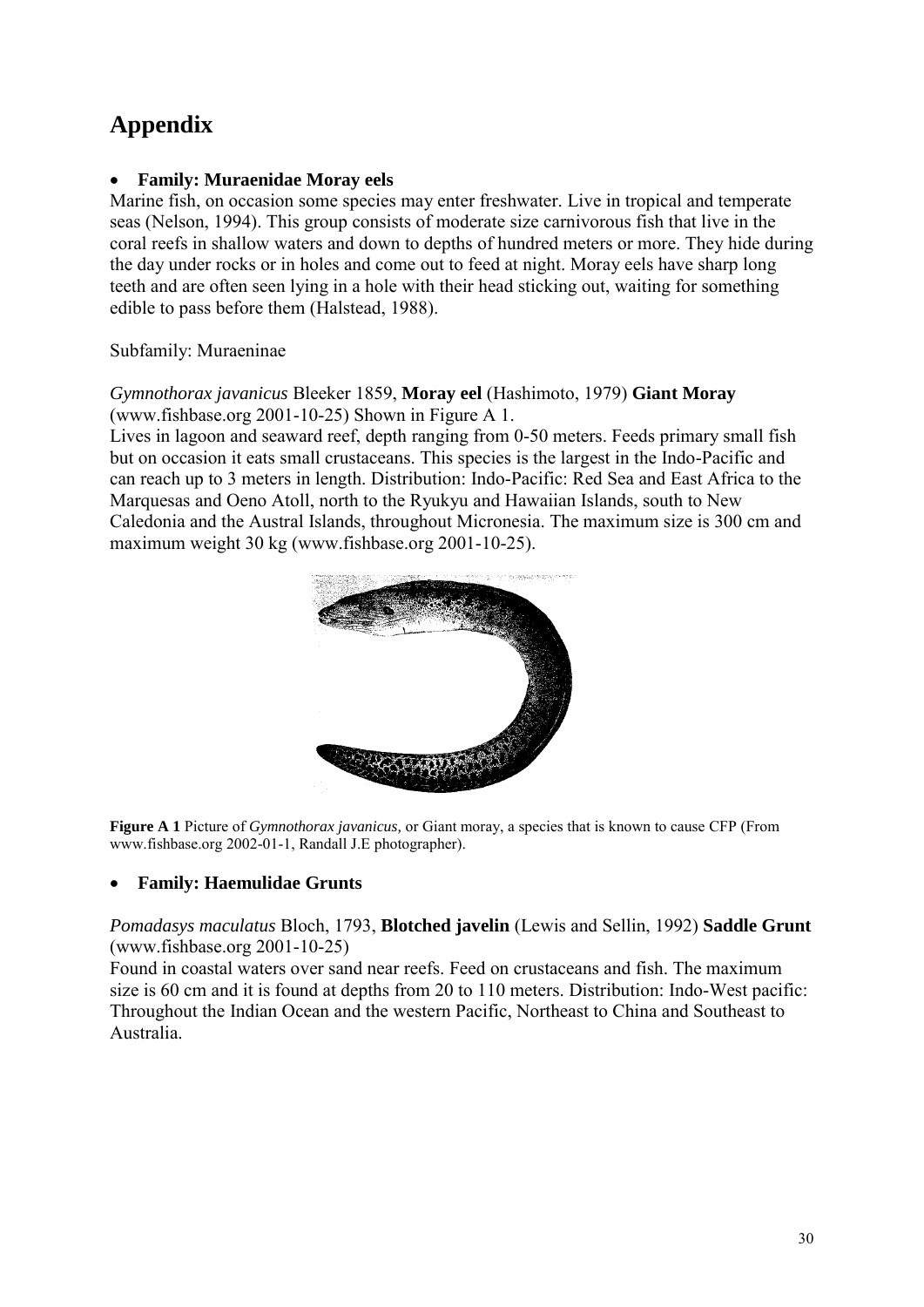# **Appendix**

# **Family: Muraenidae Moray eels**

Marine fish, on occasion some species may enter freshwater. Live in tropical and temperate seas (Nelson, 1994). This group consists of moderate size carnivorous fish that live in the coral reefs in shallow waters and down to depths of hundred meters or more. They hide during the day under rocks or in holes and come out to feed at night. Moray eels have sharp long teeth and are often seen lying in a hole with their head sticking out, waiting for something edible to pass before them (Halstead, 1988).

# Subfamily: Muraeninae

# *Gymnothorax javanicus* Bleeker 1859, **Moray eel** (Hashimoto, 1979) **Giant Moray** (www.fishbase.org 2001-10-25) Shown in Figure A 1.

Lives in lagoon and seaward reef, depth ranging from 0-50 meters. Feeds primary small fish but on occasion it eats small crustaceans. This species is the largest in the Indo-Pacific and can reach up to 3 meters in length. Distribution: Indo-Pacific: Red Sea and East Africa to the Marquesas and Oeno Atoll, north to the Ryukyu and Hawaiian Islands, south to New Caledonia and the Austral Islands, throughout Micronesia. The maximum size is 300 cm and maximum weight 30 kg (www.fishbase.org 2001-10-25).



**Figure A 1** Picture of *Gymnothorax javanicus,* or Giant moray, a species that is known to cause CFP (From www.fishbase.org 2002-01-1, Randall J.E photographer).

# **Family: Haemulidae Grunts**

# *Pomadasys maculatus* Bloch, 1793, **Blotched javelin** (Lewis and Sellin, 1992) **Saddle Grunt** (www.fishbase.org 2001-10-25)

Found in coastal waters over sand near reefs. Feed on crustaceans and fish. The maximum size is 60 cm and it is found at depths from 20 to 110 meters. Distribution: Indo-West pacific: Throughout the Indian Ocean and the western Pacific, Northeast to China and Southeast to Australia.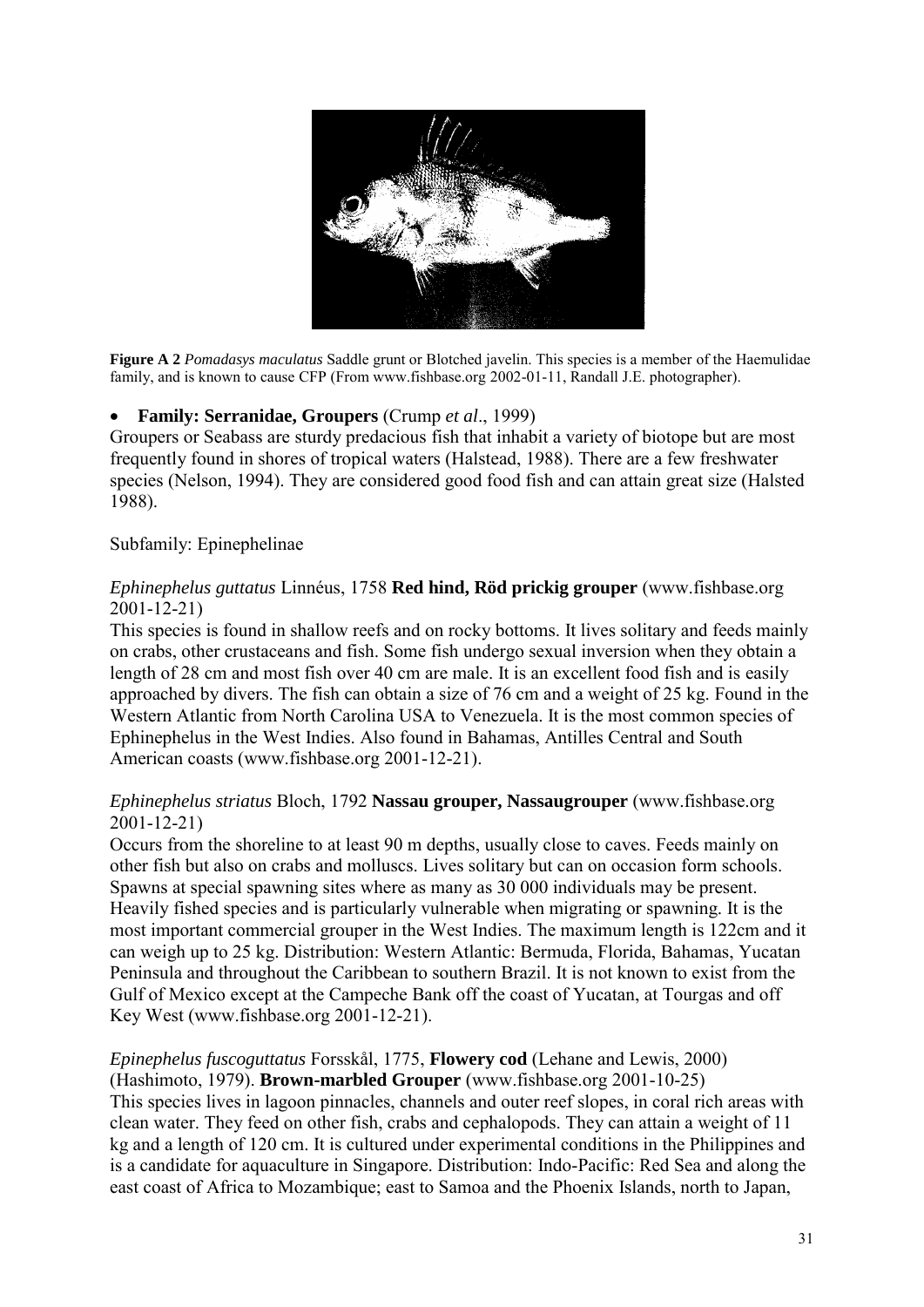

**Figure A 2** *Pomadasys maculatus* Saddle grunt or Blotched javelin. This species is a member of the Haemulidae family, and is known to cause CFP (From www.fishbase.org 2002-01-11, Randall J.E. photographer).

## **Family: Serranidae, Groupers** (Crump *et al*., 1999)

Groupers or Seabass are sturdy predacious fish that inhabit a variety of biotope but are most frequently found in shores of tropical waters (Halstead, 1988). There are a few freshwater species (Nelson, 1994). They are considered good food fish and can attain great size (Halsted 1988).

#### Subfamily: Epinephelinae

#### *Ephinephelus guttatus* Linnéus, 1758 **Red hind, Röd prickig grouper** (www.fishbase.org 2001-12-21)

This species is found in shallow reefs and on rocky bottoms. It lives solitary and feeds mainly on crabs, other crustaceans and fish. Some fish undergo sexual inversion when they obtain a length of 28 cm and most fish over 40 cm are male. It is an excellent food fish and is easily approached by divers. The fish can obtain a size of 76 cm and a weight of 25 kg. Found in the Western Atlantic from North Carolina USA to Venezuela. It is the most common species of Ephinephelus in the West Indies. Also found in Bahamas, Antilles Central and South American coasts (www.fishbase.org 2001-12-21).

#### *Ephinephelus striatus* Bloch, 1792 **Nassau grouper, Nassaugrouper** (www.fishbase.org 2001-12-21)

Occurs from the shoreline to at least 90 m depths, usually close to caves. Feeds mainly on other fish but also on crabs and molluscs. Lives solitary but can on occasion form schools. Spawns at special spawning sites where as many as 30 000 individuals may be present. Heavily fished species and is particularly vulnerable when migrating or spawning. It is the most important commercial grouper in the West Indies. The maximum length is 122cm and it can weigh up to 25 kg. Distribution: Western Atlantic: Bermuda, Florida, Bahamas, Yucatan Peninsula and throughout the Caribbean to southern Brazil. It is not known to exist from the Gulf of Mexico except at the Campeche Bank off the coast of Yucatan, at Tourgas and off Key West (www.fishbase.org 2001-12-21).

### *Epinephelus fuscoguttatus* Forsskål, 1775, **Flowery cod** (Lehane and Lewis, 2000) (Hashimoto, 1979). **Brown-marbled Grouper** (www.fishbase.org 2001-10-25) This species lives in lagoon pinnacles, channels and outer reef slopes, in coral rich areas with clean water. They feed on other fish, crabs and cephalopods. They can attain a weight of 11 kg and a length of 120 cm. It is cultured under experimental conditions in the Philippines and is a candidate for aquaculture in Singapore. Distribution: Indo-Pacific: Red Sea and along the east coast of Africa to Mozambique; east to Samoa and the Phoenix Islands, north to Japan,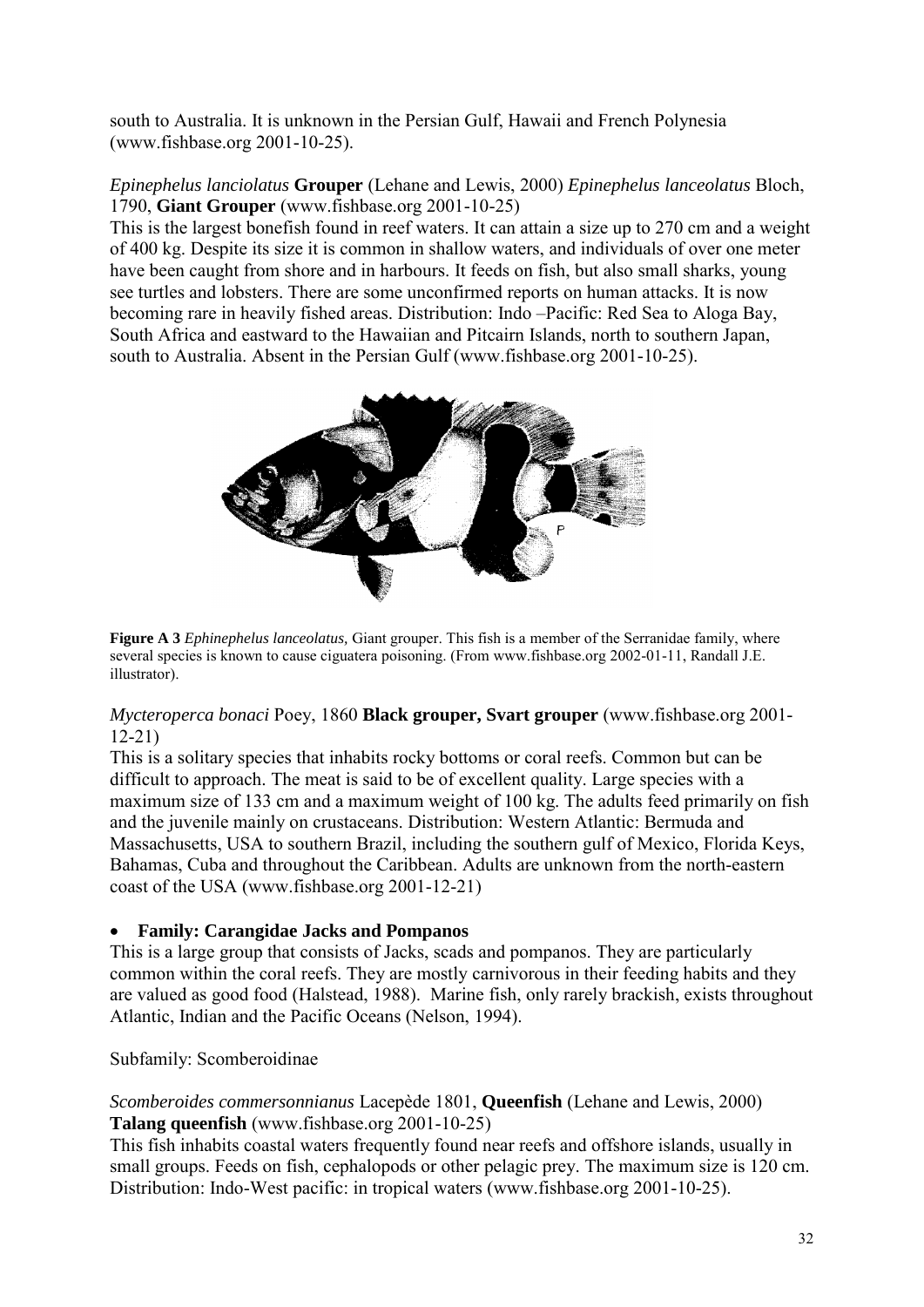south to Australia. It is unknown in the Persian Gulf, Hawaii and French Polynesia (www.fishbase.org 2001-10-25).

*Epinephelus lanciolatus* **Grouper** (Lehane and Lewis, 2000) *Epinephelus lanceolatus* Bloch, 1790, **Giant Grouper** (www.fishbase.org 2001-10-25)

This is the largest bonefish found in reef waters. It can attain a size up to 270 cm and a weight of 400 kg. Despite its size it is common in shallow waters, and individuals of over one meter have been caught from shore and in harbours. It feeds on fish, but also small sharks, young see turtles and lobsters. There are some unconfirmed reports on human attacks. It is now becoming rare in heavily fished areas. Distribution: Indo –Pacific: Red Sea to Aloga Bay, South Africa and eastward to the Hawaiian and Pitcairn Islands, north to southern Japan, south to Australia. Absent in the Persian Gulf (www.fishbase.org 2001-10-25).



**Figure A 3** *Ephinephelus lanceolatus,* Giant grouper. This fish is a member of the Serranidae family, where several species is known to cause ciguatera poisoning. (From www.fishbase.org 2002-01-11, Randall J.E. illustrator).

## *Mycteroperca bonaci* Poey, 1860 **Black grouper, Svart grouper** (www.fishbase.org 2001- 12-21)

This is a solitary species that inhabits rocky bottoms or coral reefs. Common but can be difficult to approach. The meat is said to be of excellent quality. Large species with a maximum size of 133 cm and a maximum weight of 100 kg. The adults feed primarily on fish and the juvenile mainly on crustaceans. Distribution: Western Atlantic: Bermuda and Massachusetts, USA to southern Brazil, including the southern gulf of Mexico, Florida Keys, Bahamas, Cuba and throughout the Caribbean. Adults are unknown from the north-eastern coast of the USA (www.fishbase.org 2001-12-21)

# **Family: Carangidae Jacks and Pompanos**

This is a large group that consists of Jacks, scads and pompanos. They are particularly common within the coral reefs. They are mostly carnivorous in their feeding habits and they are valued as good food (Halstead, 1988). Marine fish, only rarely brackish, exists throughout Atlantic, Indian and the Pacific Oceans (Nelson, 1994).

# Subfamily: Scomberoidinae

# *Scomberoides commersonnianus* Lacepède 1801, **Queenfish** (Lehane and Lewis, 2000) **Talang queenfish** (www.fishbase.org 2001-10-25)

This fish inhabits coastal waters frequently found near reefs and offshore islands, usually in small groups. Feeds on fish, cephalopods or other pelagic prey. The maximum size is 120 cm. Distribution: Indo-West pacific: in tropical waters (www.fishbase.org 2001-10-25).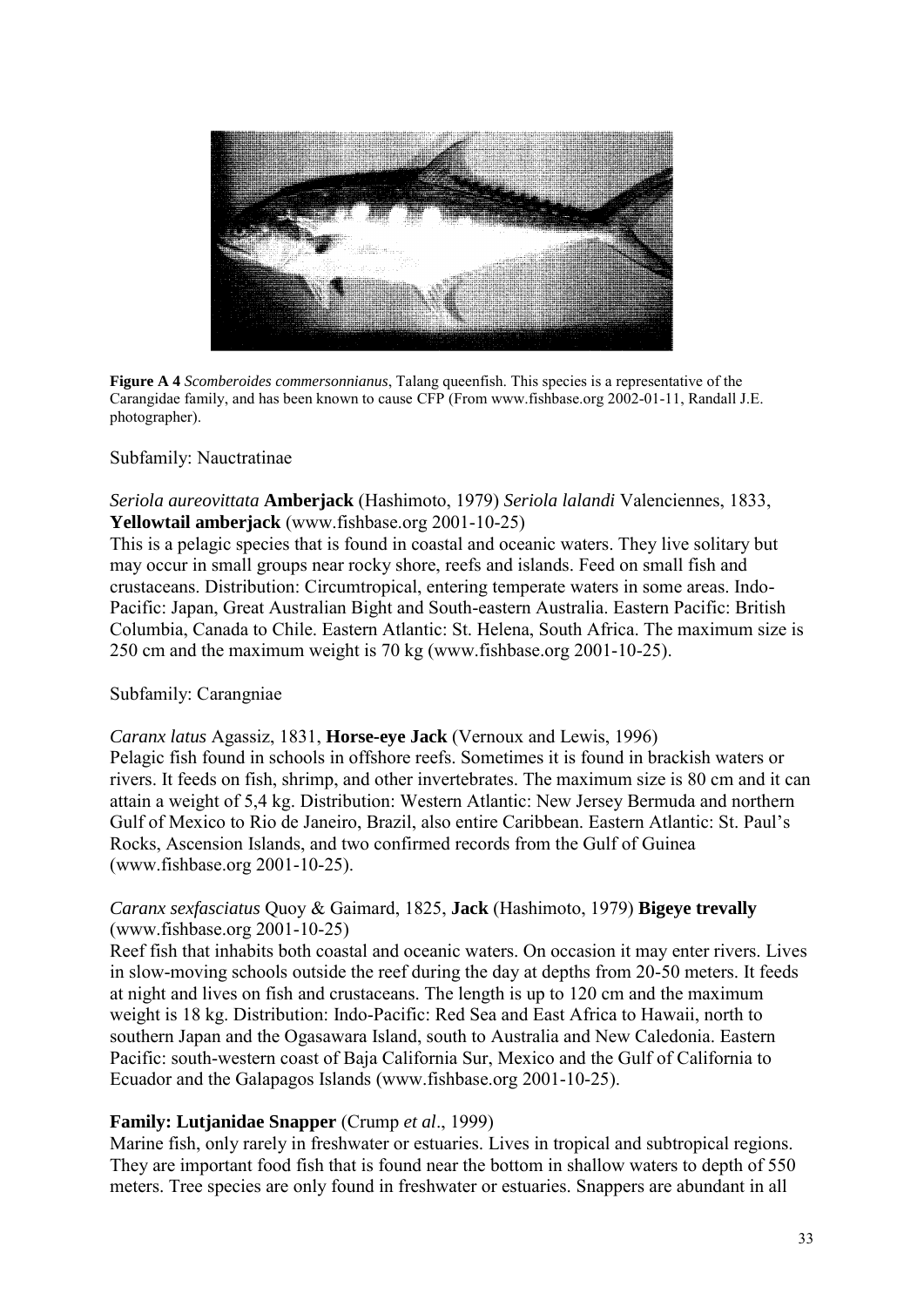

**Figure A 4** *Scomberoides commersonnianus*, Talang queenfish. This species is a representative of the Carangidae family, and has been known to cause CFP (From www.fishbase.org 2002-01-11, Randall J.E. photographer).

#### Subfamily: Nauctratinae

#### *Seriola aureovittata* **Amberjack** (Hashimoto, 1979) *Seriola lalandi* Valenciennes, 1833, **Yellowtail amberjack** (www.fishbase.org 2001-10-25)

This is a pelagic species that is found in coastal and oceanic waters. They live solitary but may occur in small groups near rocky shore, reefs and islands. Feed on small fish and crustaceans. Distribution: Circumtropical, entering temperate waters in some areas. Indo-Pacific: Japan, Great Australian Bight and South-eastern Australia. Eastern Pacific: British Columbia, Canada to Chile. Eastern Atlantic: St. Helena, South Africa. The maximum size is 250 cm and the maximum weight is 70 kg (www.fishbase.org 2001-10-25).

#### Subfamily: Carangniae

#### *Caranx latus* Agassiz, 1831, **Horse-eye Jack** (Vernoux and Lewis, 1996)

Pelagic fish found in schools in offshore reefs. Sometimes it is found in brackish waters or rivers. It feeds on fish, shrimp, and other invertebrates. The maximum size is 80 cm and it can attain a weight of 5,4 kg. Distribution: Western Atlantic: New Jersey Bermuda and northern Gulf of Mexico to Rio de Janeiro, Brazil, also entire Caribbean. Eastern Atlantic: St. Paul's Rocks, Ascension Islands, and two confirmed records from the Gulf of Guinea (www.fishbase.org 2001-10-25).

## *Caranx sexfasciatus* Quoy & Gaimard, 1825, **Jack** (Hashimoto, 1979) **Bigeye trevally** (www.fishbase.org 2001-10-25)

Reef fish that inhabits both coastal and oceanic waters. On occasion it may enter rivers. Lives in slow-moving schools outside the reef during the day at depths from 20-50 meters. It feeds at night and lives on fish and crustaceans. The length is up to 120 cm and the maximum weight is 18 kg. Distribution: Indo-Pacific: Red Sea and East Africa to Hawaii, north to southern Japan and the Ogasawara Island, south to Australia and New Caledonia. Eastern Pacific: south-western coast of Baja California Sur, Mexico and the Gulf of California to Ecuador and the Galapagos Islands (www.fishbase.org 2001-10-25).

#### **Family: Lutjanidae Snapper** (Crump *et al*., 1999)

Marine fish, only rarely in freshwater or estuaries. Lives in tropical and subtropical regions. They are important food fish that is found near the bottom in shallow waters to depth of 550 meters. Tree species are only found in freshwater or estuaries. Snappers are abundant in all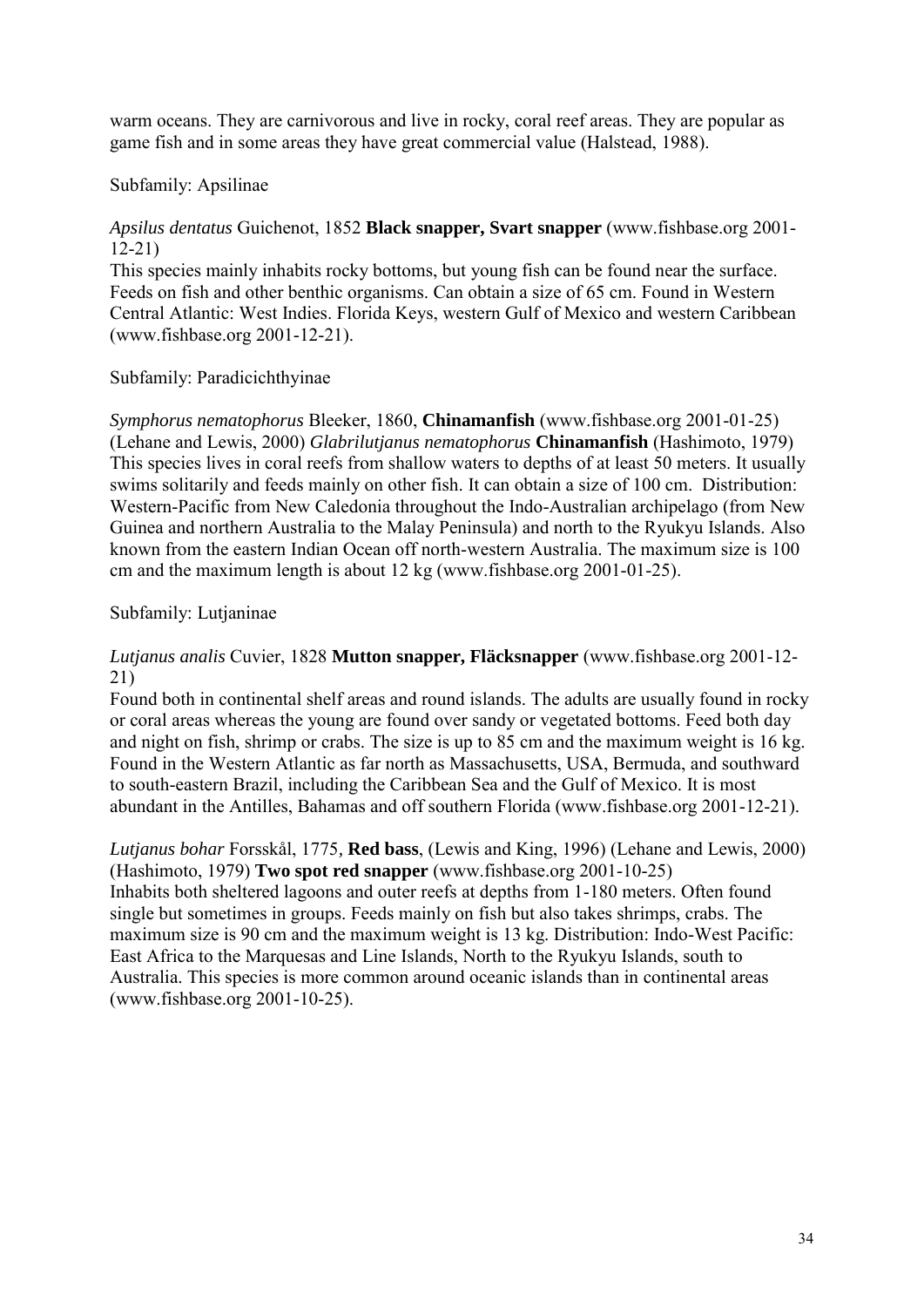warm oceans. They are carnivorous and live in rocky, coral reef areas. They are popular as game fish and in some areas they have great commercial value (Halstead, 1988).

## Subfamily: Apsilinae

## *Apsilus dentatus* Guichenot, 1852 **Black snapper, Svart snapper** (www.fishbase.org 2001- 12-21)

This species mainly inhabits rocky bottoms, but young fish can be found near the surface. Feeds on fish and other benthic organisms. Can obtain a size of 65 cm. Found in Western Central Atlantic: West Indies. Florida Keys, western Gulf of Mexico and western Caribbean (www.fishbase.org 2001-12-21).

## Subfamily: Paradicichthyinae

*Symphorus nematophorus* Bleeker, 1860, **Chinamanfish** (www.fishbase.org 2001-01-25) (Lehane and Lewis, 2000) *Glabrilutjanus nematophorus* **Chinamanfish** (Hashimoto, 1979) This species lives in coral reefs from shallow waters to depths of at least 50 meters. It usually swims solitarily and feeds mainly on other fish. It can obtain a size of 100 cm. Distribution: Western-Pacific from New Caledonia throughout the Indo-Australian archipelago (from New Guinea and northern Australia to the Malay Peninsula) and north to the Ryukyu Islands. Also known from the eastern Indian Ocean off north-western Australia. The maximum size is 100 cm and the maximum length is about 12 kg (www.fishbase.org 2001-01-25).

## Subfamily: Lutjaninae

## *Lutjanus analis* Cuvier, 1828 **Mutton snapper, Fläcksnapper** (www.fishbase.org 2001-12- 21)

Found both in continental shelf areas and round islands. The adults are usually found in rocky or coral areas whereas the young are found over sandy or vegetated bottoms. Feed both day and night on fish, shrimp or crabs. The size is up to 85 cm and the maximum weight is 16 kg. Found in the Western Atlantic as far north as Massachusetts, USA, Bermuda, and southward to south-eastern Brazil, including the Caribbean Sea and the Gulf of Mexico. It is most abundant in the Antilles, Bahamas and off southern Florida (www.fishbase.org 2001-12-21).

## *Lutjanus bohar* Forsskål, 1775*,* **Red bass**, (Lewis and King, 1996) (Lehane and Lewis, 2000) (Hashimoto, 1979) **Two spot red snapper** (www.fishbase.org 2001-10-25) Inhabits both sheltered lagoons and outer reefs at depths from 1-180 meters. Often found single but sometimes in groups. Feeds mainly on fish but also takes shrimps, crabs. The maximum size is 90 cm and the maximum weight is 13 kg. Distribution: Indo-West Pacific: East Africa to the Marquesas and Line Islands, North to the Ryukyu Islands, south to Australia. This species is more common around oceanic islands than in continental areas (www.fishbase.org 2001-10-25).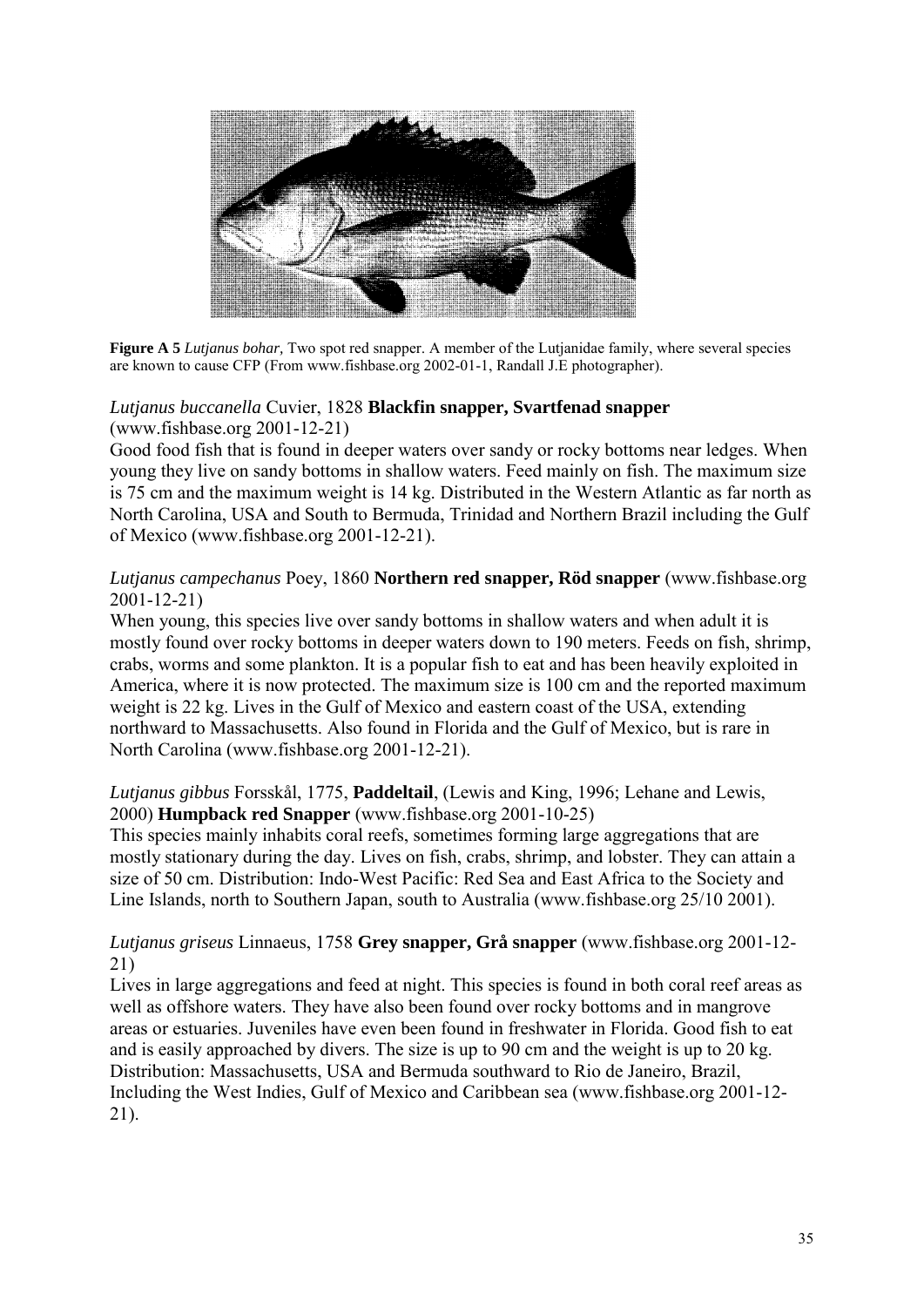

**Figure A 5** *Lutjanus bohar,* Two spot red snapper. A member of the Lutjanidae family, where several species are known to cause CFP (From www.fishbase.org 2002-01-1, Randall J.E photographer).

# *Lutjanus buccanella* Cuvier, 1828 **Blackfin snapper, Svartfenad snapper**  (www.fishbase.org 2001-12-21)

Good food fish that is found in deeper waters over sandy or rocky bottoms near ledges. When young they live on sandy bottoms in shallow waters. Feed mainly on fish. The maximum size is 75 cm and the maximum weight is 14 kg. Distributed in the Western Atlantic as far north as North Carolina, USA and South to Bermuda, Trinidad and Northern Brazil including the Gulf of Mexico (www.fishbase.org 2001-12-21).

# *Lutjanus campechanus* Poey, 1860 **Northern red snapper, Röd snapper** (www.fishbase.org 2001-12-21)

When young, this species live over sandy bottoms in shallow waters and when adult it is mostly found over rocky bottoms in deeper waters down to 190 meters. Feeds on fish, shrimp, crabs, worms and some plankton. It is a popular fish to eat and has been heavily exploited in America, where it is now protected. The maximum size is 100 cm and the reported maximum weight is 22 kg. Lives in the Gulf of Mexico and eastern coast of the USA, extending northward to Massachusetts. Also found in Florida and the Gulf of Mexico, but is rare in North Carolina (www.fishbase.org 2001-12-21).

# *Lutjanus gibbus* Forsskål, 1775, **Paddeltail**, (Lewis and King, 1996; Lehane and Lewis, 2000) **Humpback red Snapper** (www.fishbase.org 2001-10-25)

This species mainly inhabits coral reefs, sometimes forming large aggregations that are mostly stationary during the day. Lives on fish, crabs, shrimp, and lobster. They can attain a size of 50 cm. Distribution: Indo-West Pacific: Red Sea and East Africa to the Society and Line Islands, north to Southern Japan, south to Australia (www.fishbase.org 25/10 2001).

# *Lutjanus griseus* Linnaeus, 1758 **Grey snapper, Grå snapper** (www.fishbase.org 2001-12- 21)

Lives in large aggregations and feed at night. This species is found in both coral reef areas as well as offshore waters. They have also been found over rocky bottoms and in mangrove areas or estuaries. Juveniles have even been found in freshwater in Florida. Good fish to eat and is easily approached by divers. The size is up to 90 cm and the weight is up to 20 kg. Distribution: Massachusetts, USA and Bermuda southward to Rio de Janeiro, Brazil, Including the West Indies, Gulf of Mexico and Caribbean sea (www.fishbase.org 2001-12- 21).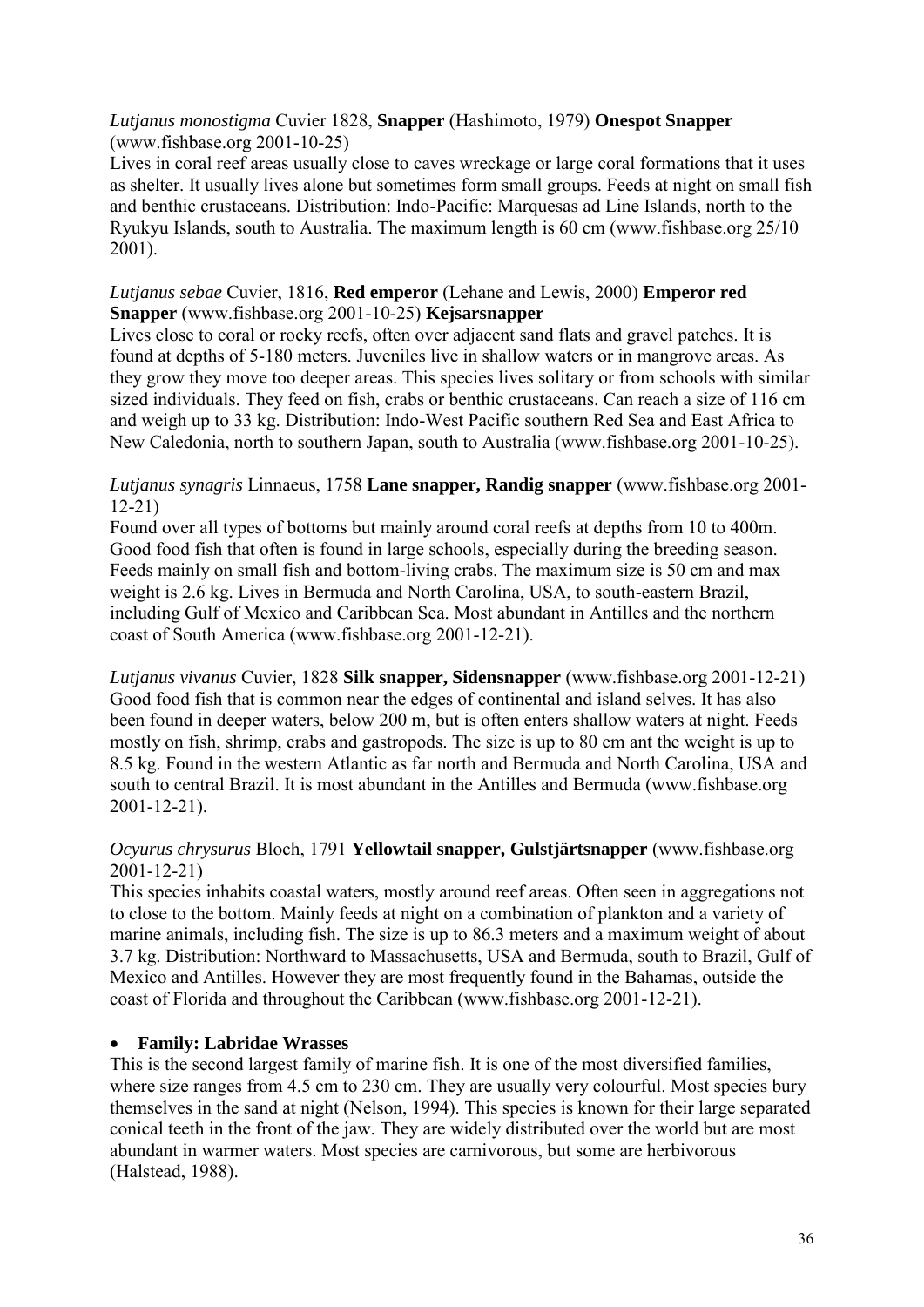# *Lutjanus monostigma* Cuvier 1828, **Snapper** (Hashimoto, 1979) **Onespot Snapper** (www.fishbase.org 2001-10-25)

Lives in coral reef areas usually close to caves wreckage or large coral formations that it uses as shelter. It usually lives alone but sometimes form small groups. Feeds at night on small fish and benthic crustaceans. Distribution: Indo-Pacific: Marquesas ad Line Islands, north to the Ryukyu Islands, south to Australia. The maximum length is 60 cm (www.fishbase.org 25/10 2001).

# *Lutjanus sebae* Cuvier, 1816, **Red emperor** (Lehane and Lewis, 2000) **Emperor red Snapper** (www.fishbase.org 2001-10-25) **Kejsarsnapper**

Lives close to coral or rocky reefs, often over adjacent sand flats and gravel patches. It is found at depths of 5-180 meters. Juveniles live in shallow waters or in mangrove areas. As they grow they move too deeper areas. This species lives solitary or from schools with similar sized individuals. They feed on fish, crabs or benthic crustaceans. Can reach a size of 116 cm and weigh up to 33 kg. Distribution: Indo-West Pacific southern Red Sea and East Africa to New Caledonia, north to southern Japan, south to Australia (www.fishbase.org 2001-10-25).

# *Lutjanus synagris* Linnaeus, 1758 **Lane snapper, Randig snapper** (www.fishbase.org 2001- 12-21)

Found over all types of bottoms but mainly around coral reefs at depths from 10 to 400m. Good food fish that often is found in large schools, especially during the breeding season. Feeds mainly on small fish and bottom-living crabs. The maximum size is 50 cm and max weight is 2.6 kg. Lives in Bermuda and North Carolina, USA, to south-eastern Brazil, including Gulf of Mexico and Caribbean Sea. Most abundant in Antilles and the northern coast of South America (www.fishbase.org 2001-12-21).

*Lutjanus vivanus* Cuvier, 1828 **Silk snapper, Sidensnapper** (www.fishbase.org 2001-12-21) Good food fish that is common near the edges of continental and island selves. It has also been found in deeper waters, below 200 m, but is often enters shallow waters at night. Feeds mostly on fish, shrimp, crabs and gastropods. The size is up to 80 cm ant the weight is up to 8.5 kg. Found in the western Atlantic as far north and Bermuda and North Carolina, USA and south to central Brazil. It is most abundant in the Antilles and Bermuda (www.fishbase.org 2001-12-21).

# *Ocyurus chrysurus* Bloch, 1791 **Yellowtail snapper, Gulstjärtsnapper** (www.fishbase.org 2001-12-21)

This species inhabits coastal waters, mostly around reef areas. Often seen in aggregations not to close to the bottom. Mainly feeds at night on a combination of plankton and a variety of marine animals, including fish. The size is up to 86.3 meters and a maximum weight of about 3.7 kg. Distribution: Northward to Massachusetts, USA and Bermuda, south to Brazil, Gulf of Mexico and Antilles. However they are most frequently found in the Bahamas, outside the coast of Florida and throughout the Caribbean (www.fishbase.org 2001-12-21).

# **Family: Labridae Wrasses**

This is the second largest family of marine fish. It is one of the most diversified families, where size ranges from 4.5 cm to 230 cm. They are usually very colourful. Most species bury themselves in the sand at night (Nelson, 1994). This species is known for their large separated conical teeth in the front of the jaw. They are widely distributed over the world but are most abundant in warmer waters. Most species are carnivorous, but some are herbivorous (Halstead, 1988).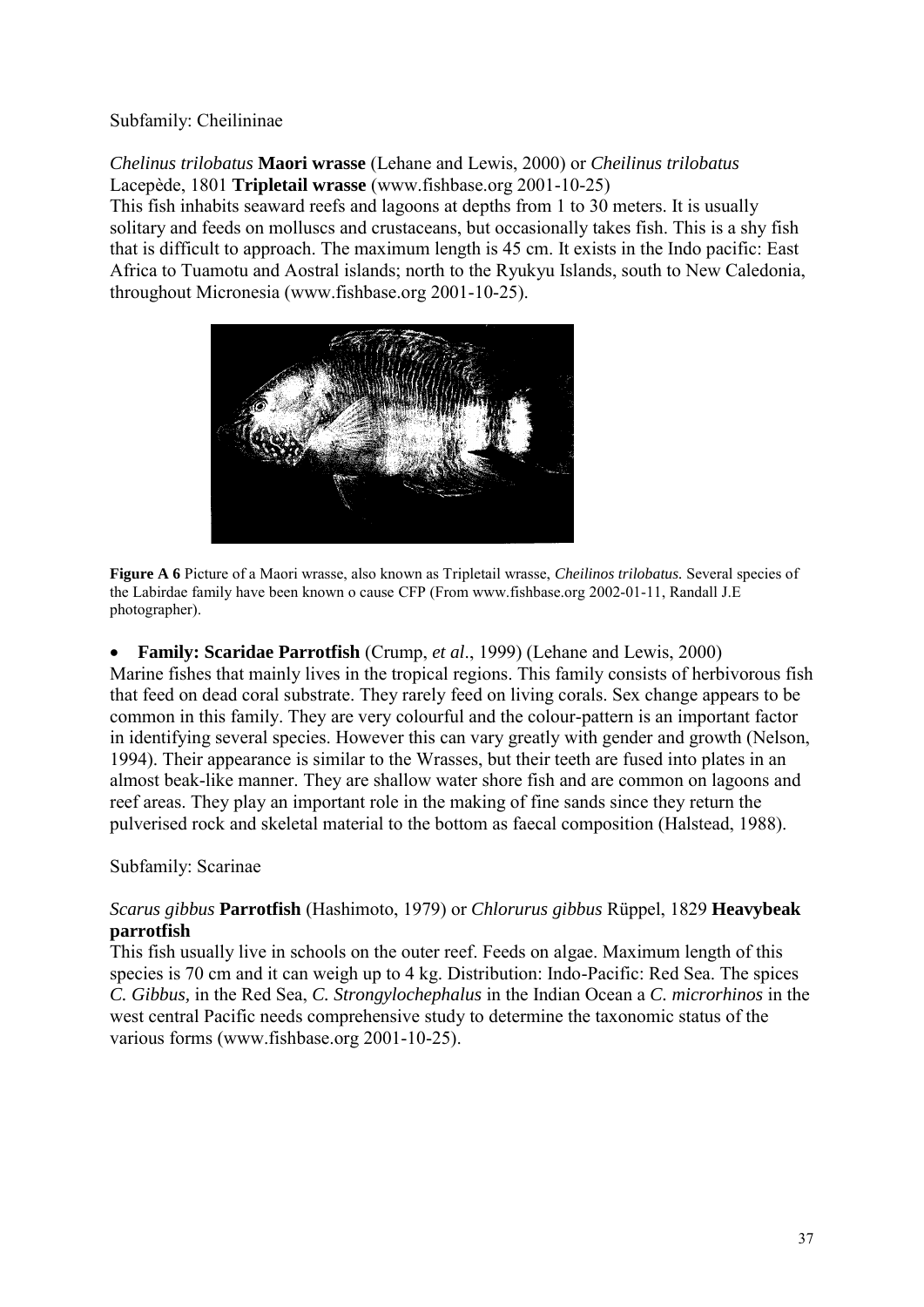## Subfamily: Cheilininae

*Chelinus trilobatus* **Maori wrasse** (Lehane and Lewis, 2000) or *Cheilinus trilobatus* Lacepède, 1801 **Tripletail wrasse** (www.fishbase.org 2001-10-25)

This fish inhabits seaward reefs and lagoons at depths from 1 to 30 meters. It is usually solitary and feeds on molluscs and crustaceans, but occasionally takes fish. This is a shy fish that is difficult to approach. The maximum length is 45 cm. It exists in the Indo pacific: East Africa to Tuamotu and Aostral islands; north to the Ryukyu Islands, south to New Caledonia, throughout Micronesia (www.fishbase.org 2001-10-25).



**Figure A 6** Picture of a Maori wrasse, also known as Tripletail wrasse, *Cheilinos trilobatus.* Several species of the Labirdae family have been known o cause CFP (From www.fishbase.org 2002-01-11, Randall J.E photographer).

 **Family: Scaridae Parrotfish** (Crump, *et al*., 1999) (Lehane and Lewis, 2000) Marine fishes that mainly lives in the tropical regions. This family consists of herbivorous fish that feed on dead coral substrate. They rarely feed on living corals. Sex change appears to be common in this family. They are very colourful and the colour-pattern is an important factor in identifying several species. However this can vary greatly with gender and growth (Nelson, 1994). Their appearance is similar to the Wrasses, but their teeth are fused into plates in an almost beak-like manner. They are shallow water shore fish and are common on lagoons and reef areas. They play an important role in the making of fine sands since they return the pulverised rock and skeletal material to the bottom as faecal composition (Halstead, 1988).

# Subfamily: Scarinae

# *Scarus gibbus* **Parrotfish** (Hashimoto, 1979) or *Chlorurus gibbus* Rüppel, 1829 **Heavybeak parrotfish**

This fish usually live in schools on the outer reef. Feeds on algae. Maximum length of this species is 70 cm and it can weigh up to 4 kg. Distribution: Indo-Pacific: Red Sea. The spices *C. Gibbus,* in the Red Sea, *C. Strongylochephalus* in the Indian Ocean a *C. microrhinos* in the west central Pacific needs comprehensive study to determine the taxonomic status of the various forms (www.fishbase.org 2001-10-25).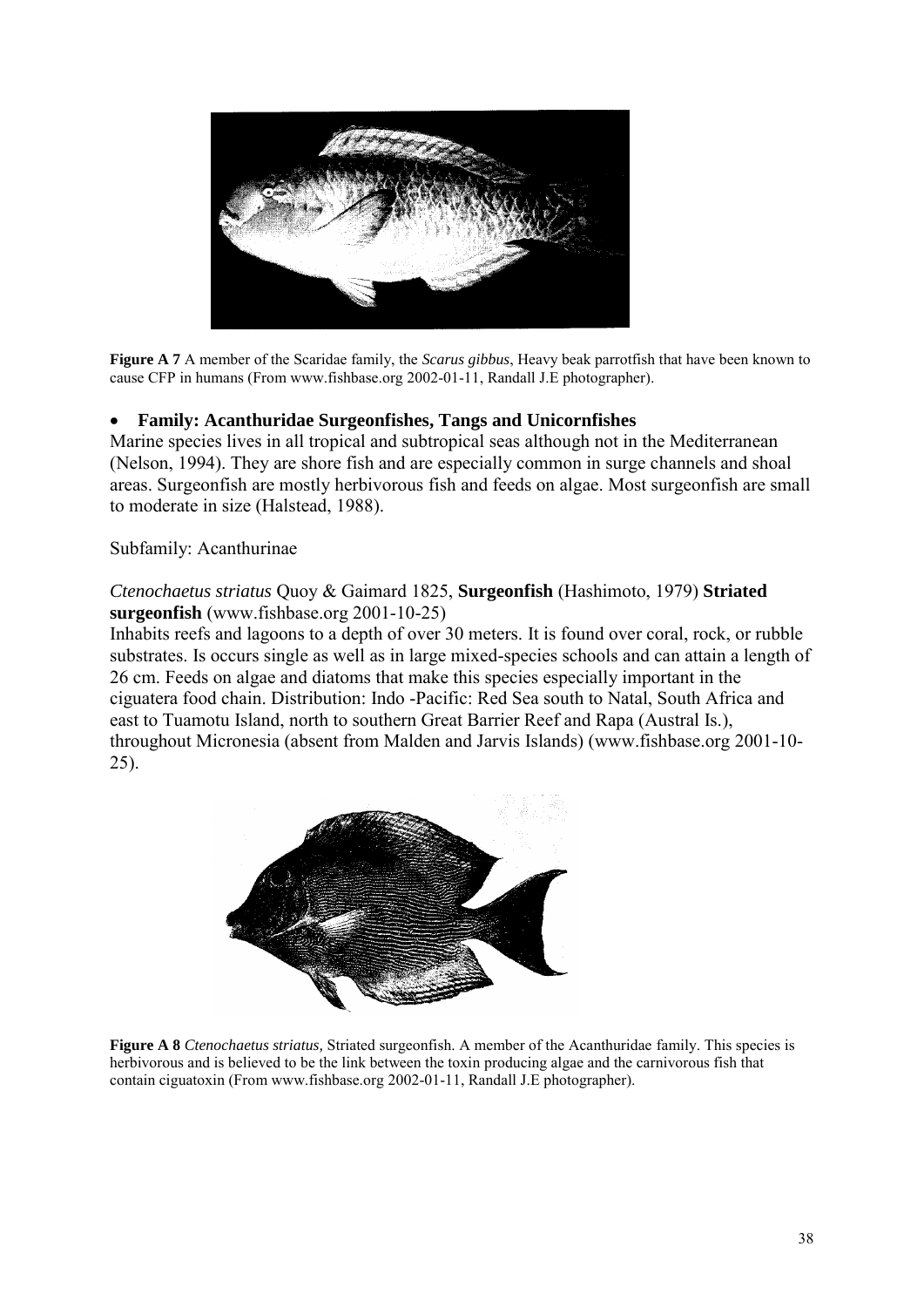

**Figure A 7** A member of the Scaridae family, the *Scarus gibbus*, Heavy beak parrotfish that have been known to cause CFP in humans (From www.fishbase.org 2002-01-11, Randall J.E photographer).

## **Family: Acanthuridae Surgeonfishes, Tangs and Unicornfishes**

Marine species lives in all tropical and subtropical seas although not in the Mediterranean (Nelson, 1994). They are shore fish and are especially common in surge channels and shoal areas. Surgeonfish are mostly herbivorous fish and feeds on algae. Most surgeonfish are small to moderate in size (Halstead, 1988).

#### Subfamily: Acanthurinae

## *Ctenochaetus striatus* Quoy & Gaimard 1825, **Surgeonfish** (Hashimoto, 1979) **Striated surgeonfish** (www.fishbase.org 2001-10-25)

Inhabits reefs and lagoons to a depth of over 30 meters. It is found over coral, rock, or rubble substrates. Is occurs single as well as in large mixed-species schools and can attain a length of 26 cm. Feeds on algae and diatoms that make this species especially important in the ciguatera food chain. Distribution: Indo -Pacific: Red Sea south to Natal, South Africa and east to Tuamotu Island, north to southern Great Barrier Reef and Rapa (Austral Is.), throughout Micronesia (absent from Malden and Jarvis Islands) (www.fishbase.org 2001-10- 25).



**Figure A 8** *Ctenochaetus striatus,* Striated surgeonfish. A member of the Acanthuridae family. This species is herbivorous and is believed to be the link between the toxin producing algae and the carnivorous fish that contain ciguatoxin (From www.fishbase.org 2002-01-11, Randall J.E photographer).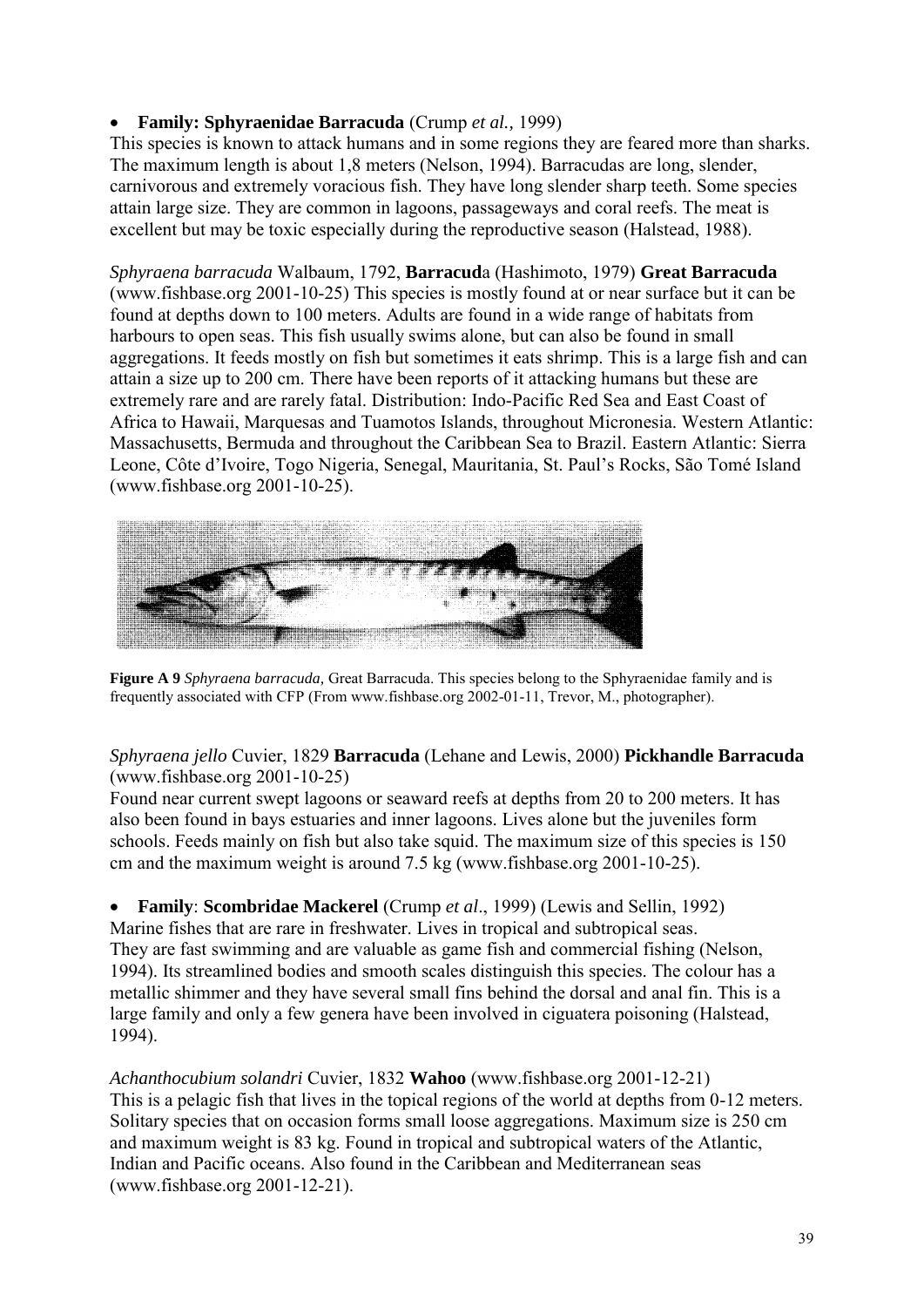# **Family: Sphyraenidae Barracuda** (Crump *et al.,* 1999)

This species is known to attack humans and in some regions they are feared more than sharks. The maximum length is about 1,8 meters (Nelson, 1994). Barracudas are long, slender, carnivorous and extremely voracious fish. They have long slender sharp teeth. Some species attain large size. They are common in lagoons, passageways and coral reefs. The meat is excellent but may be toxic especially during the reproductive season (Halstead, 1988).

*Sphyraena barracuda* Walbaum, 1792, **Barracud**a (Hashimoto, 1979) **Great Barracuda** (www.fishbase.org 2001-10-25) This species is mostly found at or near surface but it can be found at depths down to 100 meters. Adults are found in a wide range of habitats from harbours to open seas. This fish usually swims alone, but can also be found in small aggregations. It feeds mostly on fish but sometimes it eats shrimp. This is a large fish and can attain a size up to 200 cm. There have been reports of it attacking humans but these are extremely rare and are rarely fatal. Distribution: Indo-Pacific Red Sea and East Coast of Africa to Hawaii, Marquesas and Tuamotos Islands, throughout Micronesia. Western Atlantic: Massachusetts, Bermuda and throughout the Caribbean Sea to Brazil. Eastern Atlantic: Sierra Leone, Côte d'Ivoire, Togo Nigeria, Senegal, Mauritania, St. Paul's Rocks, São Tomé Island (www.fishbase.org 2001-10-25).



**Figure A 9** *Sphyraena barracuda,* Great Barracuda. This species belong to the Sphyraenidae family and is frequently associated with CFP (From www.fishbase.org 2002-01-11, Trevor, M., photographer).

# *Sphyraena jello* Cuvier, 1829 **Barracuda** (Lehane and Lewis, 2000) **Pickhandle Barracuda** (www.fishbase.org 2001-10-25)

Found near current swept lagoons or seaward reefs at depths from 20 to 200 meters. It has also been found in bays estuaries and inner lagoons. Lives alone but the juveniles form schools. Feeds mainly on fish but also take squid. The maximum size of this species is 150 cm and the maximum weight is around 7.5 kg (www.fishbase.org 2001-10-25).

 **Family**: **Scombridae Mackerel** (Crump *et al*., 1999) (Lewis and Sellin, 1992) Marine fishes that are rare in freshwater. Lives in tropical and subtropical seas. They are fast swimming and are valuable as game fish and commercial fishing (Nelson, 1994). Its streamlined bodies and smooth scales distinguish this species. The colour has a metallic shimmer and they have several small fins behind the dorsal and anal fin. This is a large family and only a few genera have been involved in ciguatera poisoning (Halstead, 1994).

*Achanthocubium solandri* Cuvier, 1832 **Wahoo** (www.fishbase.org 2001-12-21) This is a pelagic fish that lives in the topical regions of the world at depths from 0-12 meters. Solitary species that on occasion forms small loose aggregations. Maximum size is 250 cm and maximum weight is 83 kg. Found in tropical and subtropical waters of the Atlantic, Indian and Pacific oceans. Also found in the Caribbean and Mediterranean seas (www.fishbase.org 2001-12-21).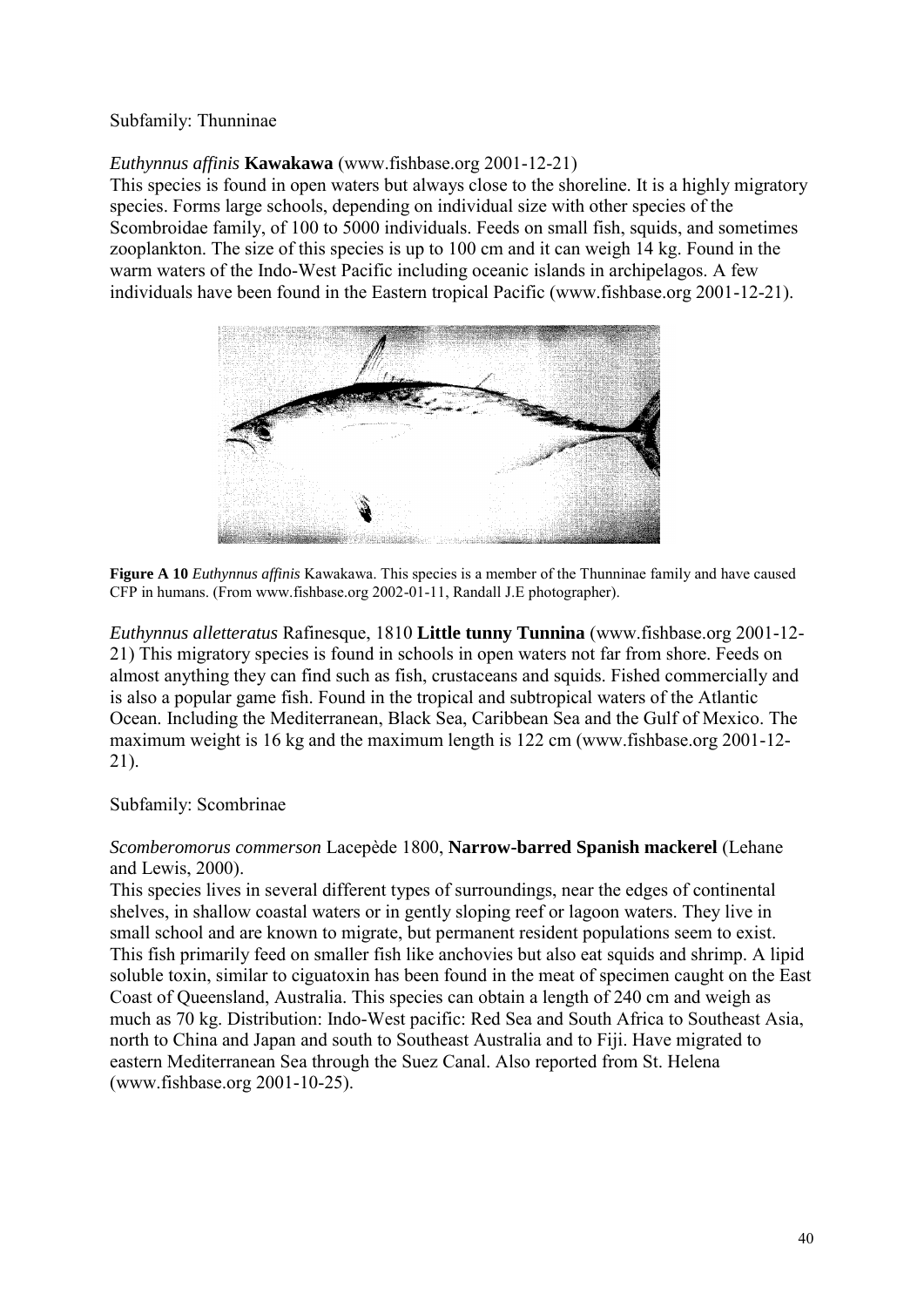## Subfamily: Thunninae

# *Euthynnus affinis* **Kawakawa** (www.fishbase.org 2001-12-21)

This species is found in open waters but always close to the shoreline. It is a highly migratory species. Forms large schools, depending on individual size with other species of the Scombroidae family, of 100 to 5000 individuals. Feeds on small fish, squids, and sometimes zooplankton. The size of this species is up to 100 cm and it can weigh 14 kg. Found in the warm waters of the Indo-West Pacific including oceanic islands in archipelagos. A few individuals have been found in the Eastern tropical Pacific (www.fishbase.org 2001-12-21).



**Figure A 10** *Euthynnus affinis* Kawakawa. This species is a member of the Thunninae family and have caused CFP in humans. (From www.fishbase.org 2002-01-11, Randall J.E photographer).

*Euthynnus alletteratus* Rafinesque, 1810 **Little tunny Tunnina** (www.fishbase.org 2001-12- 21) This migratory species is found in schools in open waters not far from shore. Feeds on almost anything they can find such as fish, crustaceans and squids. Fished commercially and is also a popular game fish. Found in the tropical and subtropical waters of the Atlantic Ocean. Including the Mediterranean, Black Sea, Caribbean Sea and the Gulf of Mexico. The maximum weight is 16 kg and the maximum length is 122 cm (www.fishbase.org 2001-12- 21).

#### Subfamily: Scombrinae

## *Scomberomorus commerson* Lacepède 1800, **Narrow-barred Spanish mackerel** (Lehane and Lewis, 2000).

This species lives in several different types of surroundings, near the edges of continental shelves, in shallow coastal waters or in gently sloping reef or lagoon waters. They live in small school and are known to migrate, but permanent resident populations seem to exist. This fish primarily feed on smaller fish like anchovies but also eat squids and shrimp. A lipid soluble toxin, similar to ciguatoxin has been found in the meat of specimen caught on the East Coast of Queensland, Australia. This species can obtain a length of 240 cm and weigh as much as 70 kg. Distribution: Indo-West pacific: Red Sea and South Africa to Southeast Asia, north to China and Japan and south to Southeast Australia and to Fiji. Have migrated to eastern Mediterranean Sea through the Suez Canal. Also reported from St. Helena (www.fishbase.org 2001-10-25).